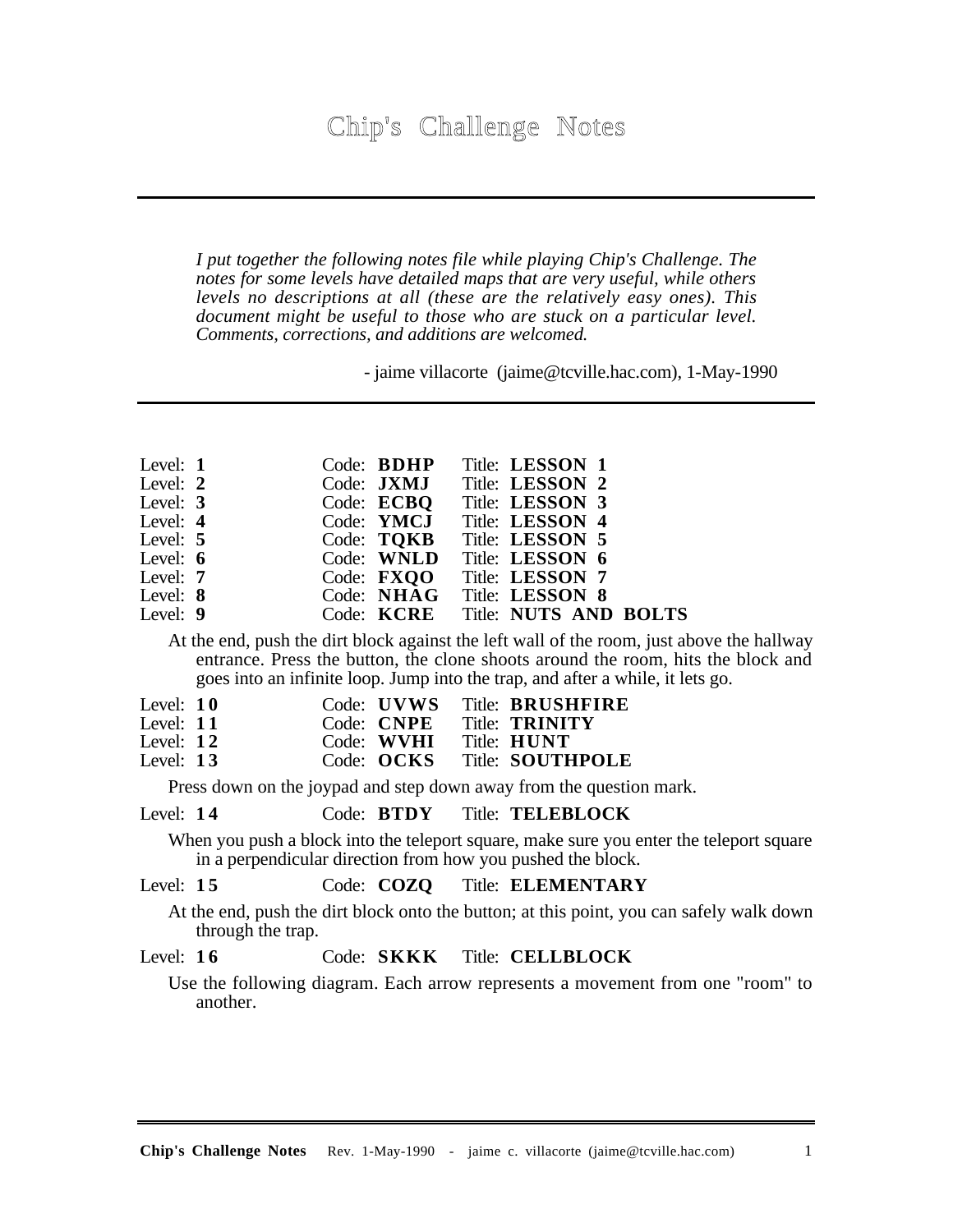*I put together the following notes file while playing Chip's Challenge. The notes for some levels have detailed maps that are very useful, while others levels no descriptions at all (these are the relatively easy ones). This document might be useful to those who are stuck on a particular level. Comments, corrections, and additions are welcomed.*

- jaime villacorte (jaime@tcville.hac.com), 1-May-1990

| Level: 1   |            |                       | Code: <b>BDHP</b> Title: LESSON 1 |  |
|------------|------------|-----------------------|-----------------------------------|--|
| Level: 2   |            |                       | Code: JXMJ Title: LESSON 2        |  |
| Level: $3$ |            |                       | Code: ECBQ Title: LESSON 3        |  |
| Level: $4$ |            |                       | Code: YMCJ Title: LESSON 4        |  |
| Level: 5   |            |                       | Code: TOKB Title: LESSON 5        |  |
| Level: $6$ |            |                       | Code: WNLD Title: LESSON 6        |  |
|            | Level: $7$ | Code: $\mathbf{FXOO}$ | Title: LESSON 7                   |  |
| Level: 8   |            |                       | Code: NHAG Title: LESSON 8        |  |
| Level: 9   |            |                       | Code: KCRE Title: NUTS AND BOLTS  |  |

At the end, push the dirt block against the left wall of the room, just above the hallway entrance. Press the button, the clone shoots around the room, hits the block and goes into an infinite loop. Jump into the trap, and after a while, it lets go.

| Level: $10$ |  |            | Code: UVWS Title: BRUSHFIRE |
|-------------|--|------------|-----------------------------|
| Level: $11$ |  | Code: CNPE | Title: <b>TRINITY</b>       |
| Level: $12$ |  | Code: WVHI | Title: <b>HUNT</b>          |
| Level: $13$ |  | Code: OCKS | Title: SOUTHPOLE            |

Press down on the joypad and step down away from the question mark.

#### Level: **1 4** Code: **BTDY** Title: **TELEBLOCK**

When you push a block into the teleport square, make sure you enter the teleport square in a perpendicular direction from how you pushed the block.

## Level: **1 5** Code: **COZQ** Title: **ELEMENTARY**

At the end, push the dirt block onto the button; at this point, you can safely walk down through the trap.

# Level: **1 6** Code: **SKKK** Title: **CELLBLOCK**

Use the following diagram. Each arrow represents a movement from one "room" to another.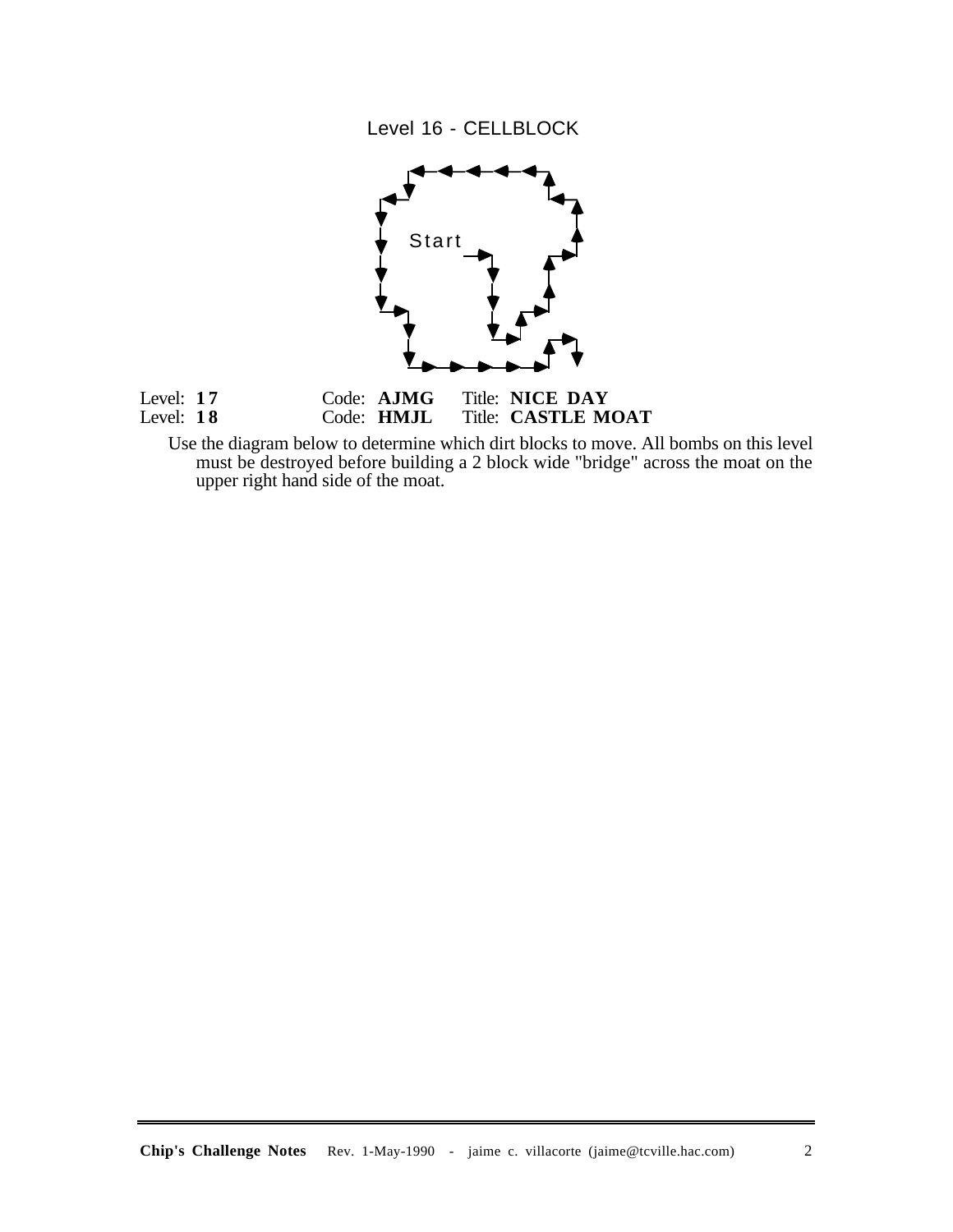Level 16 - CELLBLOCK



Use the diagram below to determine which dirt blocks to move. All bombs on this level must be destroyed before building a 2 block wide "bridge" across the moat on the upper right hand side of the moat.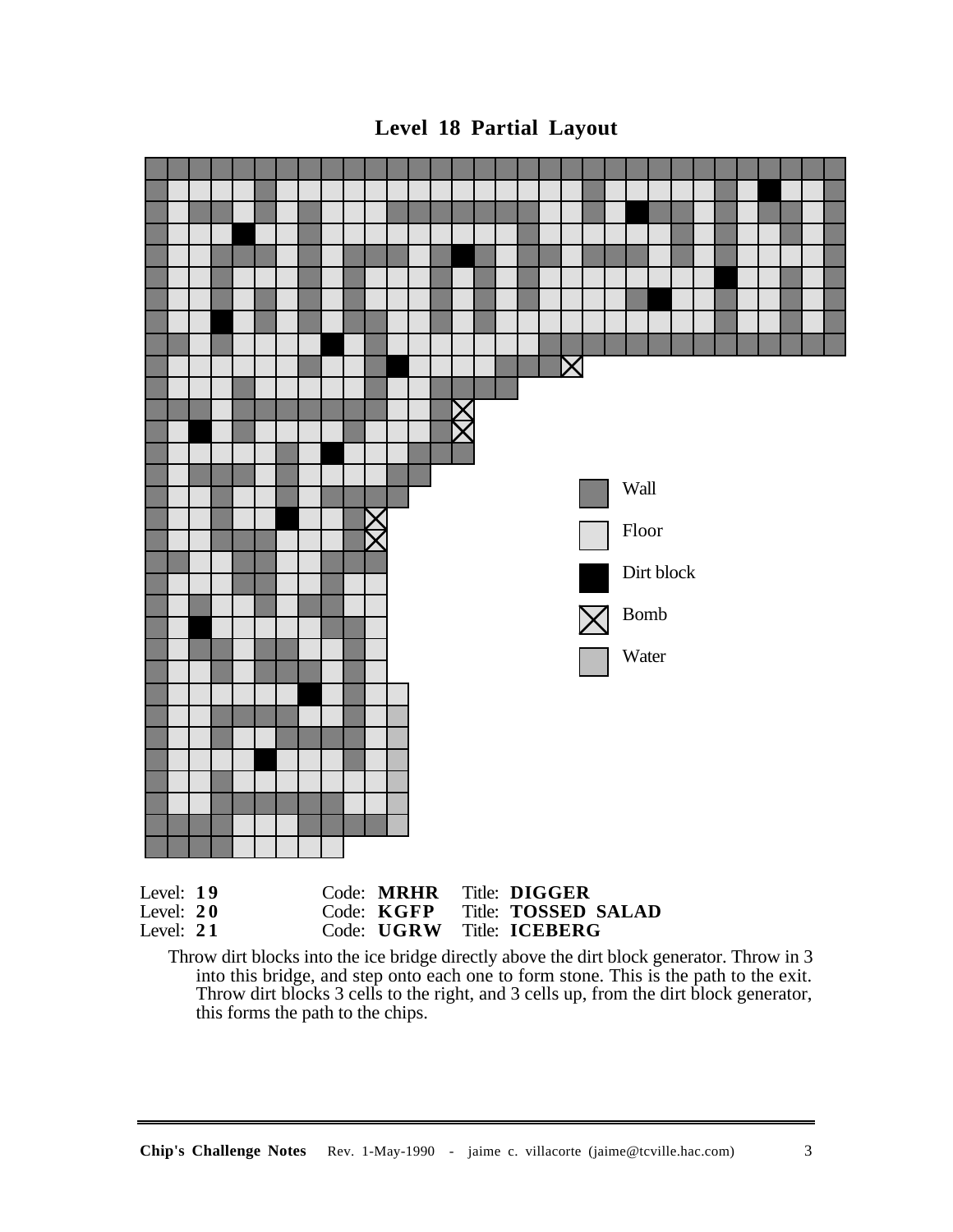

**Level 18 Partial Layout**

Throw dirt blocks into the ice bridge directly above the dirt block generator. Throw in 3 into this bridge, and step onto each one to form stone. This is the path to the exit. Throw dirt blocks 3 cells to the right, and 3 cells up, from the dirt block generator, this forms the path to the chips.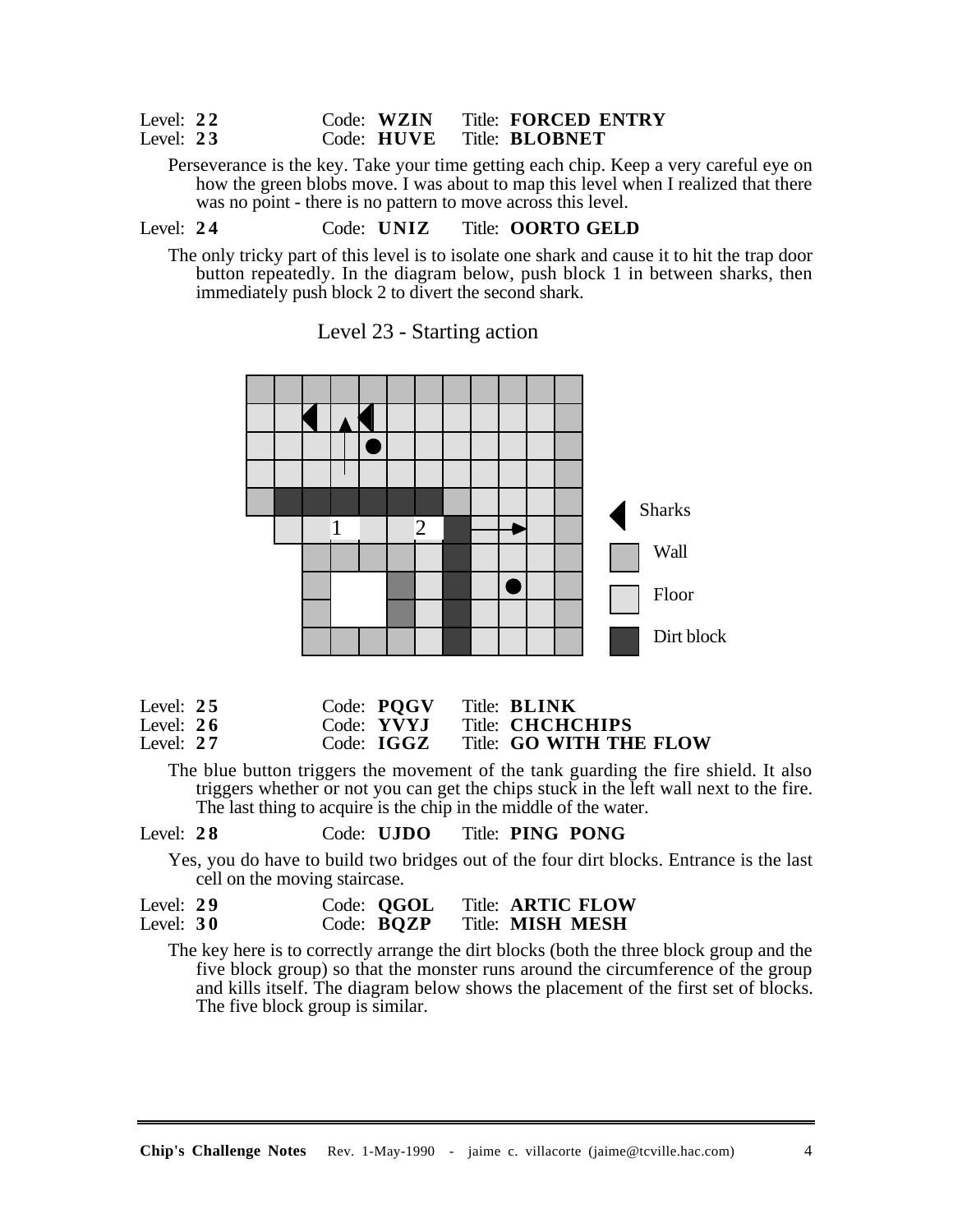#### Level: **2 2** Code: **WZIN** Title: **FORCED ENTRY** Title: **BLOBNET**

Perseverance is the key. Take your time getting each chip. Keep a very careful eye on how the green blobs move. I was about to map this level when I realized that there was no point - there is no pattern to move across this level.

# Level: **2 4** Code: **UNIZ** Title: **OORTO GELD**

The only tricky part of this level is to isolate one shark and cause it to hit the trap door button repeatedly. In the diagram below, push block 1 in between sharks, then immediately push block 2 to divert the second shark.

Level 23 - Starting action



| Level: $25$ |  | Code: POGV            | Title: <b>BLINK</b>     |
|-------------|--|-----------------------|-------------------------|
| Level: $26$ |  | Code: YVYJ            | Title: <b>CHCHCHIPS</b> |
| Level: $27$ |  | $Code: \textbf{IGGZ}$ | Title: GO WITH THE FLOW |

The blue button triggers the movement of the tank guarding the fire shield. It also triggers whether or not you can get the chips stuck in the left wall next to the fire. The last thing to acquire is the chip in the middle of the water.

## Level: **2 8** Code: **UJDO** Title: **PING PONG**

Yes, you do have to build two bridges out of the four dirt blocks. Entrance is the last cell on the moving staircase.

| Level: $29$ | Code: <b>QGOL</b> | Title: <b>ARTIC FLOW</b> |
|-------------|-------------------|--------------------------|
| Level: $30$ | Code: <b>BQZP</b> | <b>Title: MISH MESH</b>  |

The key here is to correctly arrange the dirt blocks (both the three block group and the five block group) so that the monster runs around the circumference of the group and kills itself. The diagram below shows the placement of the first set of blocks. The five block group is similar.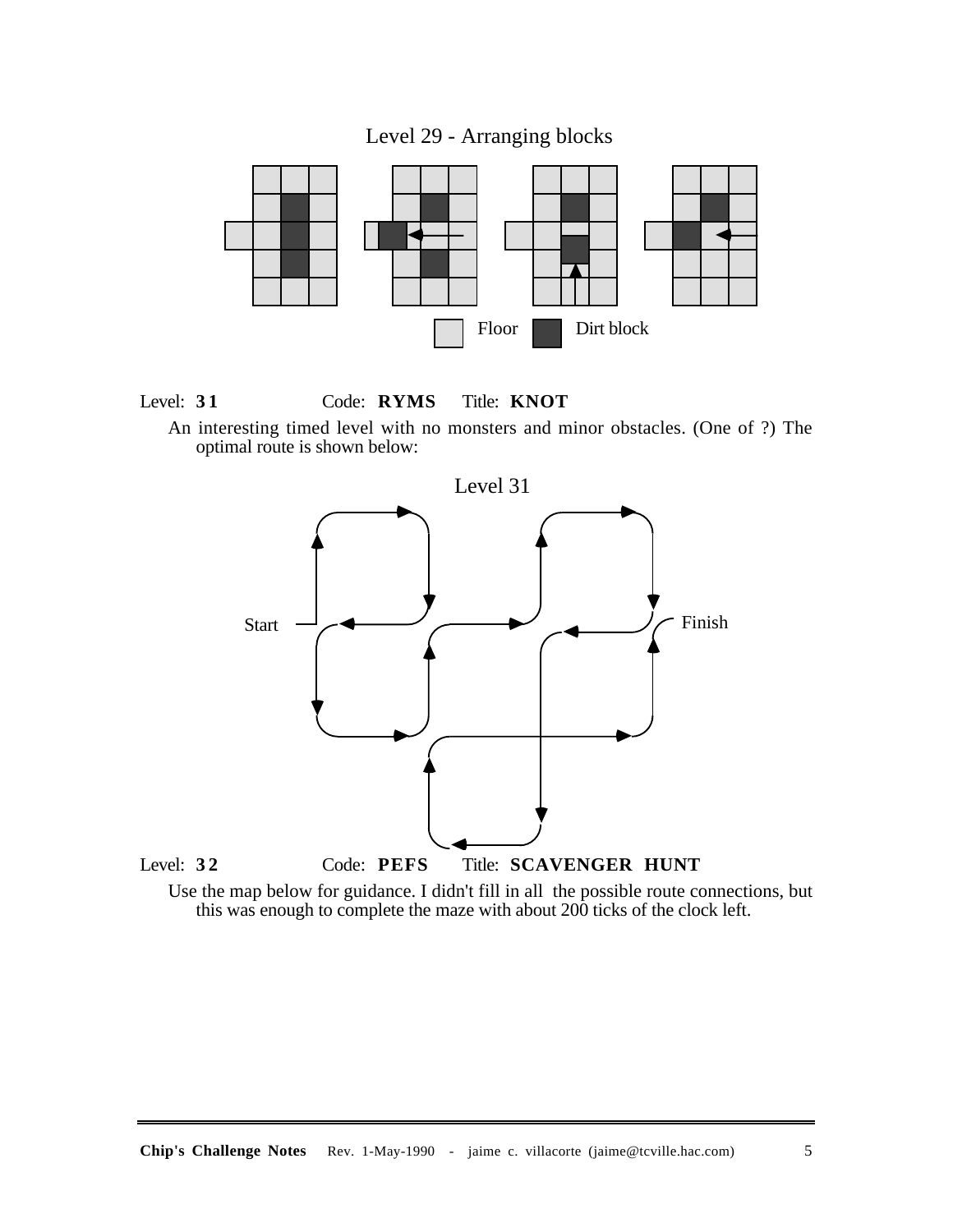Level 29 - Arranging blocks



Level: **3 1** Code: **RYMS** Title: **KNOT**

An interesting timed level with no monsters and minor obstacles. (One of ?) The optimal route is shown below:



Use the map below for guidance. I didn't fill in all the possible route connections, but this was enough to complete the maze with about 200 ticks of the clock left.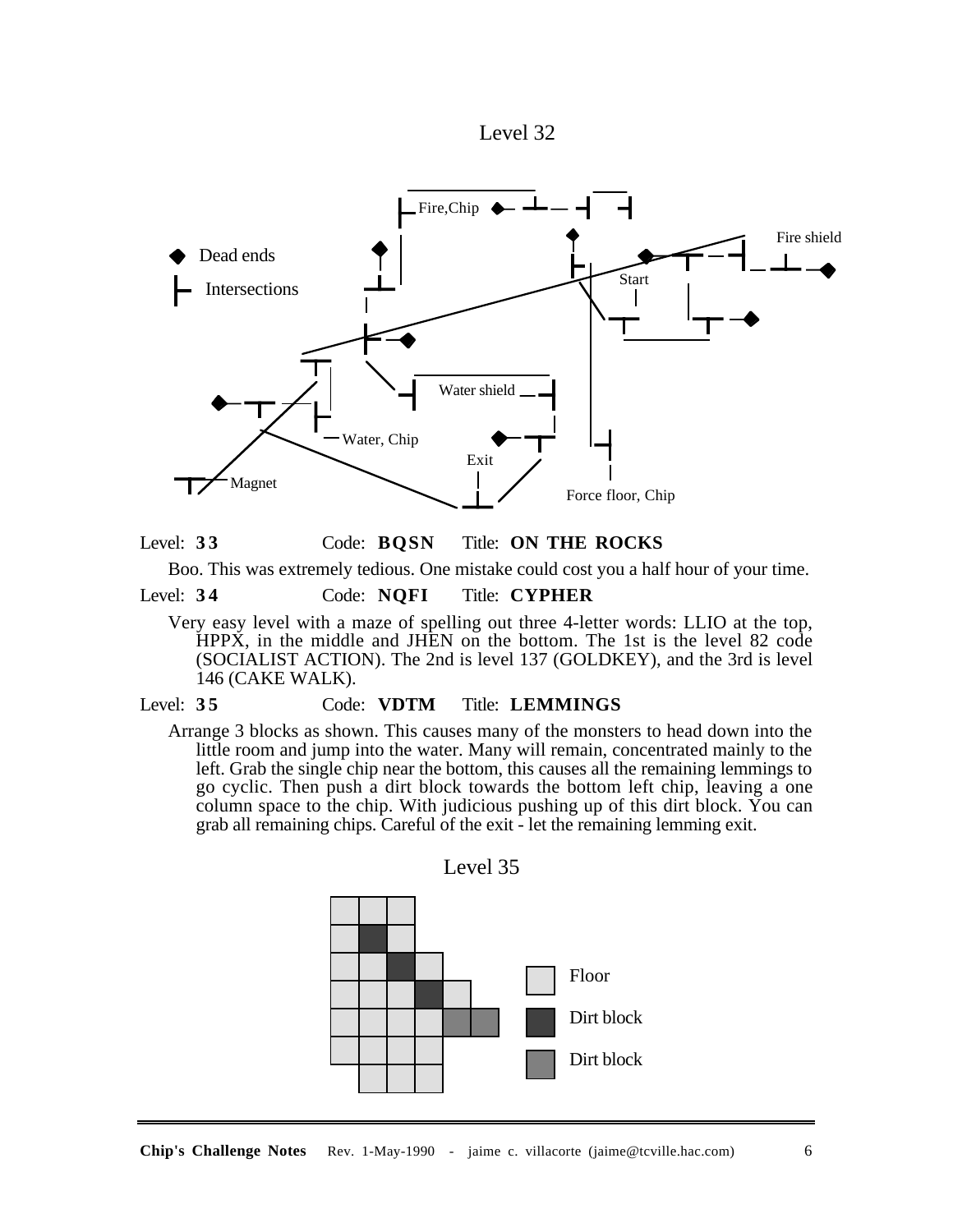



Level: **3 3** Code: **BQSN** Title: **ON THE ROCKS**

Boo. This was extremely tedious. One mistake could cost you a half hour of your time.

Level: **3 4** Code: **NQFI** Title: **CYPHER**

Very easy level with a maze of spelling out three 4-letter words: LLIO at the top, HPPX, in the middle and JHEN on the bottom. The 1st is the level 82 code (SOCIALIST ACTION). The 2nd is level 137 (GOLDKEY), and the 3rd is level 146 (CAKE WALK).

# Level: **3 5** Code: **VDTM** Title: **LEMMINGS**

Arrange 3 blocks as shown. This causes many of the monsters to head down into the little room and jump into the water. Many will remain, concentrated mainly to the left. Grab the single chip near the bottom, this causes all the remaining lemmings to go cyclic. Then push a dirt block towards the bottom left chip, leaving a one column space to the chip. With judicious pushing up of this dirt block. You can grab all remaining chips. Careful of the exit - let the remaining lemming exit.



Level 35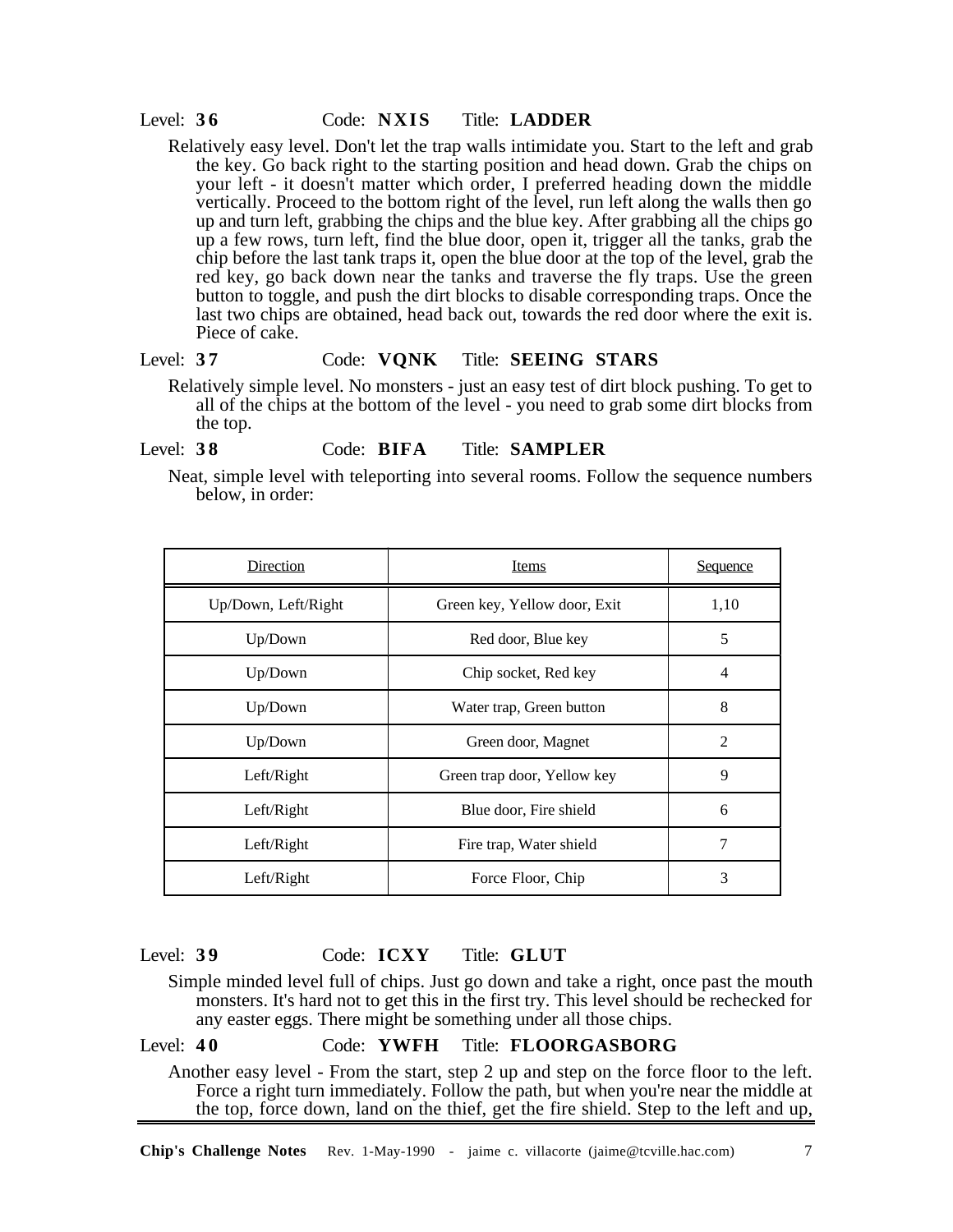#### Level: **3 6** Code: **NXIS** Title: **LADDER**

Relatively easy level. Don't let the trap walls intimidate you. Start to the left and grab the key. Go back right to the starting position and head down. Grab the chips on your left - it doesn't matter which order, I preferred heading down the middle vertically. Proceed to the bottom right of the level, run left along the walls then go up and turn left, grabbing the chips and the blue key. After grabbing all the chips go up a few rows, turn left, find the blue door, open it, trigger all the tanks, grab the chip before the last tank traps it, open the blue door at the top of the level, grab the red key, go back down near the tanks and traverse the fly traps. Use the green button to toggle, and push the dirt blocks to disable corresponding traps. Once the last two chips are obtained, head back out, towards the red door where the exit is. Piece of cake.

# Level: **3 7** Code: **VQNK** Title: **SEEING STARS**

Relatively simple level. No monsters - just an easy test of dirt block pushing. To get to all of the chips at the bottom of the level - you need to grab some dirt blocks from the top.

#### Level: **3 8** Code: **BIFA** Title: **SAMPLER**

Neat, simple level with teleporting into several rooms. Follow the sequence numbers below, in order:

| Direction           | Items                        | <b>Sequence</b> |
|---------------------|------------------------------|-----------------|
| Up/Down, Left/Right | Green key, Yellow door, Exit | 1,10            |
| Up/Down             | Red door, Blue key           | 5               |
| Up/Down             | Chip socket, Red key         | 4               |
| Up/Down             | Water trap, Green button     | 8               |
| Up/Down             | Green door, Magnet           | 2               |
| Left/Right          | Green trap door, Yellow key  | 9               |
| Left/Right          | Blue door, Fire shield       | 6               |
| Left/Right          | Fire trap, Water shield      | 7               |
| Left/Right          | Force Floor, Chip            | 3               |

## Level: **3 9** Code: **ICXY** Title: **GLUT**

Simple minded level full of chips. Just go down and take a right, once past the mouth monsters. It's hard not to get this in the first try. This level should be rechecked for any easter eggs. There might be something under all those chips.

#### Level: **4 0** Code: **YWFH** Title: **FLOORGASBORG**

Another easy level - From the start, step 2 up and step on the force floor to the left. Force a right turn immediately. Follow the path, but when you're near the middle at the top, force down, land on the thief, get the fire shield. Step to the left and up,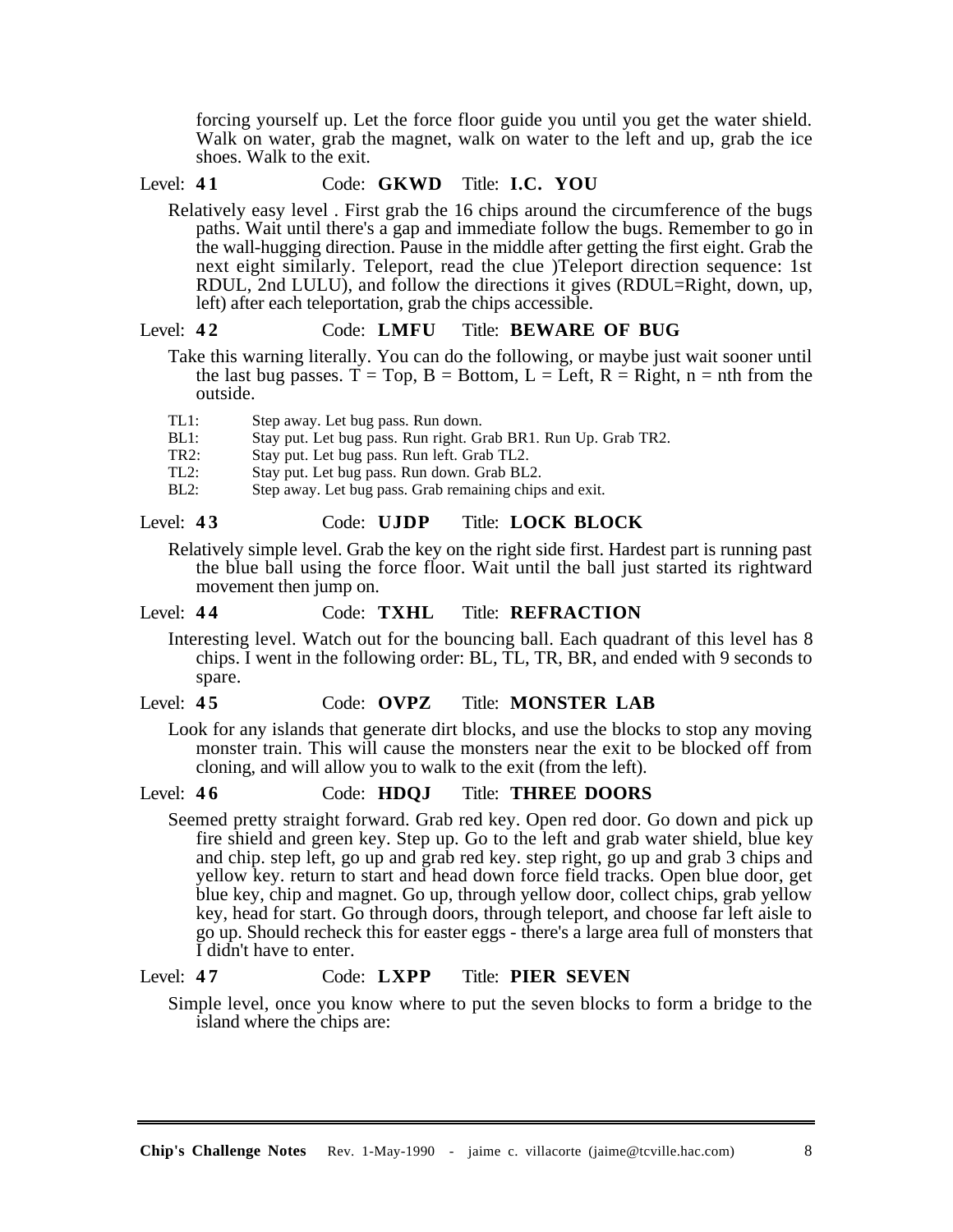forcing yourself up. Let the force floor guide you until you get the water shield. Walk on water, grab the magnet, walk on water to the left and up, grab the ice shoes. Walk to the exit.

## Level: **4 1** Code: **GKWD** Title: **I.C. YOU**

Relatively easy level . First grab the 16 chips around the circumference of the bugs paths. Wait until there's a gap and immediate follow the bugs. Remember to go in the wall-hugging direction. Pause in the middle after getting the first eight. Grab the next eight similarly. Teleport, read the clue )Teleport direction sequence: 1st RDUL, 2nd LULU), and follow the directions it gives (RDUL=Right, down, up, left) after each teleportation, grab the chips accessible.

#### Level: **4 2** Code: **LMFU** Title: **BEWARE OF BUG**

Take this warning literally. You can do the following, or maybe just wait sooner until the last bug passes.  $T = Top$ ,  $B = Bottom$ ,  $L = Left$ ,  $R = Right$ ,  $n = nth$  from the outside.

- TL1: Step away. Let bug pass. Run down.
- BL1: Stay put. Let bug pass. Run right. Grab BR1. Run Up. Grab TR2.
- TR2: Stay put. Let bug pass. Run left. Grab TL2.
- TL2: Stay put. Let bug pass. Run down. Grab BL2.<br>BL2: Step away. Let bug pass. Grab remaining chips
- Step away. Let bug pass. Grab remaining chips and exit.

#### Level: **4 3** Code: **UJDP** Title: **LOCK BLOCK**

Relatively simple level. Grab the key on the right side first. Hardest part is running past the blue ball using the force floor. Wait until the ball just started its rightward movement then jump on.

#### Level: **4 4** Code: **TXHL** Title: **REFRACTION**

Interesting level. Watch out for the bouncing ball. Each quadrant of this level has 8 chips. I went in the following order: BL, TL, TR, BR, and ended with 9 seconds to spare.

#### Level: **4 5** Code: **OVPZ** Title: **MONSTER LAB**

Look for any islands that generate dirt blocks, and use the blocks to stop any moving monster train. This will cause the monsters near the exit to be blocked off from cloning, and will allow you to walk to the exit (from the left).

#### Level: **4 6** Code: **HDQJ** Title: **THREE DOORS**

Seemed pretty straight forward. Grab red key. Open red door. Go down and pick up fire shield and green key. Step up. Go to the left and grab water shield, blue key and chip. step left, go up and grab red key. step right, go up and grab 3 chips and yellow key. return to start and head down force field tracks. Open blue door, get blue key, chip and magnet. Go up, through yellow door, collect chips, grab yellow key, head for start. Go through doors, through teleport, and choose far left aisle to go up. Should recheck this for easter eggs - there's a large area full of monsters that I didn't have to enter.

#### Level: **4 7** Code: **LXPP** Title: **PIER SEVEN**

Simple level, once you know where to put the seven blocks to form a bridge to the island where the chips are: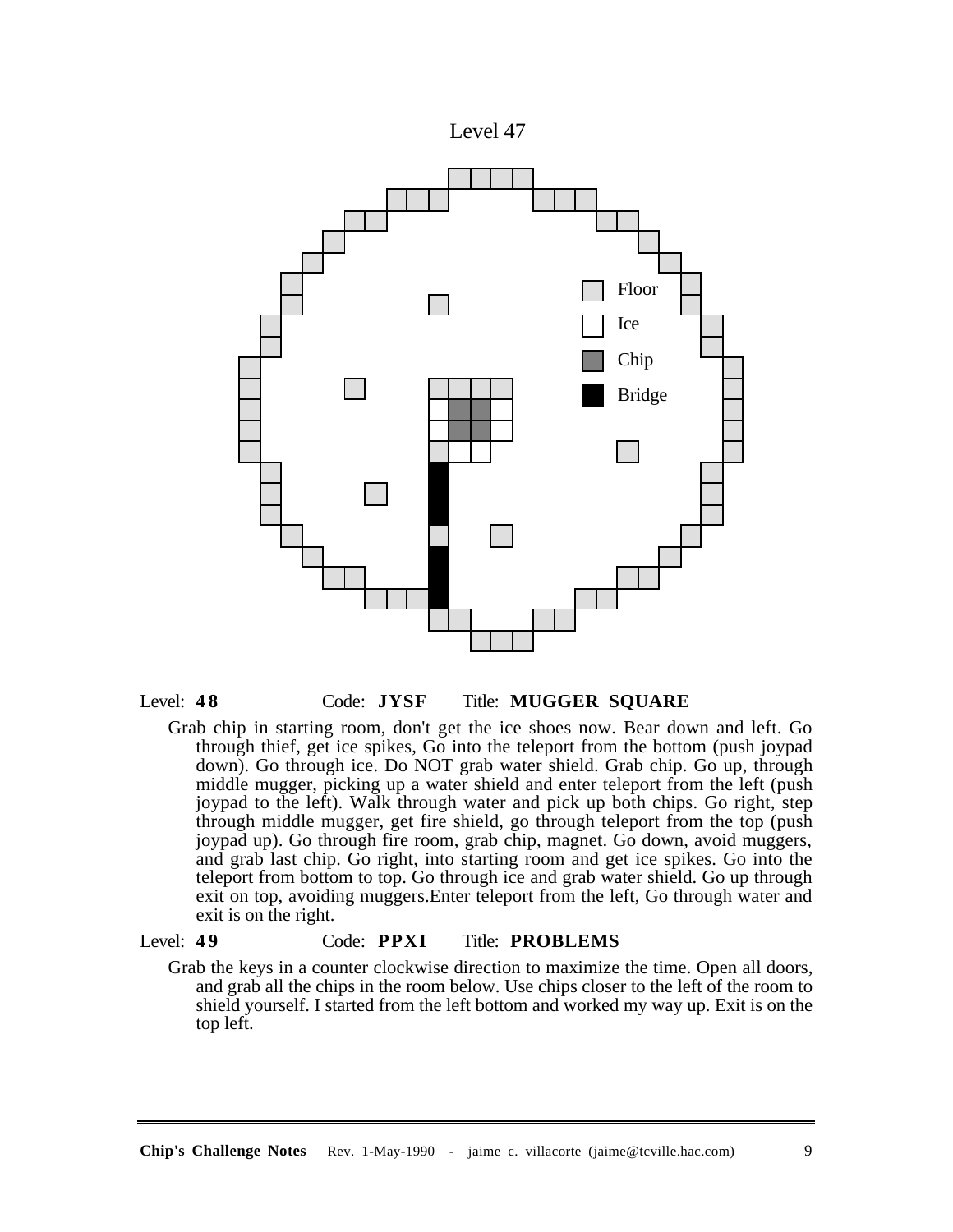



Grab chip in starting room, don't get the ice shoes now. Bear down and left. Go through thief, get ice spikes,  $G\overline{o}$  into the teleport from the bottom (push joypad down). Go through ice. Do NOT grab water shield. Grab chip. Go up, through middle mugger, picking up a water shield and enter teleport from the left (push joypad to the left). Walk through water and pick up both chips. Go right, step through middle mugger, get fire shield, go through teleport from the top (push joypad up). Go through fire room, grab chip, magnet. Go down, avoid muggers, and grab last chip. Go right, into starting room and get ice spikes. Go into the teleport from bottom to top. Go through ice and grab water shield. Go up through exit on top, avoiding muggers.Enter teleport from the left, Go through water and exit is on the right.

## Level: **4 9** Code: **PPXI** Title: **PROBLEMS**

Grab the keys in a counter clockwise direction to maximize the time. Open all doors, and grab all the chips in the room below. Use chips closer to the left of the room to shield yourself. I started from the left bottom and worked my way up. Exit is on the top left.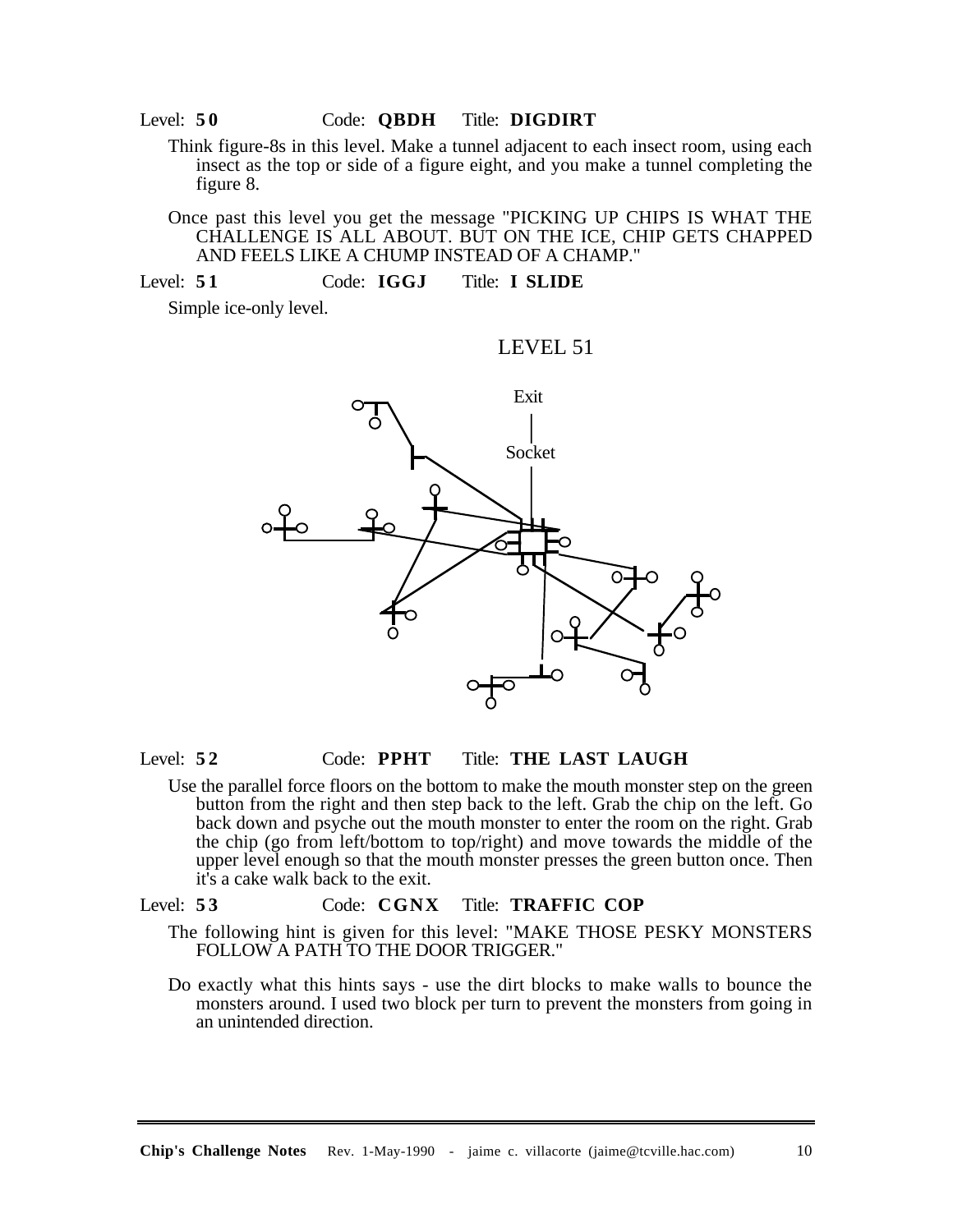Think figure-8s in this level. Make a tunnel adjacent to each insect room, using each insect as the top or side of a figure eight, and you make a tunnel completing the figure 8.

Once past this level you get the message "PICKING UP CHIPS IS WHAT THE CHALLENGE IS ALL ABOUT. BUT ON THE ICE, CHIP GETS CHAPPED AND FEELS LIKE A CHUMP INSTEAD OF A CHAMP."

Level: **5 1** Code: **IGGJ** Title: **I SLIDE**

Simple ice-only level.

#### LEVEL 51



#### Level: **5 2** Code: **PPHT** Title: **THE LAST LAUGH**

Use the parallel force floors on the bottom to make the mouth monster step on the green button from the right and then step back to the left. Grab the chip on the left. Go back down and psyche out the mouth monster to enter the room on the right. Grab the chip (go from left/bottom to top/right) and move towards the middle of the upper level enough so that the mouth monster presses the green button once. Then it's a cake walk back to the exit.

## Level: **5 3** Code: **CGNX** Title: **TRAFFIC COP**

- The following hint is given for this level: "MAKE THOSE PESKY MONSTERS FOLLOW A PATH TO THE DOOR TRIGGER."
- Do exactly what this hints says use the dirt blocks to make walls to bounce the monsters around. I used two block per turn to prevent the monsters from going in an unintended direction.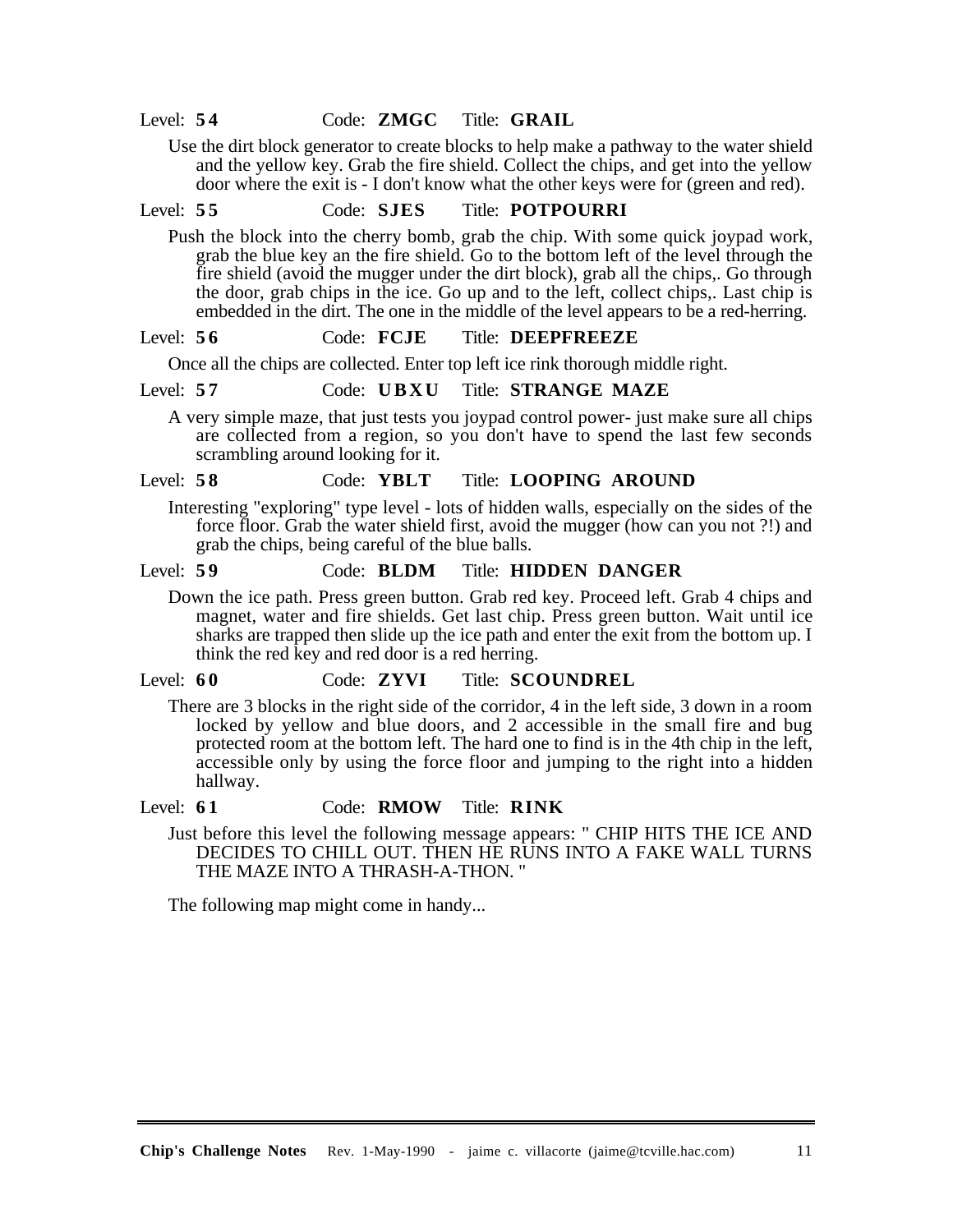Level: **5 4** Code: **ZMGC** Title: **GRAIL**

Use the dirt block generator to create blocks to help make a pathway to the water shield and the yellow key. Grab the fire shield. Collect the chips, and get into the yellow door where the exit is - I don't know what the other keys were for (green and red).

# Level: **5 5** Code: **SJES** Title: **POTPOURRI**

Push the block into the cherry bomb, grab the chip. With some quick joypad work, grab the blue key an the fire shield. Go to the bottom left of the level through the fire shield (avoid the mugger under the dirt block), grab all the chips,. Go through the door, grab chips in the ice. Go up and to the left, collect chips,. Last chip is embedded in the dirt. The one in the middle of the level appears to be a red-herring.

#### Level: **5 6** Code: **FCJE** Title: **DEEPFREEZE**

Once all the chips are collected. Enter top left ice rink thorough middle right.

#### Level: **5 7** Code: **UBXU** Title: **STRANGE MAZE**

A very simple maze, that just tests you joypad control power- just make sure all chips are collected from a region, so you don't have to spend the last few seconds scrambling around looking for it.

## Level: **5 8** Code: **YBLT** Title: **LOOPING AROUND**

Interesting "exploring" type level - lots of hidden walls, especially on the sides of the force floor. Grab the water shield first, avoid the mugger (how can you not ?!) and grab the chips, being careful of the blue balls.

#### Level: **5 9** Code: **BLDM** Title: **HIDDEN DANGER**

Down the ice path. Press green button. Grab red key. Proceed left. Grab 4 chips and magnet, water and fire shields. Get last chip. Press green button. Wait until ice sharks are trapped then slide up the ice path and enter the exit from the bottom up. I think the red key and red door is a red herring.

## Level: **6 0** Code: **ZYVI** Title: **SCOUNDREL**

There are 3 blocks in the right side of the corridor, 4 in the left side, 3 down in a room locked by yellow and blue doors, and 2 accessible in the small fire and bug protected room at the bottom left. The hard one to find is in the 4th chip in the left, accessible only by using the force floor and jumping to the right into a hidden hallway.

#### Level: **6 1** Code: **RMOW** Title: **RINK**

Just before this level the following message appears: " CHIP HITS THE ICE AND DECIDES TO CHILL OUT. THEN HE RUNS INTO A FAKE WALL TURNS THE MAZE INTO A THRASH-A-THON. "

The following map might come in handy...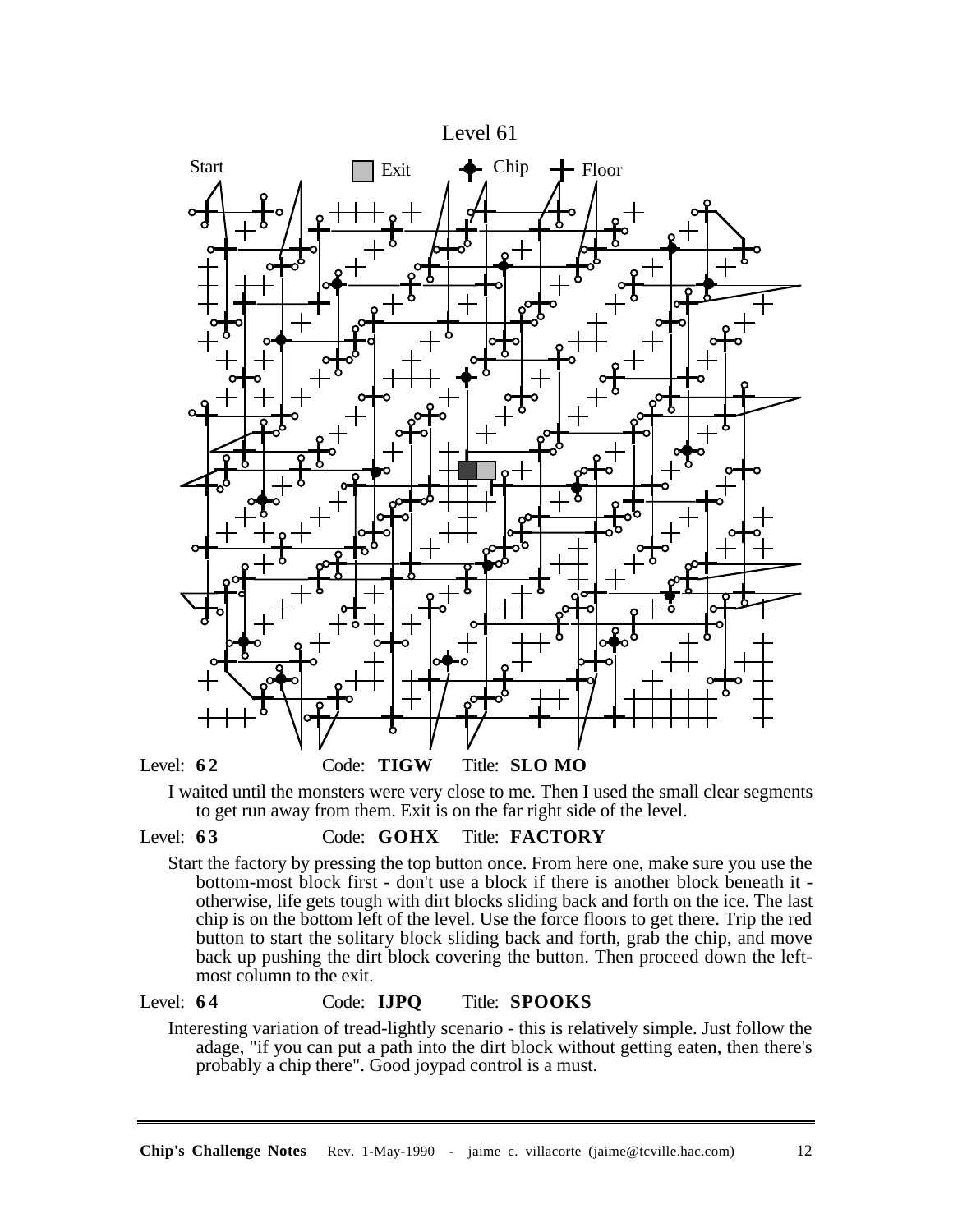

I waited until the monsters were very close to me. Then I used the small clear segments to get run away from them. Exit is on the far right side of the level.

#### Level: **6 3** Code: **GOHX** Title: **FACTORY**

Start the factory by pressing the top button once. From here one, make sure you use the bottom-most block first - don't use a block if there is another block beneath it otherwise, life gets tough with dirt blocks sliding back and forth on the ice. The last chip is on the bottom left of the level. Use the force floors to get there. Trip the red button to start the solitary block sliding back and forth, grab the chip, and move back up pushing the dirt block covering the button. Then proceed down the leftmost column to the exit.

# Level: **6 4** Code: **IJPQ** Title: **SPOOKS**

Interesting variation of tread-lightly scenario - this is relatively simple. Just follow the adage, "if you can put a path into the dirt block without getting eaten, then there's probably a chip there". Good joypad control is a must.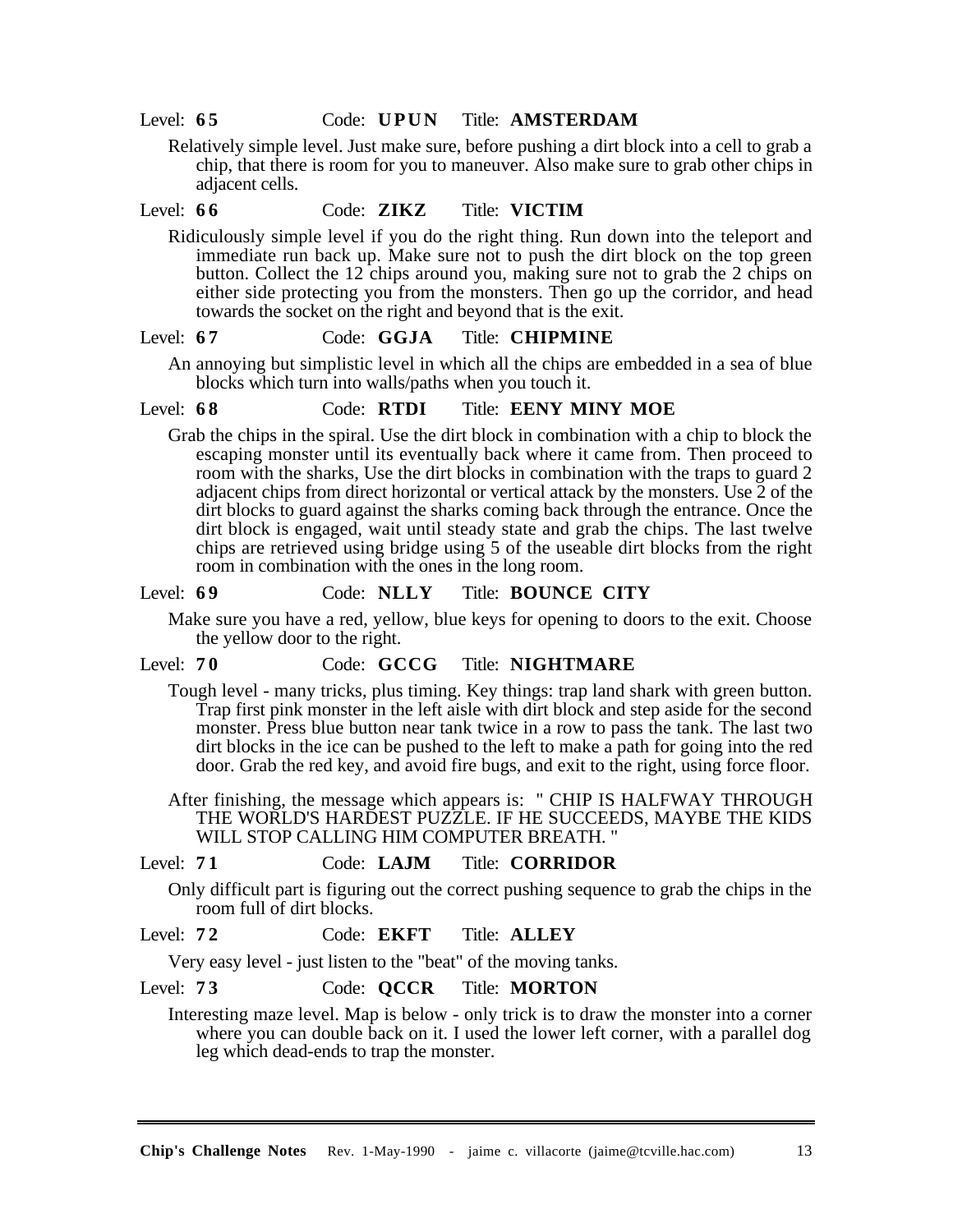Relatively simple level. Just make sure, before pushing a dirt block into a cell to grab a chip, that there is room for you to maneuver. Also make sure to grab other chips in adjacent cells.

## Level: **6 6** Code: **ZIKZ** Title: **VICTIM**

Ridiculously simple level if you do the right thing. Run down into the teleport and immediate run back up. Make sure not to push the dirt block on the top green button. Collect the 12 chips around you, making sure not to grab the 2 chips on either side protecting you from the monsters. Then go up the corridor, and head towards the socket on the right and beyond that is the exit.

## Level: **6 7** Code: **GGJA** Title: **CHIPMINE**

An annoying but simplistic level in which all the chips are embedded in a sea of blue blocks which turn into walls/paths when you touch it.

## Level: **6 8** Code: **RTDI** Title: **EENY MINY MOE**

Grab the chips in the spiral. Use the dirt block in combination with a chip to block the escaping monster until its eventually back where it came from. Then proceed to room with the sharks, Use the dirt blocks in combination with the traps to guard 2 adjacent chips from direct horizontal or vertical attack by the monsters. Use 2 of the dirt blocks to guard against the sharks coming back through the entrance. Once the dirt block is engaged, wait until steady state and grab the chips. The last twelve chips are retrieved using bridge using 5 of the useable dirt blocks from the right room in combination with the ones in the long room.

#### Level: **6 9** Code: **NLLY** Title: **BOUNCE CITY**

Make sure you have a red, yellow, blue keys for opening to doors to the exit. Choose the yellow door to the right.

#### Level: **7 0** Code: **GCCG** Title: **NIGHTMARE**

Tough level - many tricks, plus timing. Key things: trap land shark with green button. Trap first pink monster in the left aisle with dirt block and step aside for the second monster. Press blue button near tank twice in a row to pass the tank. The last two dirt blocks in the ice can be pushed to the left to make a path for going into the red door. Grab the red key, and avoid fire bugs, and exit to the right, using force floor.

After finishing, the message which appears is: " CHIP IS HALFWAY THROUGH THE WORLD'S HARDEST PUZZLE. IF HE SUCCEEDS, MAYBE THE KIDS WILL STOP CALLING HIM COMPUTER BREATH. "

## Level: **7 1** Code: **LAJM** Title: **CORRIDOR**

Only difficult part is figuring out the correct pushing sequence to grab the chips in the room full of dirt blocks.

# Level: **7 2** Code: **EKFT** Title: **ALLEY**

Very easy level - just listen to the "beat" of the moving tanks.

## Level: **7 3** Code: **QCCR** Title: **MORTON**

Interesting maze level. Map is below - only trick is to draw the monster into a corner where you can double back on it. I used the lower left corner, with a parallel dog leg which dead-ends to trap the monster.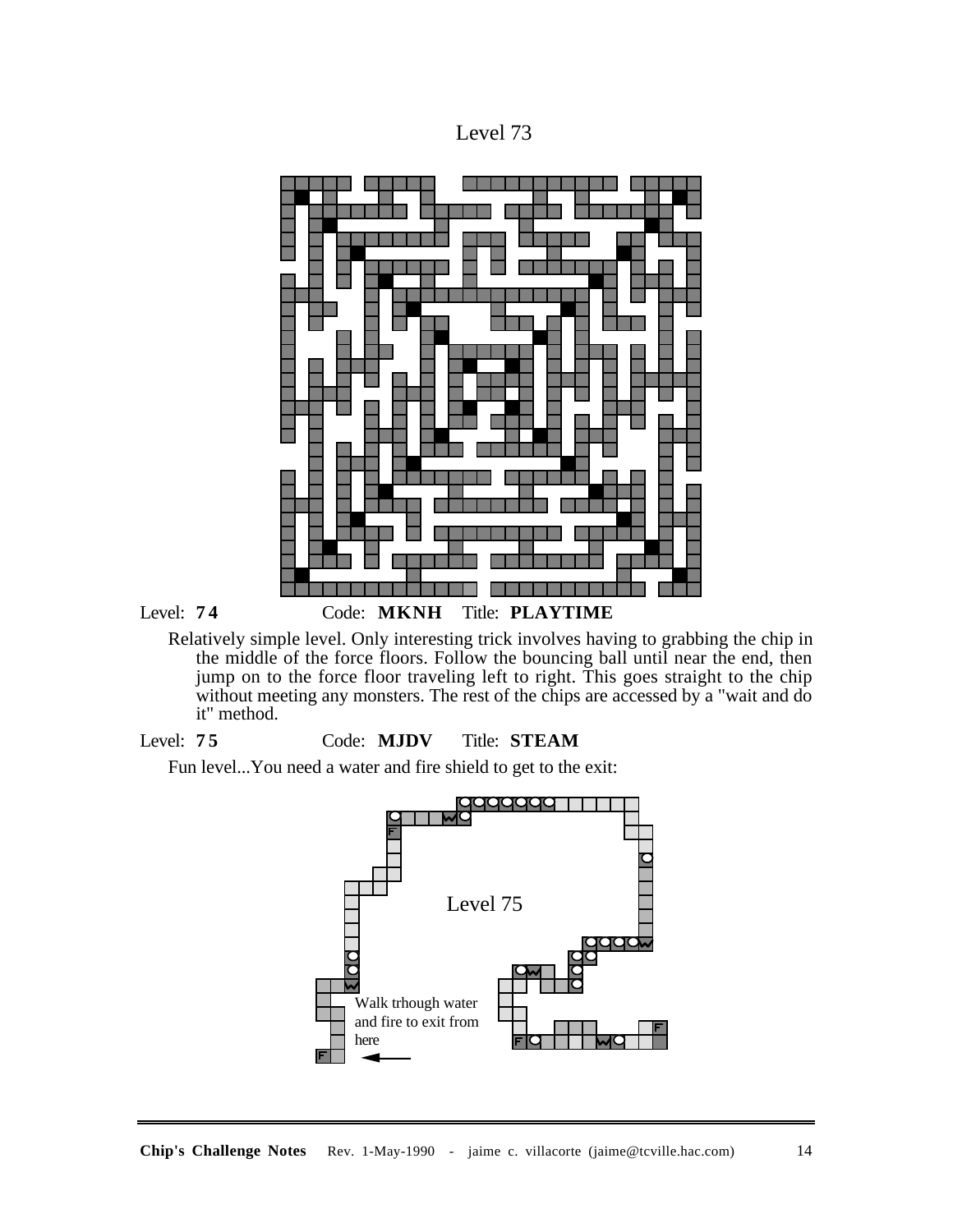



Relatively simple level. Only interesting trick involves having to grabbing the chip in the middle of the force floors. Follow the bouncing ball until near the end, then jump on to the force floor traveling left to right. This goes straight to the chip without meeting any monsters. The rest of the chips are accessed by a "wait and do it" method.



Fun level...You need a water and fire shield to get to the exit:

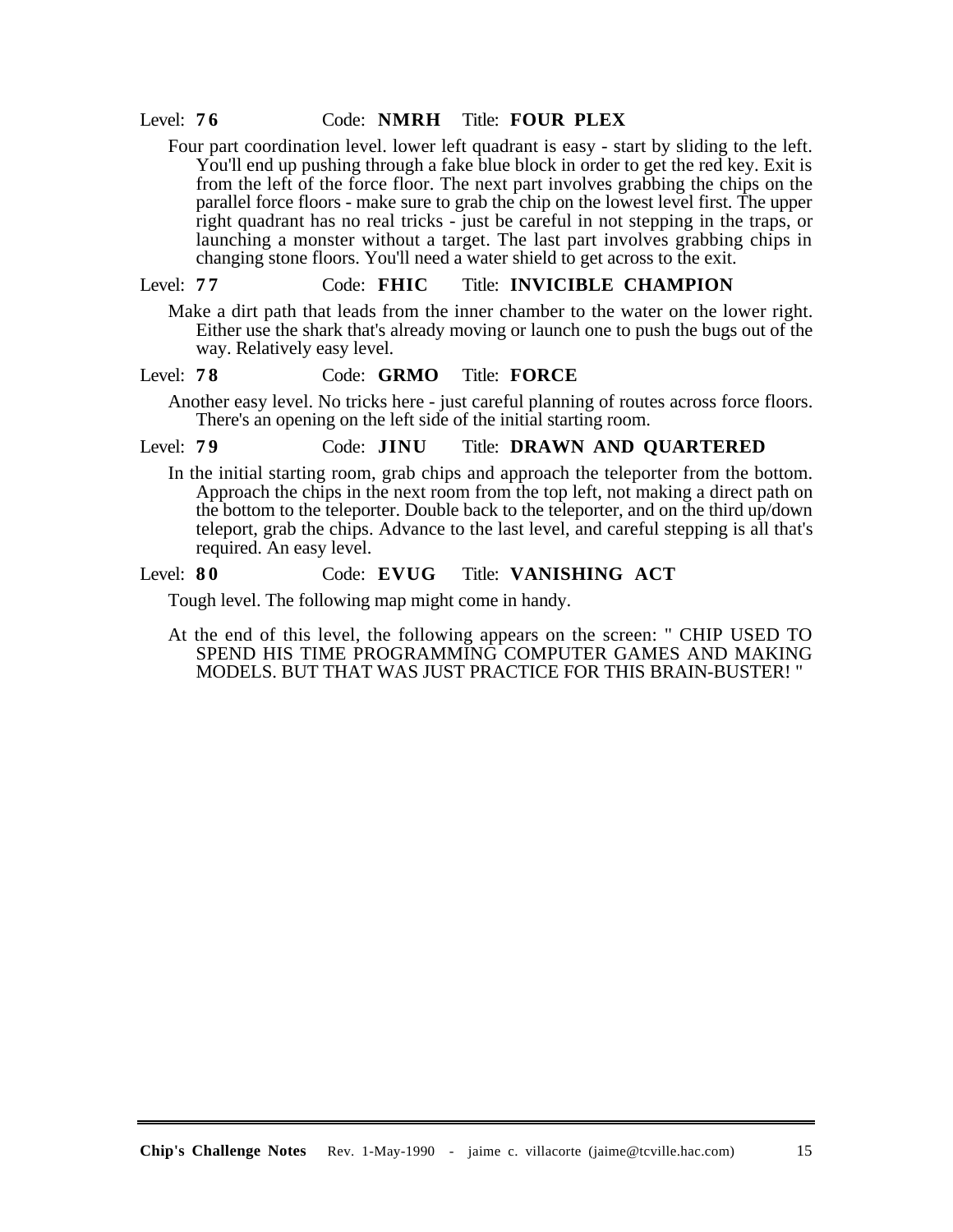## Level: **7 6** Code: **NMRH** Title: **FOUR PLEX**

Four part coordination level. lower left quadrant is easy - start by sliding to the left. You'll end up pushing through a fake blue block in order to get the red key. Exit is from the left of the force floor. The next part involves grabbing the chips on the parallel force floors - make sure to grab the chip on the lowest level first. The upper right quadrant has no real tricks - just be careful in not stepping in the traps, or launching a monster without a target. The last part involves grabbing chips in changing stone floors. You'll need a water shield to get across to the exit.

#### Level: **7 7** Code: **FHIC** Title: **INVICIBLE CHAMPION**

Make a dirt path that leads from the inner chamber to the water on the lower right. Either use the shark that's already moving or launch one to push the bugs out of the way. Relatively easy level.

#### Level: **7 8** Code: **GRMO** Title: **FORCE**

Another easy level. No tricks here - just careful planning of routes across force floors. There's an opening on the left side of the initial starting room.

### Level: **7 9** Code: **JINU** Title: **DRAWN AND QUARTERED**

In the initial starting room, grab chips and approach the teleporter from the bottom. Approach the chips in the next room from the top left, not making a direct path on the bottom to the teleporter. Double back to the teleporter, and on the third up/down teleport, grab the chips. Advance to the last level, and careful stepping is all that's required. An easy level.

# Level: **8 0** Code: **EVUG** Title: **VANISHING ACT**

Tough level. The following map might come in handy.

At the end of this level, the following appears on the screen: " CHIP USED TO SPEND HIS TIME PROGRAMMING COMPUTER GAMES AND MAKING MODELS. BUT THAT WAS JUST PRACTICE FOR THIS BRAIN-BUSTER! "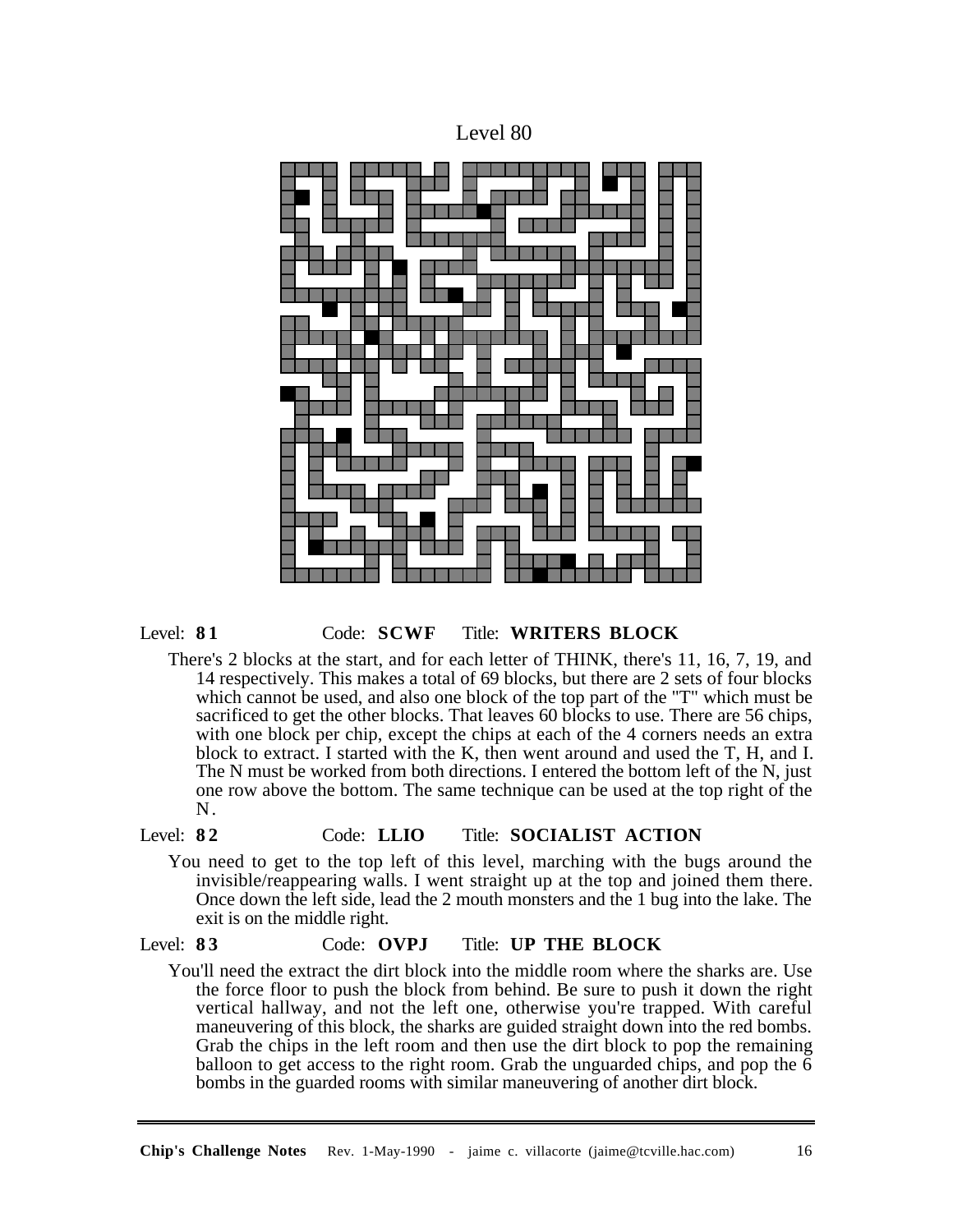



## Level: **8 1** Code: **SCWF** Title: **WRITERS BLOCK**

There's 2 blocks at the start, and for each letter of THINK, there's 11, 16, 7, 19, and 14 respectively. This makes a total of 69 blocks, but there are 2 sets of four blocks which cannot be used, and also one block of the top part of the "T" which must be sacrificed to get the other blocks. That leaves 60 blocks to use. There are 56 chips, with one block per chip, except the chips at each of the 4 corners needs an extra block to extract. I started with the K, then went around and used the T, H, and I. The N must be worked from both directions. I entered the bottom left of the N, just one row above the bottom. The same technique can be used at the top right of the N.

## Level: **8 2** Code: **LLIO** Title: **SOCIALIST ACTION**

You need to get to the top left of this level, marching with the bugs around the invisible/reappearing walls. I went straight up at the top and joined them there. Once down the left side, lead the 2 mouth monsters and the 1 bug into the lake. The exit is on the middle right.

## Level: **8 3** Code: **OVPJ** Title: **UP THE BLOCK**

You'll need the extract the dirt block into the middle room where the sharks are. Use the force floor to push the block from behind. Be sure to push it down the right vertical hallway, and not the left one, otherwise you're trapped. With careful maneuvering of this block, the sharks are guided straight down into the red bombs. Grab the chips in the left room and then use the dirt block to pop the remaining balloon to get access to the right room. Grab the unguarded chips, and pop the 6 bombs in the guarded rooms with similar maneuvering of another dirt block.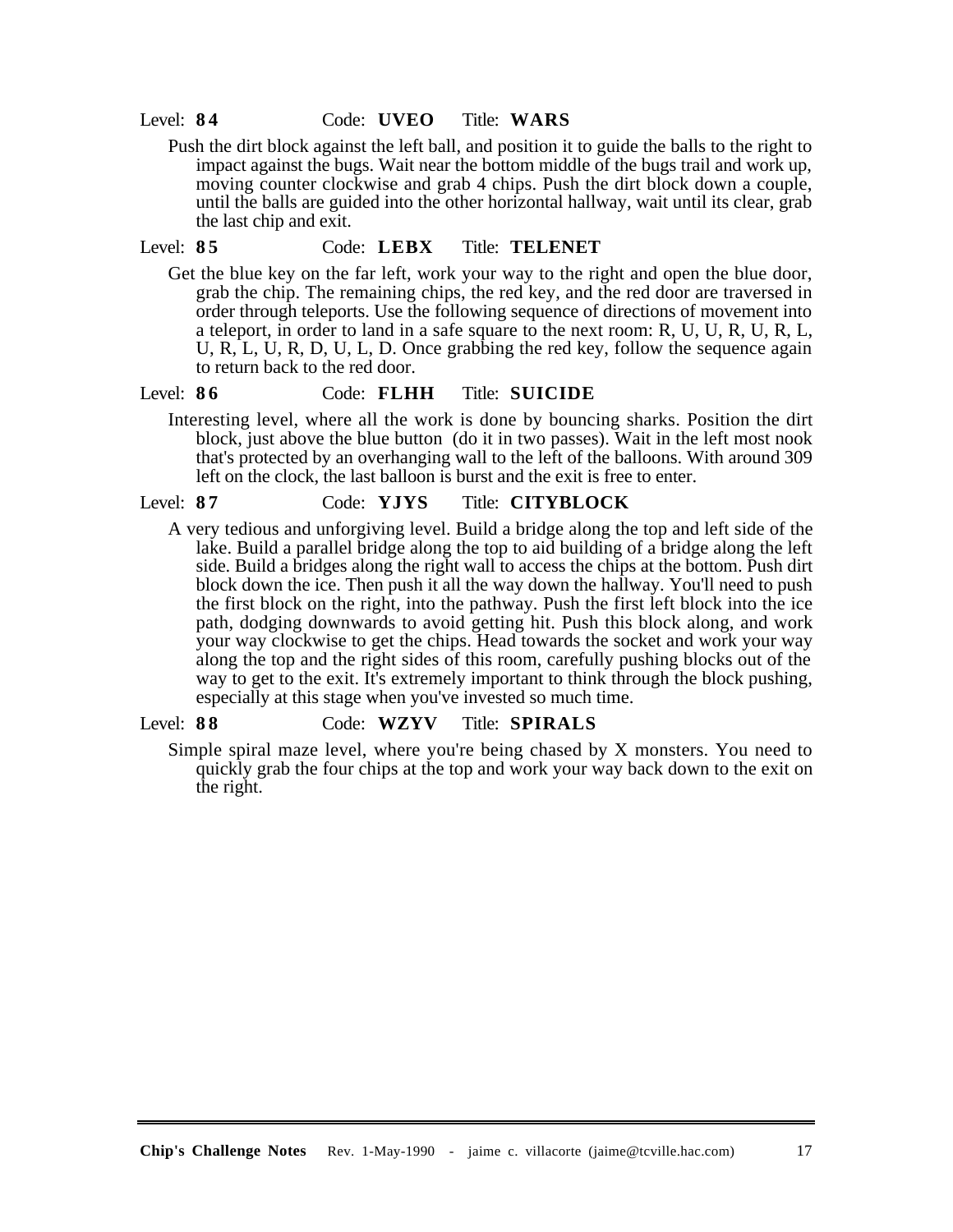#### Level: **8 4** Code: **UVEO** Title: **WARS**

Push the dirt block against the left ball, and position it to guide the balls to the right to impact against the bugs. Wait near the bottom middle of the bugs trail and work up, moving counter clockwise and grab 4 chips. Push the dirt block down a couple, until the balls are guided into the other horizontal hallway, wait until its clear, grab the last chip and exit.

#### Level: **8 5** Code: **LEBX** Title: **TELENET**

Get the blue key on the far left, work your way to the right and open the blue door, grab the chip. The remaining chips, the red key, and the red door are traversed in order through teleports. Use the following sequence of directions of movement into a teleport, in order to land in a safe square to the next room: R, U, U, R, U, R, L, U, R, L, U, R, D, U, L, D. Once grabbing the red key, follow the sequence again to return back to the red door.

## Level: **8 6** Code: **FLHH** Title: **SUICIDE**

Interesting level, where all the work is done by bouncing sharks. Position the dirt block, just above the blue button (do it in two passes). Wait in the left most nook that's protected by an overhanging wall to the left of the balloons. With around 309 left on the clock, the last balloon is burst and the exit is free to enter.

#### Level: **8 7** Code: **YJYS** Title: **CITYBLOCK**

A very tedious and unforgiving level. Build a bridge along the top and left side of the lake. Build a parallel bridge along the top to aid building of a bridge along the left side. Build a bridges along the right wall to access the chips at the bottom. Push dirt block down the ice. Then push it all the way down the hallway. You'll need to push the first block on the right, into the pathway. Push the first left block into the ice path, dodging downwards to avoid getting hit. Push this block along, and work your way clockwise to get the chips. Head towards the socket and work your way along the top and the right sides of this room, carefully pushing blocks out of the way to get to the exit. It's extremely important to think through the block pushing, especially at this stage when you've invested so much time.

## Level: **8 8** Code: **WZYV** Title: **SPIRALS**

Simple spiral maze level, where you're being chased by X monsters. You need to quickly grab the four chips at the top and work your way back down to the exit on the right.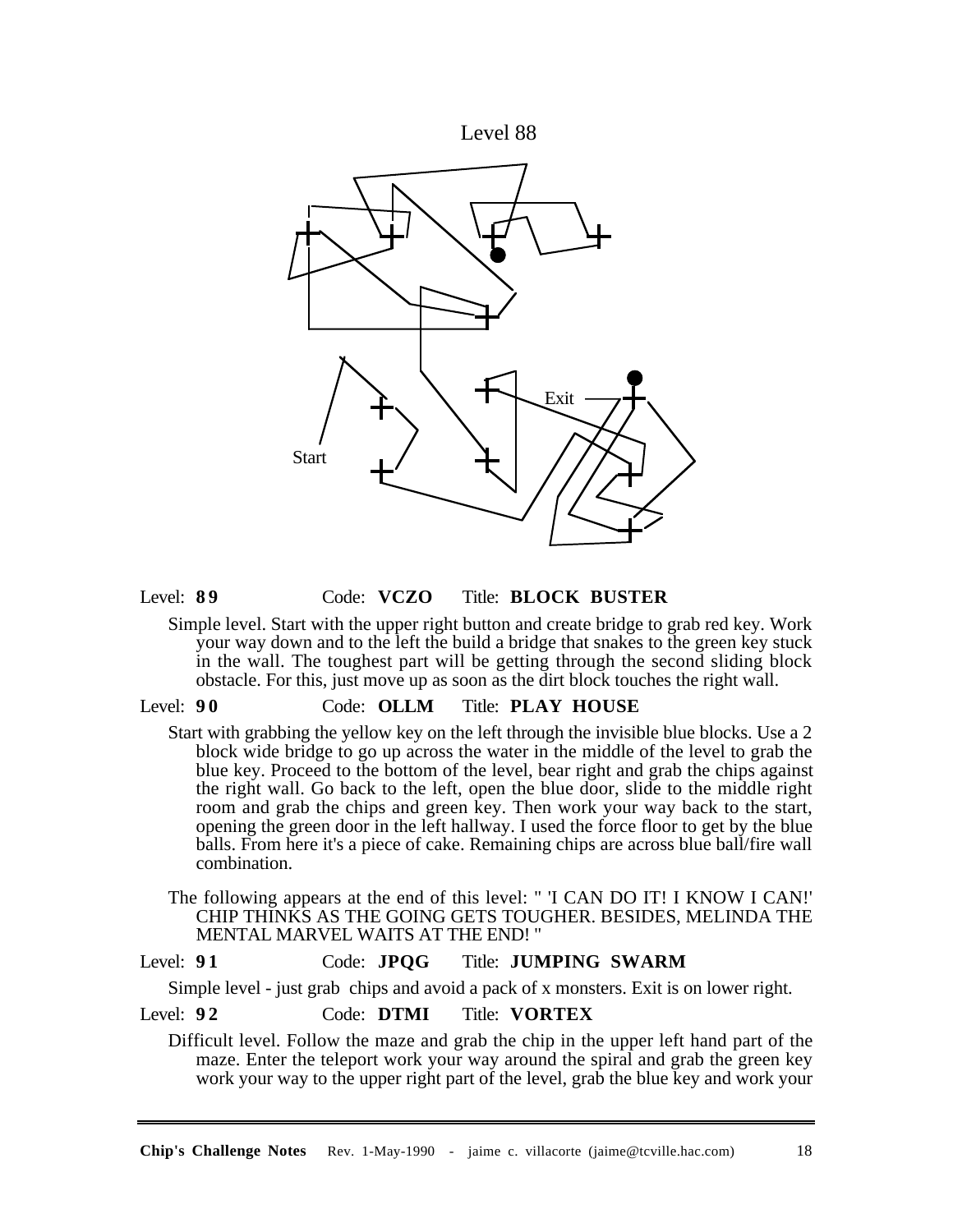



#### Level: **8 9** Code: **VCZO** Title: **BLOCK BUSTER**

Simple level. Start with the upper right button and create bridge to grab red key. Work your way down and to the left the build a bridge that snakes to the green key stuck in the wall. The toughest part will be getting through the second sliding block obstacle. For this, just move up as soon as the dirt block touches the right wall.

#### Level: **9 0** Code: **OLLM** Title: **PLAY HOUSE**

Start with grabbing the yellow key on the left through the invisible blue blocks. Use a 2 block wide bridge to go up across the water in the middle of the level to grab the blue key. Proceed to the bottom of the level, bear right and grab the chips against the right wall. Go back to the left, open the blue door, slide to the middle right room and grab the chips and green key. Then work your way back to the start, opening the green door in the left hallway. I used the force floor to get by the blue balls. From here it's a piece of cake. Remaining chips are across blue ball/fire wall combination.

The following appears at the end of this level: " 'I CAN DO IT! I KNOW I CAN!' CHIP THINKS AS THE GOING GETS TOUGHER. BESIDES, MELINDA THE MENTAL MARVEL WAITS AT THE END! "

# Level: **9 1** Code: **JPQG** Title: **JUMPING SWARM**

Simple level - just grab chips and avoid a pack of x monsters. Exit is on lower right.

## Level: **9 2** Code: **DTMI** Title: **VORTEX**

Difficult level. Follow the maze and grab the chip in the upper left hand part of the maze. Enter the teleport work your way around the spiral and grab the green key work your way to the upper right part of the level, grab the blue key and work your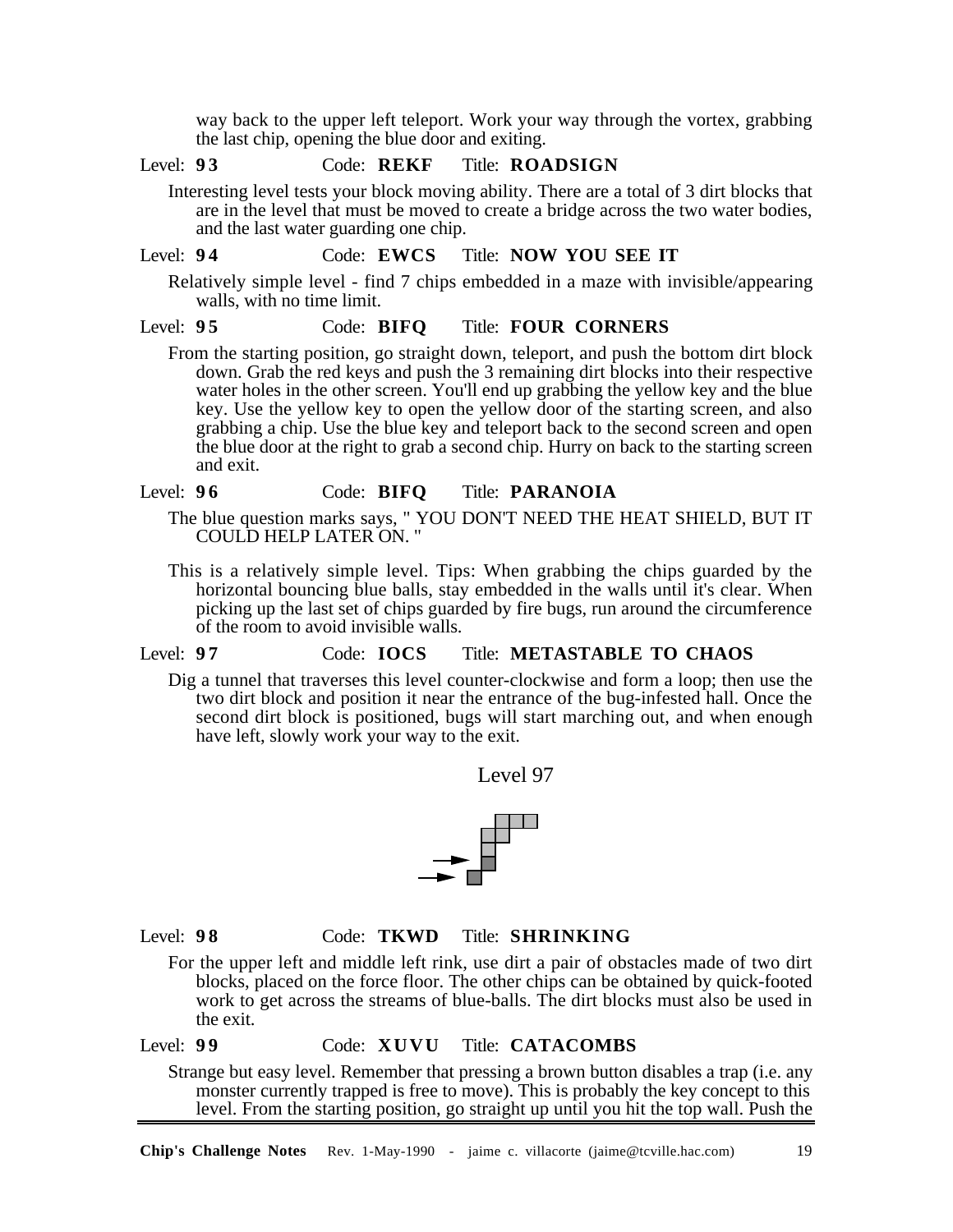way back to the upper left teleport. Work your way through the vortex, grabbing the last chip, opening the blue door and exiting.

## Level: **9 3** Code: **REKF** Title: **ROADSIGN**

Interesting level tests your block moving ability. There are a total of 3 dirt blocks that are in the level that must be moved to create a bridge across the two water bodies, and the last water guarding one chip.

## Level: **9 4** Code: **EWCS** Title: **NOW YOU SEE IT**

Relatively simple level - find 7 chips embedded in a maze with invisible/appearing walls, with no time limit.

#### Level: **9 5** Code: **BIFQ** Title: **FOUR CORNERS**

From the starting position, go straight down, teleport, and push the bottom dirt block down. Grab the red keys and push the 3 remaining dirt blocks into their respective water holes in the other screen. You'll end up grabbing the yellow key and the blue key. Use the yellow key to open the yellow door of the starting screen, and also grabbing a chip. Use the blue key and teleport back to the second screen and open the blue door at the right to grab a second chip. Hurry on back to the starting screen and exit.

#### Level: **9 6** Code: **BIFQ** Title: **PARANOIA**

- The blue question marks says, " YOU DON'T NEED THE HEAT SHIELD, BUT IT COULD HELP LATER ON. "
- This is a relatively simple level. Tips: When grabbing the chips guarded by the horizontal bouncing blue balls, stay embedded in the walls until it's clear. When picking up the last set of chips guarded by fire bugs, run around the circumference of the room to avoid invisible walls.

## Level: **9 7** Code: **IOCS** Title: **METASTABLE TO CHAOS**

Dig a tunnel that traverses this level counter-clockwise and form a loop; then use the two dirt block and position it near the entrance of the bug-infested hall. Once the second dirt block is positioned, bugs will start marching out, and when enough have left, slowly work your way to the exit.

Level 97



## Level: **9 8** Code: **TKWD** Title: **SHRINKING**

For the upper left and middle left rink, use dirt a pair of obstacles made of two dirt blocks, placed on the force floor. The other chips can be obtained by quick-footed work to get across the streams of blue-balls. The dirt blocks must also be used in the exit.

## Level: **9 9** Code: **XUVU** Title: **CATACOMBS**

Strange but easy level. Remember that pressing a brown button disables a trap (i.e. any monster currently trapped is free to move). This is probably the key concept to this level. From the starting position, go straight up until you hit the top wall. Push the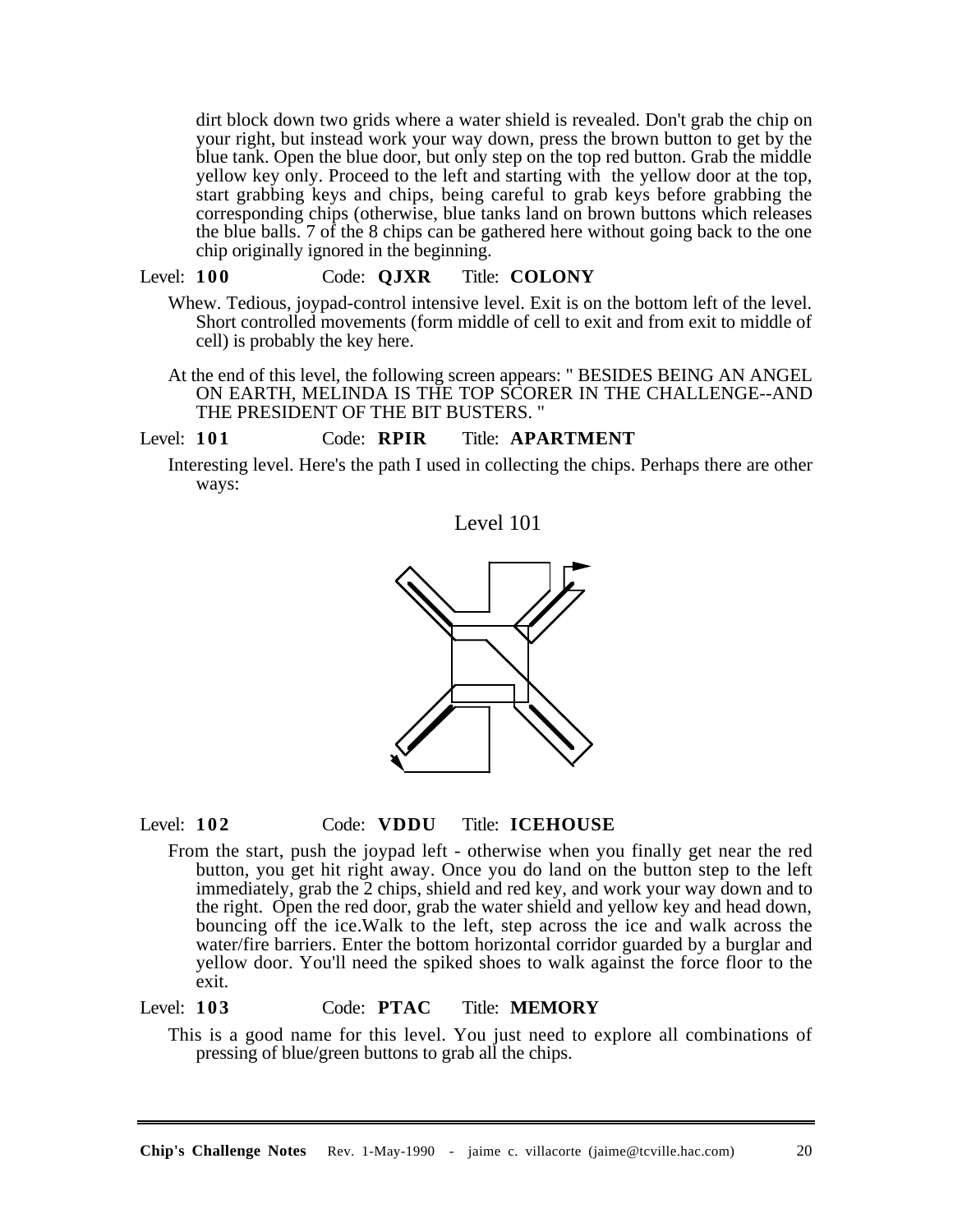dirt block down two grids where a water shield is revealed. Don't grab the chip on your right, but instead work your way down, press the brown button to get by the blue tank. Open the blue door, but only step on the top red button. Grab the middle yellow key only. Proceed to the left and starting with the yellow door at the top, start grabbing keys and chips, being careful to grab keys before grabbing the corresponding chips (otherwise, blue tanks land on brown buttons which releases the blue balls. 7 of the 8 chips can be gathered here without going back to the one chip originally ignored in the beginning.

### Level: **100** Code: **QJXR** Title: **COLONY**

- Whew. Tedious, joypad-control intensive level. Exit is on the bottom left of the level. Short controlled movements (form middle of cell to exit and from exit to middle of cell) is probably the key here.
	- At the end of this level, the following screen appears: " BESIDES BEING AN ANGEL ON EARTH, MELINDA IS THE TOP SCORER IN THE CHALLENGE--AND THE PRESIDENT OF THE BIT BUSTERS. "

## Level: **101** Code: **RPIR** Title: **APARTMENT**

Interesting level. Here's the path I used in collecting the chips. Perhaps there are other ways:





#### Level: **102** Code: **VDDU** Title: **ICEHOUSE**

From the start, push the joypad left - otherwise when you finally get near the red button, you get hit right away. Once you do land on the button step to the left immediately, grab the 2 chips, shield and red key, and work your way down and to the right. Open the red door, grab the water shield and yellow key and head down, bouncing off the ice.Walk to the left, step across the ice and walk across the water/fire barriers. Enter the bottom horizontal corridor guarded by a burglar and yellow door. You'll need the spiked shoes to walk against the force floor to the exit.

#### Level: **103** Code: **PTAC** Title: **MEMORY**

This is a good name for this level. You just need to explore all combinations of pressing of blue/green buttons to grab all the chips.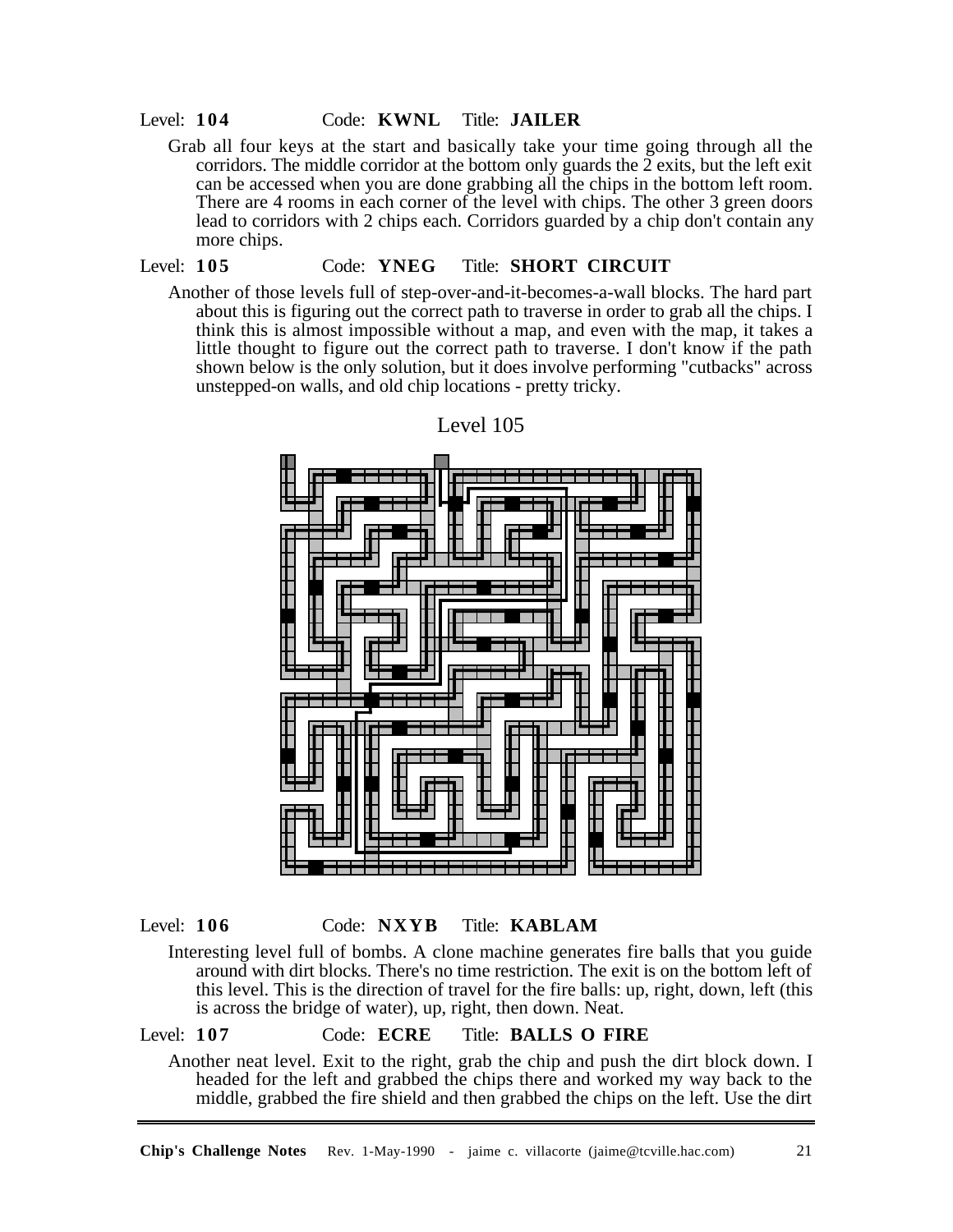#### Level: **104** Code: **KWNL** Title: **JAILER**

Grab all four keys at the start and basically take your time going through all the corridors. The middle corridor at the bottom only guards the  $\tilde{2}$  exits, but the left exit can be accessed when you are done grabbing all the chips in the bottom left room. There are 4 rooms in each corner of the level with chips. The other 3 green doors lead to corridors with 2 chips each. Corridors guarded by a chip don't contain any more chips.

# Level: **105** Code: **YNEG** Title: **SHORT CIRCUIT**

Another of those levels full of step-over-and-it-becomes-a-wall blocks. The hard part about this is figuring out the correct path to traverse in order to grab all the chips. I think this is almost impossible without a map, and even with the map, it takes a little thought to figure out the correct path to traverse. I don't know if the path shown below is the only solution, but it does involve performing "cutbacks" across unstepped-on walls, and old chip locations - pretty tricky.



Level 105

Level: **106** Code: **NXYB** Title: **KABLAM**

Interesting level full of bombs. A clone machine generates fire balls that you guide around with dirt blocks. There's no time restriction. The exit is on the bottom left of this level. This is the direction of travel for the fire balls: up, right, down, left (this is across the bridge of water), up, right, then down. Neat.

## Level: **107** Code: **ECRE** Title: **BALLS O FIRE**

Another neat level. Exit to the right, grab the chip and push the dirt block down. I headed for the left and grabbed the chips there and worked my way back to the middle, grabbed the fire shield and then grabbed the chips on the left. Use the dirt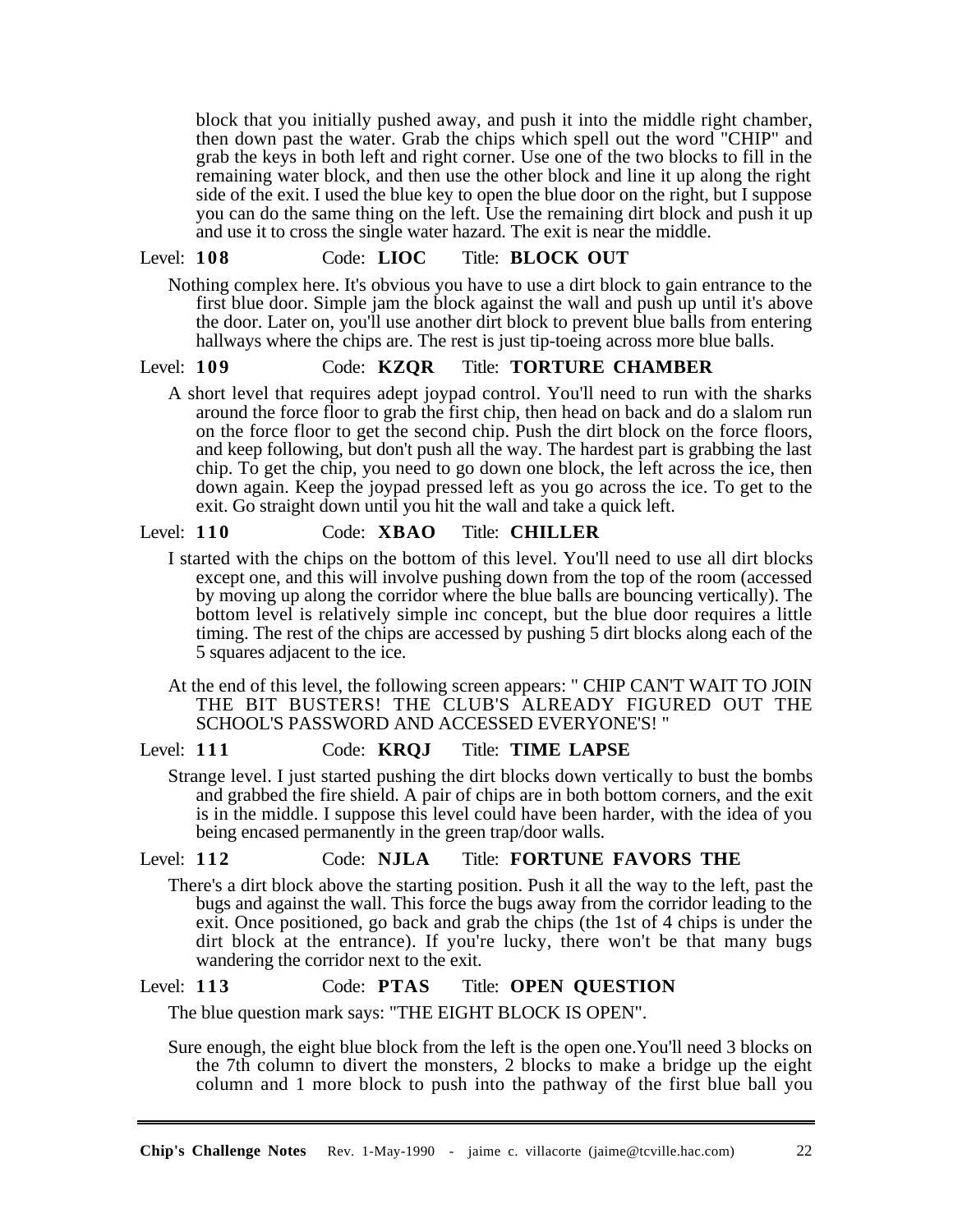block that you initially pushed away, and push it into the middle right chamber, then down past the water. Grab the chips which spell out the word "CHIP" and grab the keys in both left and right corner. Use one of the two blocks to fill in the remaining water block, and then use the other block and line it up along the right side of the exit. I used the blue key to open the blue door on the right, but I suppose you can do the same thing on the left. Use the remaining dirt block and push it up and use it to cross the single water hazard. The exit is near the middle.

## Level: **108** Code: **LIOC** Title: **BLOCK OUT**

Nothing complex here. It's obvious you have to use a dirt block to gain entrance to the first blue door. Simple jam the block against the wall and push up until it's above the door. Later on, you'll use another dirt block to prevent blue balls from entering hallways where the chips are. The rest is just tip-toeing across more blue balls.

#### Level: **109** Code: **KZQR** Title: **TORTURE CHAMBER**

A short level that requires adept joypad control. You'll need to run with the sharks around the force floor to grab the first chip, then head on back and do a slalom run on the force floor to get the second chip. Push the dirt block on the force floors, and keep following, but don't push all the way. The hardest part is grabbing the last chip. To get the chip, you need to go down one block, the left across the ice, then down again. Keep the joypad pressed left as you go across the ice. To get to the exit. Go straight down until you hit the wall and take a quick left.

#### Level: **110** Code: **XBAO** Title: **CHILLER**

I started with the chips on the bottom of this level. You'll need to use all dirt blocks except one, and this will involve pushing down from the top of the room (accessed by moving up along the corridor where the blue balls are bouncing vertically). The bottom level is relatively simple inc concept, but the blue door requires a little timing. The rest of the chips are accessed by pushing 5 dirt blocks along each of the 5 squares adjacent to the ice.

At the end of this level, the following screen appears: " CHIP CAN'T WAIT TO JOIN THE BIT BUSTERS! THE CLUB'S ALREADY FIGURED OUT THE SCHOOL'S PASSWORD AND ACCESSED EVERYONE'S! "

#### Level: **111** Code: **KRQJ** Title: **TIME LAPSE**

Strange level. I just started pushing the dirt blocks down vertically to bust the bombs and grabbed the fire shield. A pair of chips are in both bottom corners, and the exit is in the middle. I suppose this level could have been harder, with the idea of you being encased permanently in the green trap/door walls.

#### Level: **112** Code: **NJLA** Title: **FORTUNE FAVORS THE**

There's a dirt block above the starting position. Push it all the way to the left, past the bugs and against the wall. This force the bugs away from the corridor leading to the exit. Once positioned, go back and grab the chips (the 1st of 4 chips is under the dirt block at the entrance). If you're lucky, there won't be that many bugs wandering the corridor next to the exit.

## Level: **113** Code: **PTAS** Title: **OPEN QUESTION**

The blue question mark says: "THE EIGHT BLOCK IS OPEN".

Sure enough, the eight blue block from the left is the open one.You'll need 3 blocks on the 7th column to divert the monsters, 2 blocks to make a bridge up the eight column and 1 more block to push into the pathway of the first blue ball you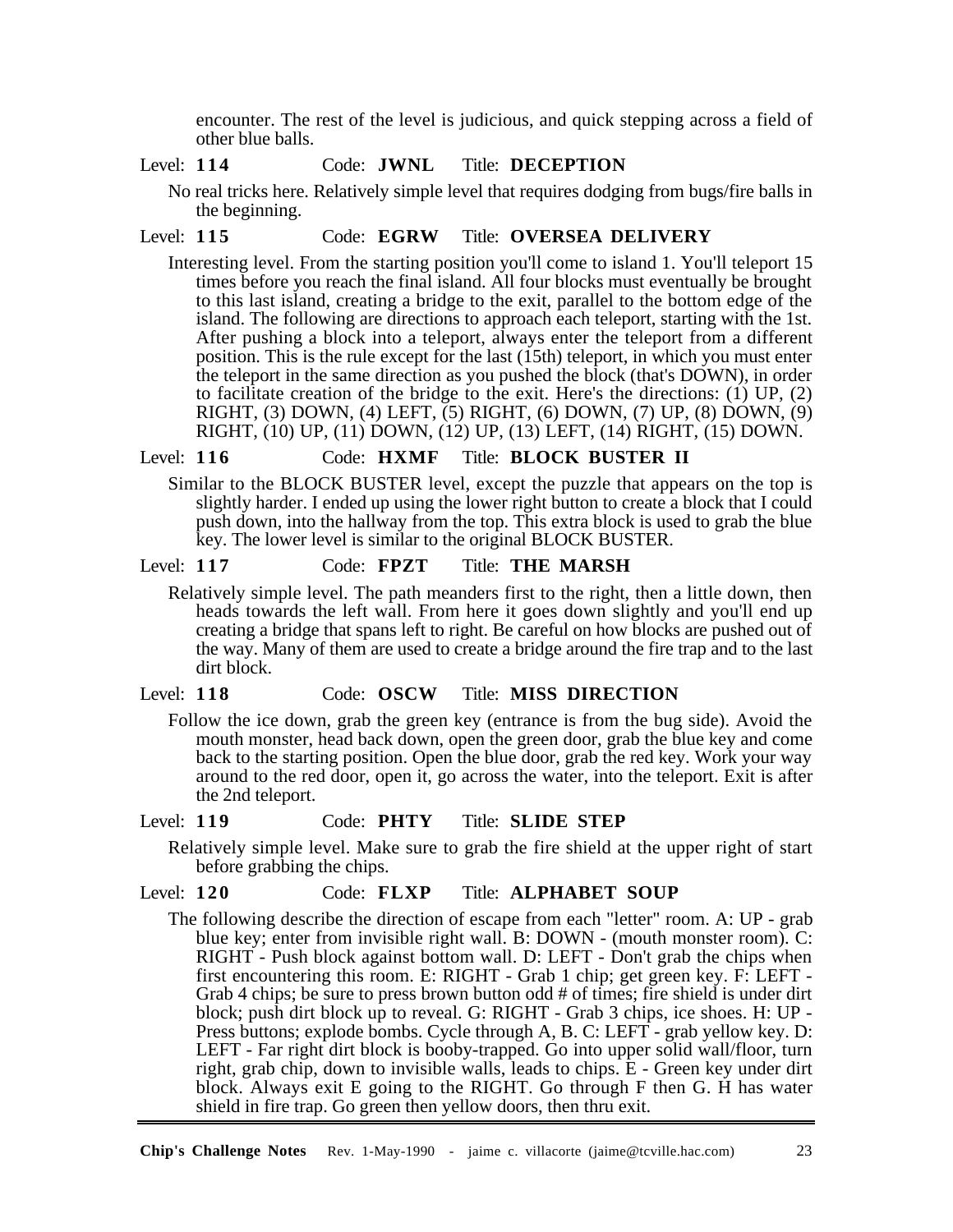encounter. The rest of the level is judicious, and quick stepping across a field of other blue balls.

# Level: **114** Code: **JWNL** Title: **DECEPTION**

No real tricks here. Relatively simple level that requires dodging from bugs/fire balls in the beginning.

## Level: **115** Code: **EGRW** Title: **OVERSEA DELIVERY**

Interesting level. From the starting position you'll come to island 1. You'll teleport 15 times before you reach the final island. All four blocks must eventually be brought to this last island, creating a bridge to the exit, parallel to the bottom edge of the island. The following are directions to approach each teleport, starting with the 1st. After pushing a block into a teleport, always enter the teleport from a different position. This is the rule except for the last (15th) teleport, in which you must enter the teleport in the same direction as you pushed the block (that's DOWN), in order to facilitate creation of the bridge to the exit. Here's the directions:  $(1)$  UP,  $(2)$ RIGHT, (3) DOWN, (4) LEFT, (5) RIGHT, (6) DOWN, (7) UP, (8) DOWN, (9) RIGHT, (10) UP, (11) DOWN, (12) UP, (13) LEFT, (14) RIGHT, (15) DOWN.

## Level: **116** Code: **HXMF** Title: **BLOCK BUSTER II**

Similar to the BLOCK BUSTER level, except the puzzle that appears on the top is slightly harder. I ended up using the lower right button to create a block that I could push down, into the hallway from the top. This extra block is used to grab the blue key. The lower level is similar to the original BLOCK BUSTER.

#### Level: **117** Code: **FPZT** Title: **THE MARSH**

Relatively simple level. The path meanders first to the right, then a little down, then heads towards the left wall. From here it goes down slightly and you'll end up creating a bridge that spans left to right. Be careful on how blocks are pushed out of the way. Many of them are used to create a bridge around the fire trap and to the last dirt block.

## Level: **118** Code: **OSCW** Title: **MISS DIRECTION**

Follow the ice down, grab the green key (entrance is from the bug side). Avoid the mouth monster, head back down, open the green door, grab the blue key and come back to the starting position. Open the blue door, grab the red key. Work your way around to the red door, open it, go across the water, into the teleport. Exit is after the 2nd teleport.

#### Level: **119** Code: **PHTY** Title: **SLIDE STEP**

Relatively simple level. Make sure to grab the fire shield at the upper right of start before grabbing the chips.

#### Level: **120** Code: **FLXP** Title: **ALPHABET SOUP**

The following describe the direction of escape from each "letter" room. A: UP - grab blue key; enter from invisible right wall. B: DOWN - (mouth monster room). C: RIGHT - Push block against bottom wall. D: LEFT - Don't grab the chips when first encountering this room. E: RIGHT - Grab 1 chip; get green key. F: LEFT - Grab 4 chips; be sure to press brown button odd # of times; fire shield is under dirt block; push dirt block up to reveal. G: RIGHT - Grab 3 chips, ice shoes. H: UP - Press buttons; explode bombs. Cycle through A, B. C: LEFT - grab yellow key. D: LEFT - Far right dirt block is booby-trapped. Go into upper solid wall/floor, turn right, grab chip, down to invisible walls, leads to chips. E - Green key under dirt block. Always exit E going to the RIGHT. Go through F then G. H has water shield in fire trap. Go green then yellow doors, then thru exit.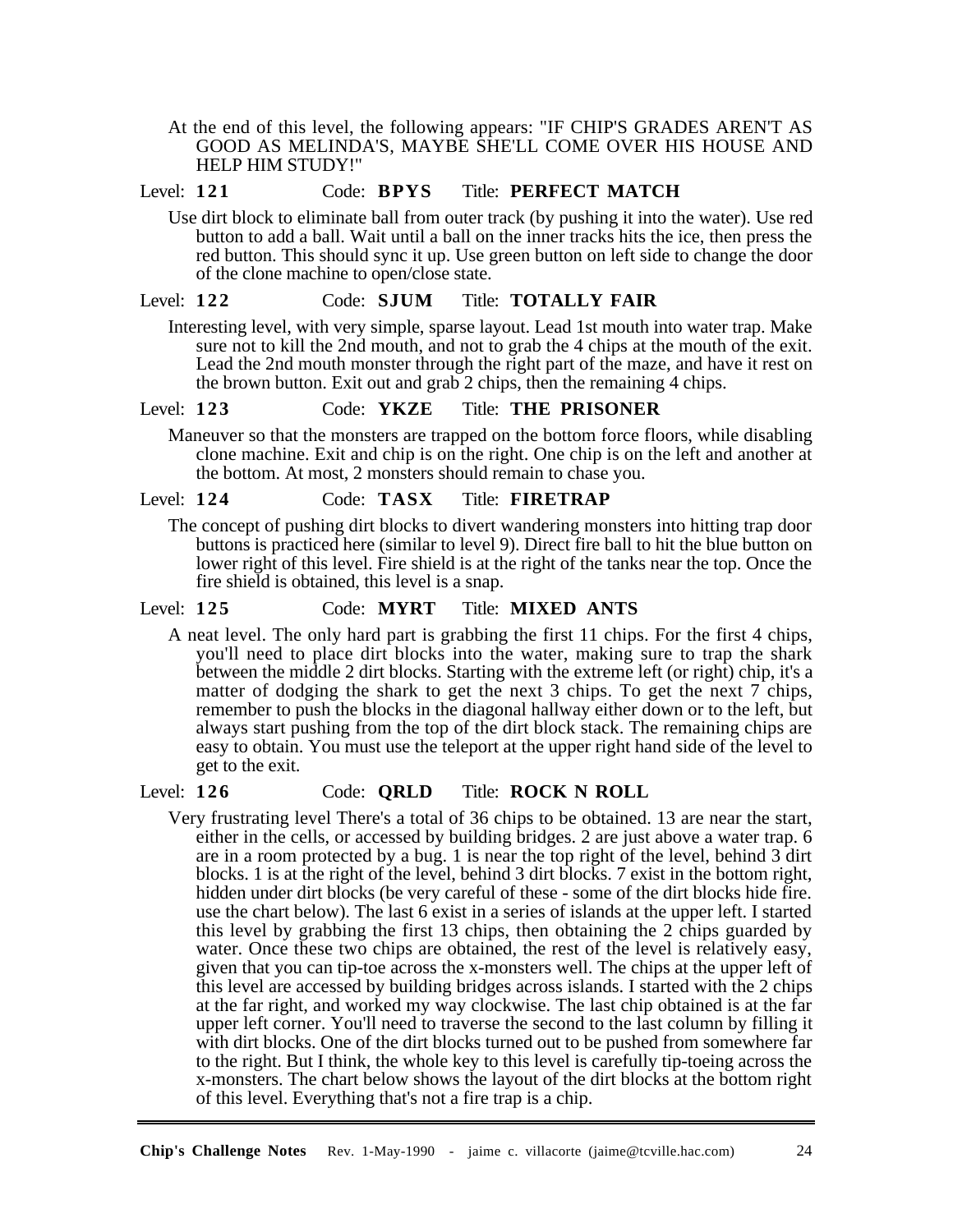At the end of this level, the following appears: "IF CHIP'S GRADES AREN'T AS GOOD AS MELINDA'S, MAYBE SHE'LL COME OVER HIS HOUSE AND HELP HIM STUDY!"

## Level: **121** Code: **BPYS** Title: **PERFECT MATCH**

Use dirt block to eliminate ball from outer track (by pushing it into the water). Use red button to add a ball. Wait until a ball on the inner tracks hits the ice, then press the red button. This should sync it up. Use green button on left side to change the door of the clone machine to open/close state.

#### Level: **122** Code: **SJUM** Title: **TOTALLY FAIR**

Interesting level, with very simple, sparse layout. Lead 1st mouth into water trap. Make sure not to kill the 2nd mouth, and not to grab the 4 chips at the mouth of the exit. Lead the 2nd mouth monster through the right part of the maze, and have it rest on the brown button. Exit out and grab 2 chips, then the remaining 4 chips.

## Level: **123** Code: **YKZE** Title: **THE PRISONER**

Maneuver so that the monsters are trapped on the bottom force floors, while disabling clone machine. Exit and chip is on the right. One chip is on the left and another at the bottom. At most, 2 monsters should remain to chase you.

#### Level: **124** Code: **TASX** Title: **FIRETRAP**

The concept of pushing dirt blocks to divert wandering monsters into hitting trap door buttons is practiced here (similar to level 9). Direct fire ball to hit the blue button on lower right of this level. Fire shield is at the right of the tanks near the top. Once the fire shield is obtained, this level is a snap.

## Level: **125** Code: **MYRT** Title: **MIXED ANTS**

A neat level. The only hard part is grabbing the first 11 chips. For the first 4 chips, you'll need to place dirt blocks into the water, making sure to trap the shark between the middle 2 dirt blocks. Starting with the extreme left (or right) chip, it's a matter of dodging the shark to get the next 3 chips. To get the next 7 chips, remember to push the blocks in the diagonal hallway either down or to the left, but always start pushing from the top of the dirt block stack. The remaining chips are easy to obtain. You must use the teleport at the upper right hand side of the level to get to the exit.

#### Level: **126** Code: **QRLD** Title: **ROCK N ROLL**

Very frustrating level There's a total of 36 chips to be obtained. 13 are near the start, either in the cells, or accessed by building bridges. 2 are just above a water trap. 6 are in a room protected by a bug. 1 is near the top right of the level, behind 3 dirt blocks. 1 is at the right of the level, behind 3 dirt blocks. 7 exist in the bottom right, hidden under dirt blocks (be very careful of these - some of the dirt blocks hide fire. use the chart below). The last 6 exist in a series of islands at the upper left. I started this level by grabbing the first 13 chips, then obtaining the 2 chips guarded by water. Once these two chips are obtained, the rest of the level is relatively easy, given that you can tip-toe across the x-monsters well. The chips at the upper left of this level are accessed by building bridges across islands. I started with the 2 chips at the far right, and worked my way clockwise. The last chip obtained is at the far upper left corner. You'll need to traverse the second to the last column by filling it with dirt blocks. One of the dirt blocks turned out to be pushed from somewhere far to the right. But I think, the whole key to this level is carefully tip-toeing across the x-monsters. The chart below shows the layout of the dirt blocks at the bottom right of this level. Everything that's not a fire trap is a chip.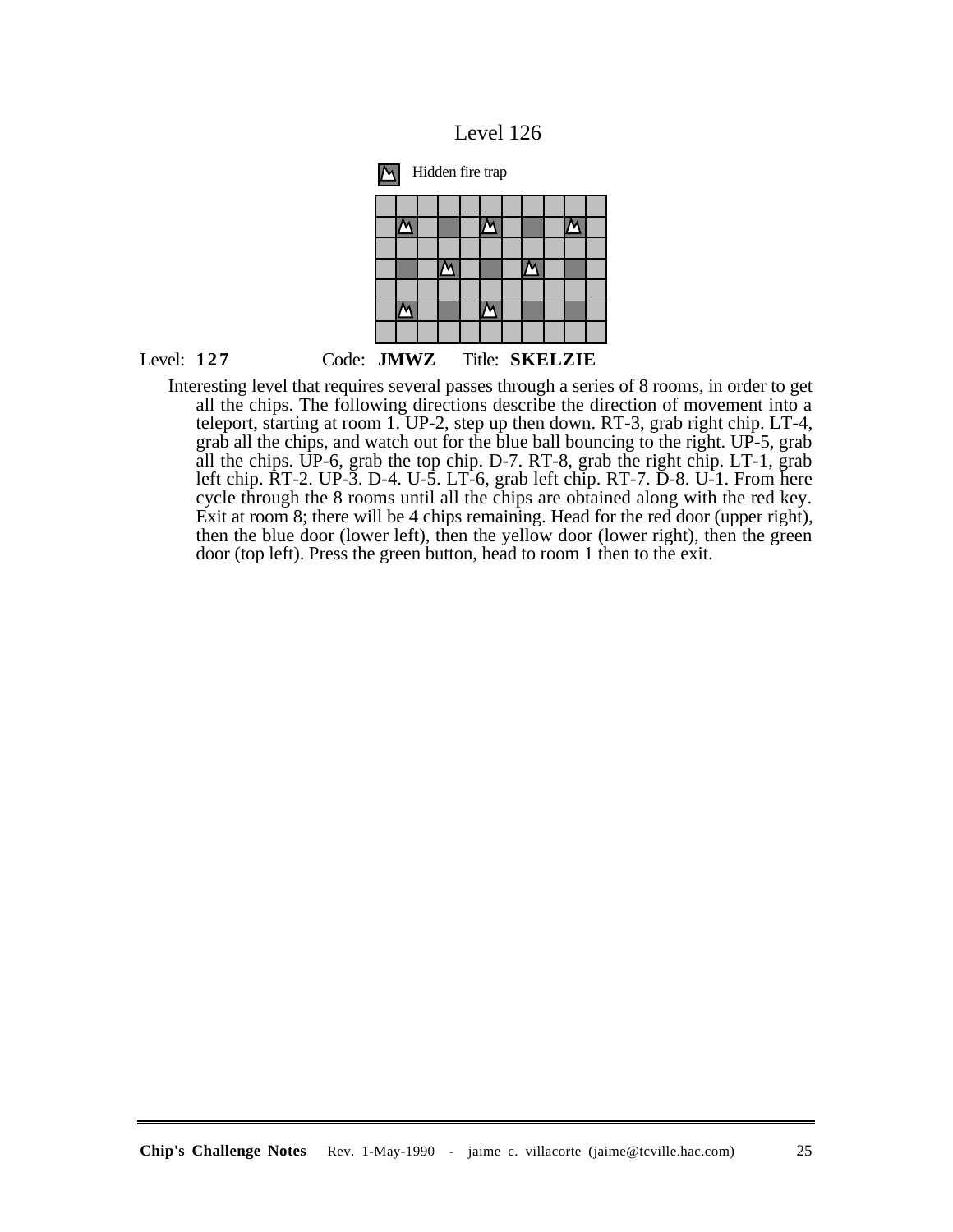



Interesting level that requires several passes through a series of 8 rooms, in order to get all the chips. The following directions describe the direction of movement into a teleport, starting at room 1. UP-2, step up then down. RT-3, grab right chip. LT-4, grab all the chips, and watch out for the blue ball bouncing to the right. UP-5, grab all the chips. UP-6, grab the top chip. D-7. RT-8, grab the right chip. LT-1, grab left chip. RT-2. UP-3. D-4. U-5. LT-6, grab left chip. RT-7. D-8. U-1. From here cycle through the 8 rooms until all the chips are obtained along with the red key. Exit at room 8; there will be 4 chips remaining. Head for the red door (upper right), then the blue door (lower left), then the yellow door (lower right), then the green door (top left). Press the green button, head to room 1 then to the exit.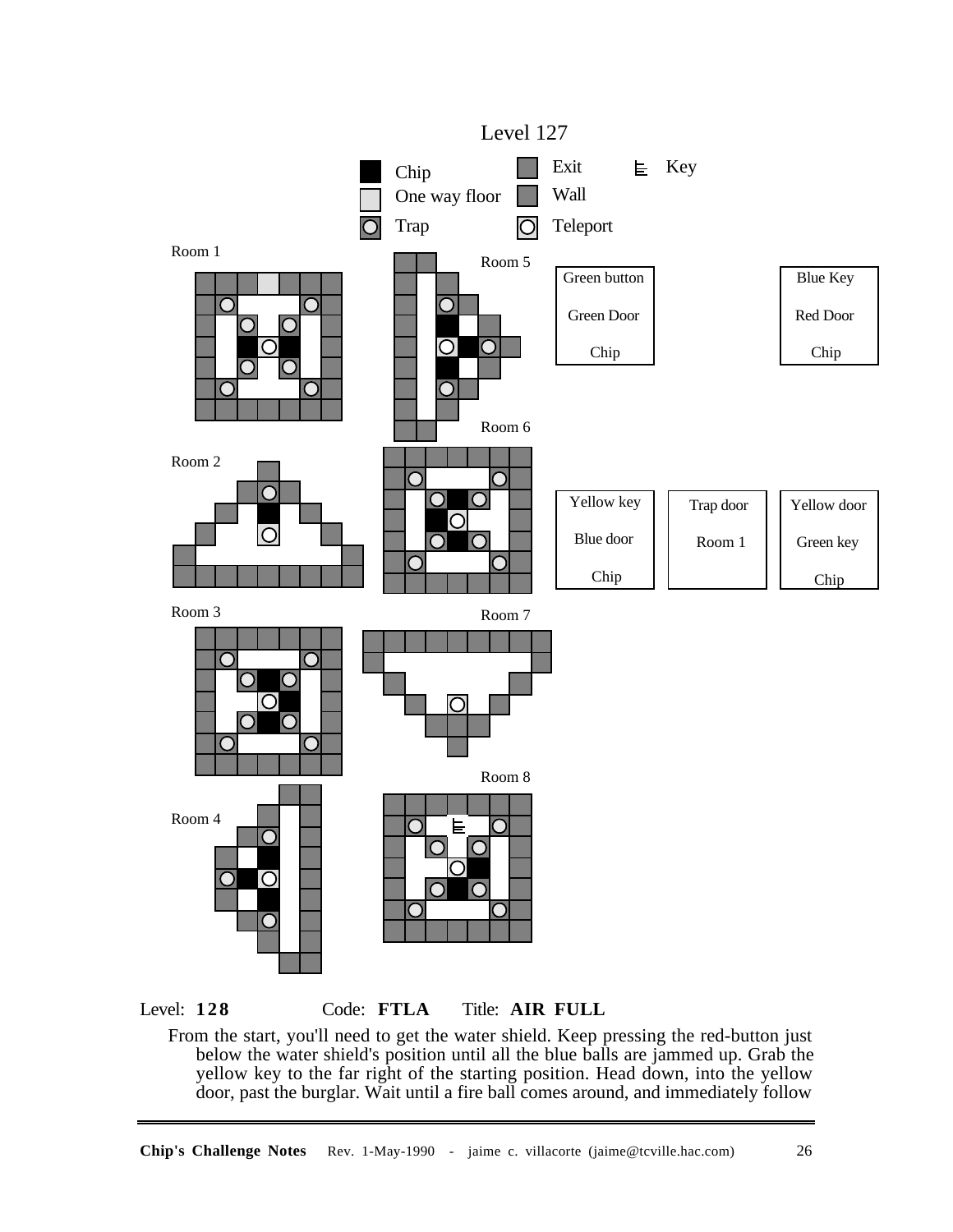



From the start, you'll need to get the water shield. Keep pressing the red-button just below the water shield's position until all the blue balls are jammed up. Grab the yellow key to the far right of the starting position. Head down, into the yellow door, past the burglar. Wait until a fire ball comes around, and immediately follow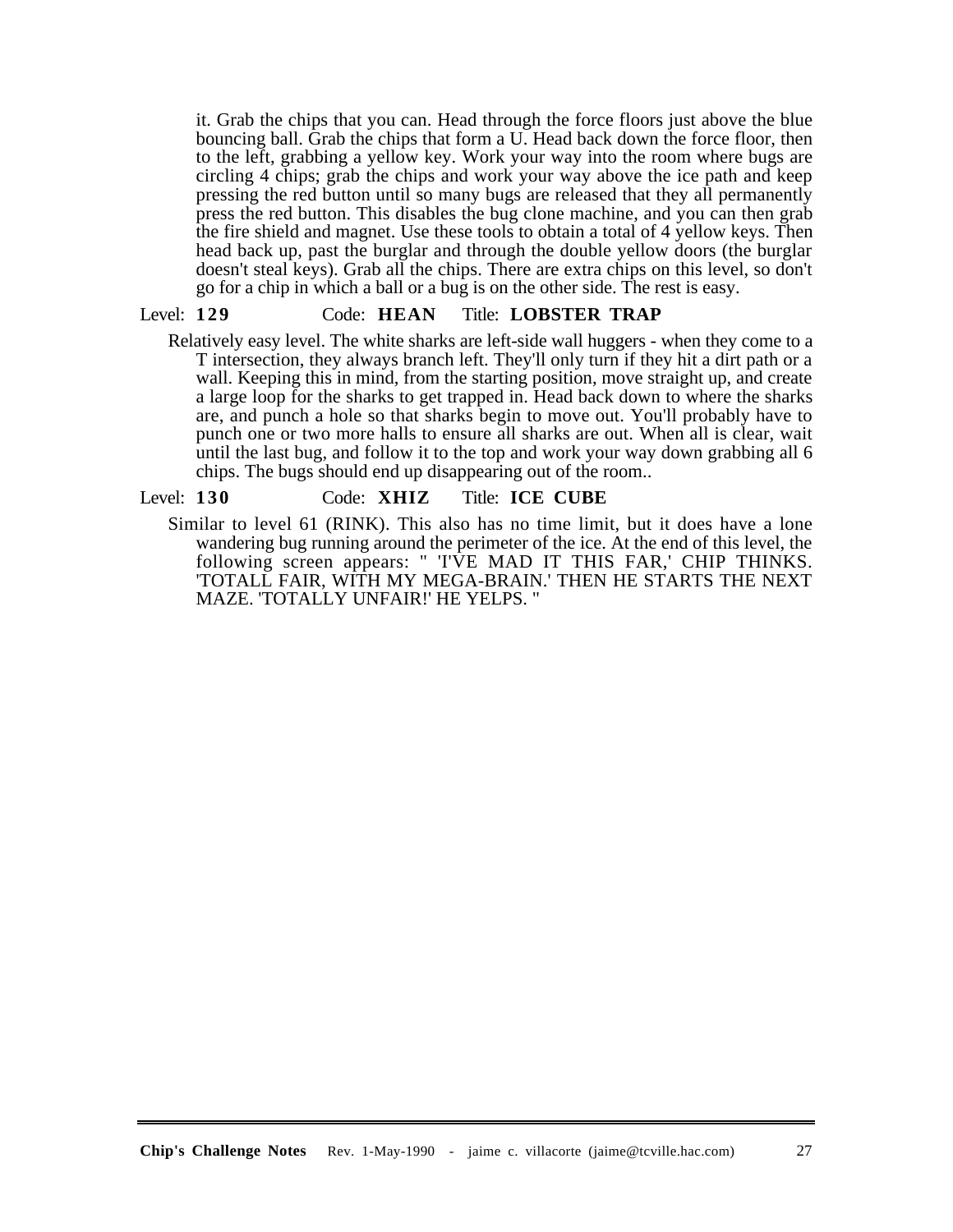it. Grab the chips that you can. Head through the force floors just above the blue bouncing ball. Grab the chips that form a U. Head back down the force floor, then to the left, grabbing a yellow key. Work your way into the room where bugs are circling 4 chips; grab the chips and work your way above the ice path and keep pressing the red button until so many bugs are released that they all permanently press the red button. This disables the bug clone machine, and you can then grab the fire shield and magnet. Use these tools to obtain a total of 4 yellow keys. Then head back up, past the burglar and through the double yellow doors (the burglar doesn't steal keys). Grab all the chips. There are extra chips on this level, so don't go for a chip in which a ball or a bug is on the other side. The rest is easy.

#### Level: **129** Code: **HEAN** Title: **LOBSTER TRAP**

Relatively easy level. The white sharks are left-side wall huggers - when they come to a T intersection, they always branch left. They'll only turn if they hit a dirt path or a wall. Keeping this in mind, from the starting position, move straight up, and create a large loop for the sharks to get trapped in. Head back down to where the sharks are, and punch a hole so that sharks begin to move out. You'll probably have to punch one or two more halls to ensure all sharks are out. When all is clear, wait until the last bug, and follow it to the top and work your way down grabbing all 6 chips. The bugs should end up disappearing out of the room..

#### Level: **130** Code: **XHIZ** Title: **ICE CUBE**

Similar to level 61 (RINK). This also has no time limit, but it does have a lone wandering bug running around the perimeter of the ice. At the end of this level, the following screen appears: " 'I'VE MAD IT THIS FAR,' CHIP THINKS. 'TOTALL FAIR, WITH MY MEGA-BRAIN.' THEN HE STARTS THE NEXT MAZE. 'TOTALLY UNFAIR!' HE YELPS. "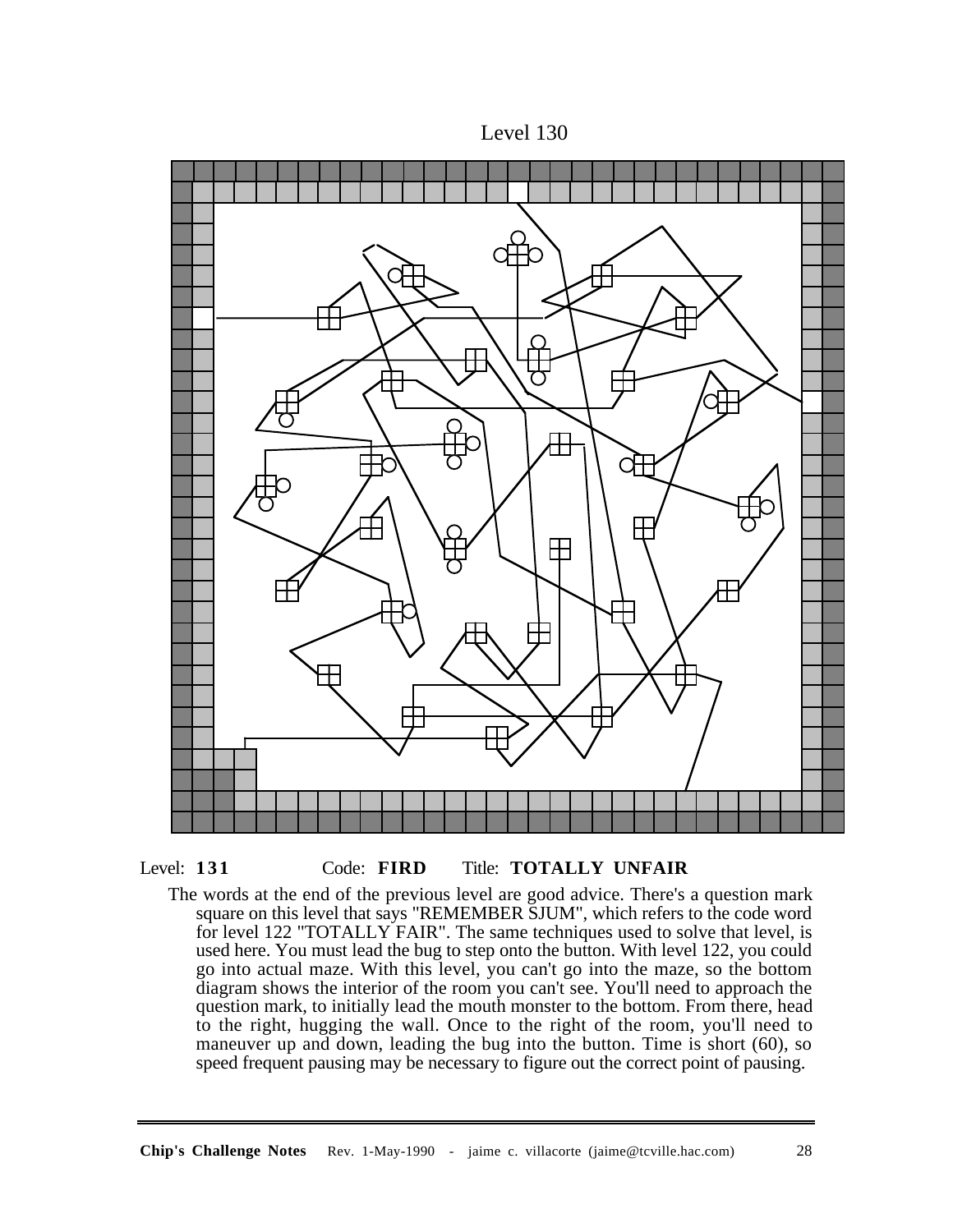





The words at the end of the previous level are good advice. There's a question mark square on this level that says "REMEMBER SJUM", which refers to the code word for level 122 "TOTALLY FAIR". The same techniques used to solve that level, is used here. You must lead the bug to step onto the button. With level 122, you could go into actual maze. With this level, you can't go into the maze, so the bottom diagram shows the interior of the room you can't see. You'll need to approach the question mark, to initially lead the mouth monster to the bottom. From there, head to the right, hugging the wall. Once to the right of the room, you'll need to maneuver up and down, leading the bug into the button. Time is short (60), so speed frequent pausing may be necessary to figure out the correct point of pausing.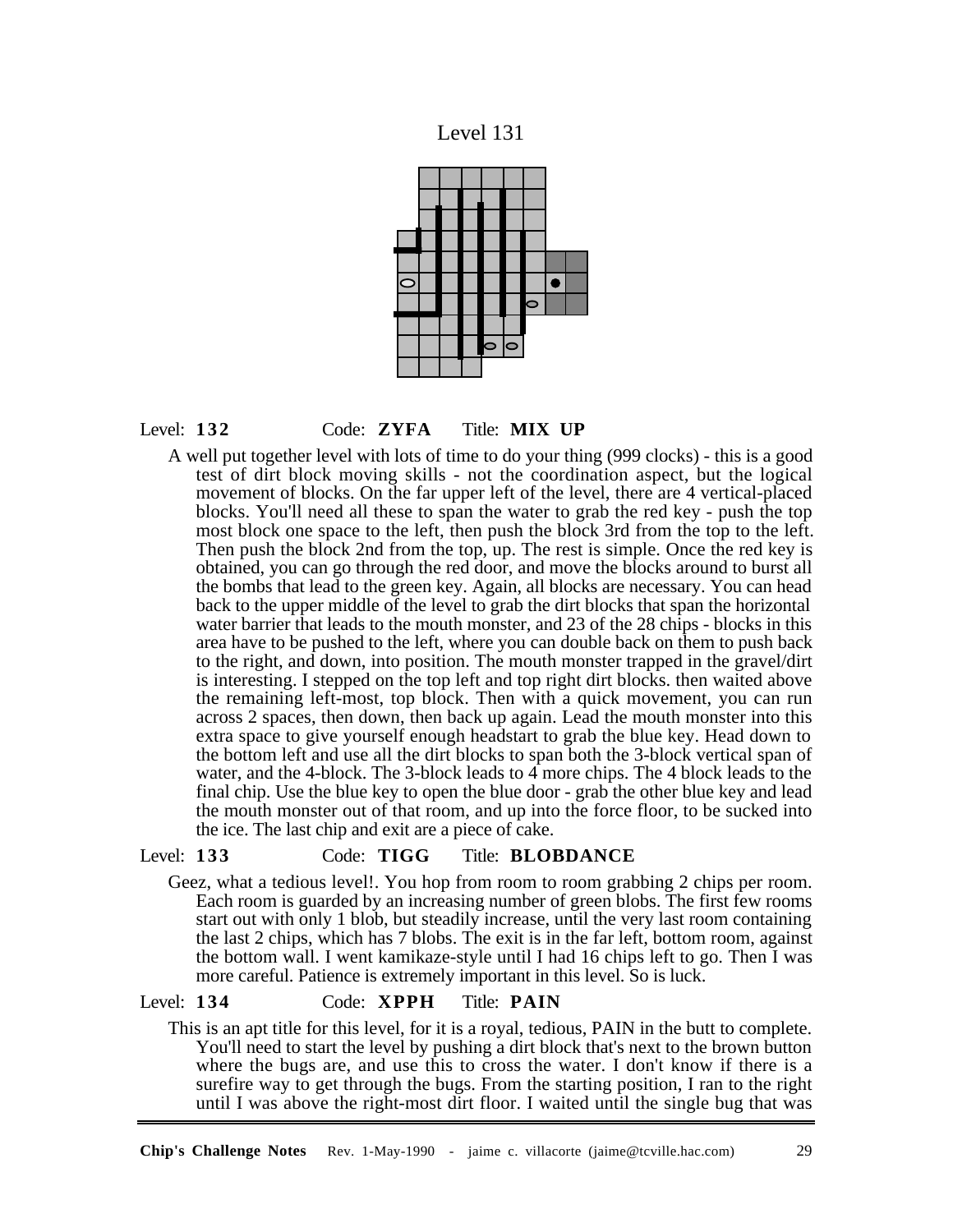





A well put together level with lots of time to do your thing (999 clocks) - this is a good test of dirt block moving skills - not the coordination aspect, but the logical movement of blocks. On the far upper left of the level, there are 4 vertical-placed blocks. You'll need all these to span the water to grab the red key - push the top most block one space to the left, then push the block 3rd from the top to the left. Then push the block 2nd from the top, up. The rest is simple. Once the red key is obtained, you can go through the red door, and move the blocks around to burst all the bombs that lead to the green key. Again, all blocks are necessary. You can head back to the upper middle of the level to grab the dirt blocks that span the horizontal water barrier that leads to the mouth monster, and 23 of the 28 chips - blocks in this area have to be pushed to the left, where you can double back on them to push back to the right, and down, into position. The mouth monster trapped in the gravel/dirt is interesting. I stepped on the top left and top right dirt blocks. then waited above the remaining left-most, top block. Then with a quick movement, you can run across 2 spaces, then down, then back up again. Lead the mouth monster into this extra space to give yourself enough headstart to grab the blue key. Head down to the bottom left and use all the dirt blocks to span both the 3-block vertical span of water, and the 4-block. The 3-block leads to 4 more chips. The 4 block leads to the final chip. Use the blue key to open the blue door - grab the other blue key and lead the mouth monster out of that room, and up into the force floor, to be sucked into the ice. The last chip and exit are a piece of cake.

## Level: **133** Code: **TIGG** Title: **BLOBDANCE**

Geez, what a tedious level!. You hop from room to room grabbing 2 chips per room. Each room is guarded by an increasing number of green blobs. The first few rooms start out with only 1 blob, but steadily increase, until the very last room containing the last 2 chips, which has 7 blobs. The exit is in the far left, bottom room, against the bottom wall. I went kamikaze-style until I had 16 chips left to go. Then I was more careful. Patience is extremely important in this level. So is luck.

## Level: **134** Code: **XPPH** Title: **PAIN**

This is an apt title for this level, for it is a royal, tedious, PAIN in the butt to complete. You'll need to start the level by pushing a dirt block that's next to the brown button where the bugs are, and use this to cross the water. I don't know if there is a surefire way to get through the bugs. From the starting position, I ran to the right until I was above the right-most dirt floor. I waited until the single bug that was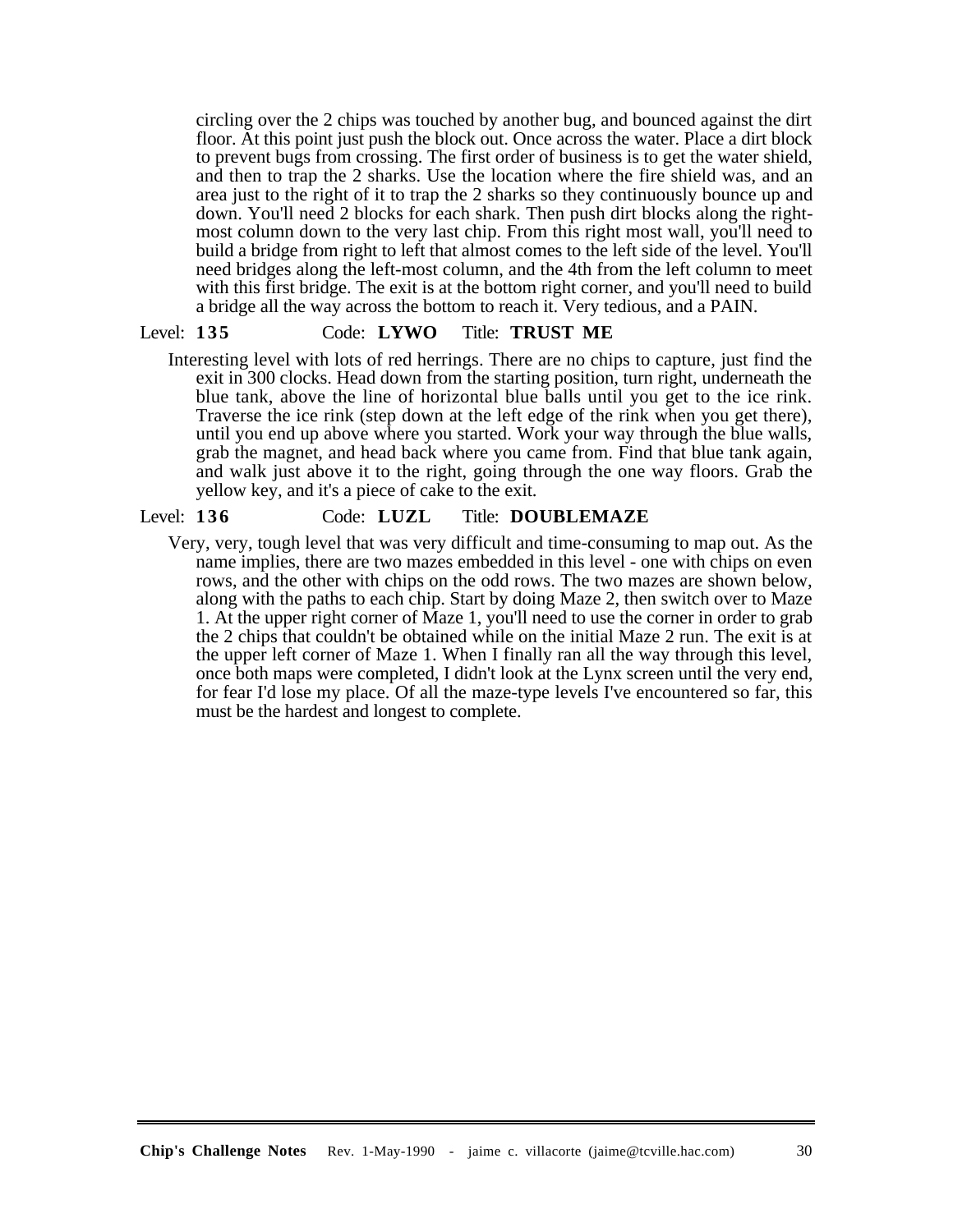circling over the 2 chips was touched by another bug, and bounced against the dirt floor. At this point just push the block out. Once across the water. Place a dirt block to prevent bugs from crossing. The first order of business is to get the water shield, and then to trap the 2 sharks. Use the location where the fire shield was, and an area just to the right of it to trap the 2 sharks so they continuously bounce up and down. You'll need 2 blocks for each shark. Then push dirt blocks along the rightmost column down to the very last chip. From this right most wall, you'll need to build a bridge from right to left that almost comes to the left side of the level. You'll need bridges along the left-most column, and the 4th from the left column to meet with this first bridge. The exit is at the bottom right corner, and you'll need to build a bridge all the way across the bottom to reach it. Very tedious, and a PAIN.

# Level: **135** Code: **LYWO** Title: **TRUST ME**

Interesting level with lots of red herrings. There are no chips to capture, just find the exit in 300 clocks. Head down from the starting position, turn right, underneath the blue tank, above the line of horizontal blue balls until you get to the ice rink. Traverse the ice rink (step down at the left edge of the rink when you get there), until you end up above where you started. Work your way through the blue walls, grab the magnet, and head back where you came from. Find that blue tank again, and walk just above it to the right, going through the one way floors. Grab the yellow key, and it's a piece of cake to the exit.

# Level: **136** Code: **LUZL** Title: **DOUBLEMAZE**

Very, very, tough level that was very difficult and time-consuming to map out. As the name implies, there are two mazes embedded in this level - one with chips on even rows, and the other with chips on the odd rows. The two mazes are shown below, along with the paths to each chip. Start by doing Maze 2, then switch over to Maze 1. At the upper right corner of Maze 1, you'll need to use the corner in order to grab the 2 chips that couldn't be obtained while on the initial Maze 2 run. The exit is at the upper left corner of Maze 1. When I finally ran all the way through this level, once both maps were completed, I didn't look at the Lynx screen until the very end, for fear I'd lose my place. Of all the maze-type levels I've encountered so far, this must be the hardest and longest to complete.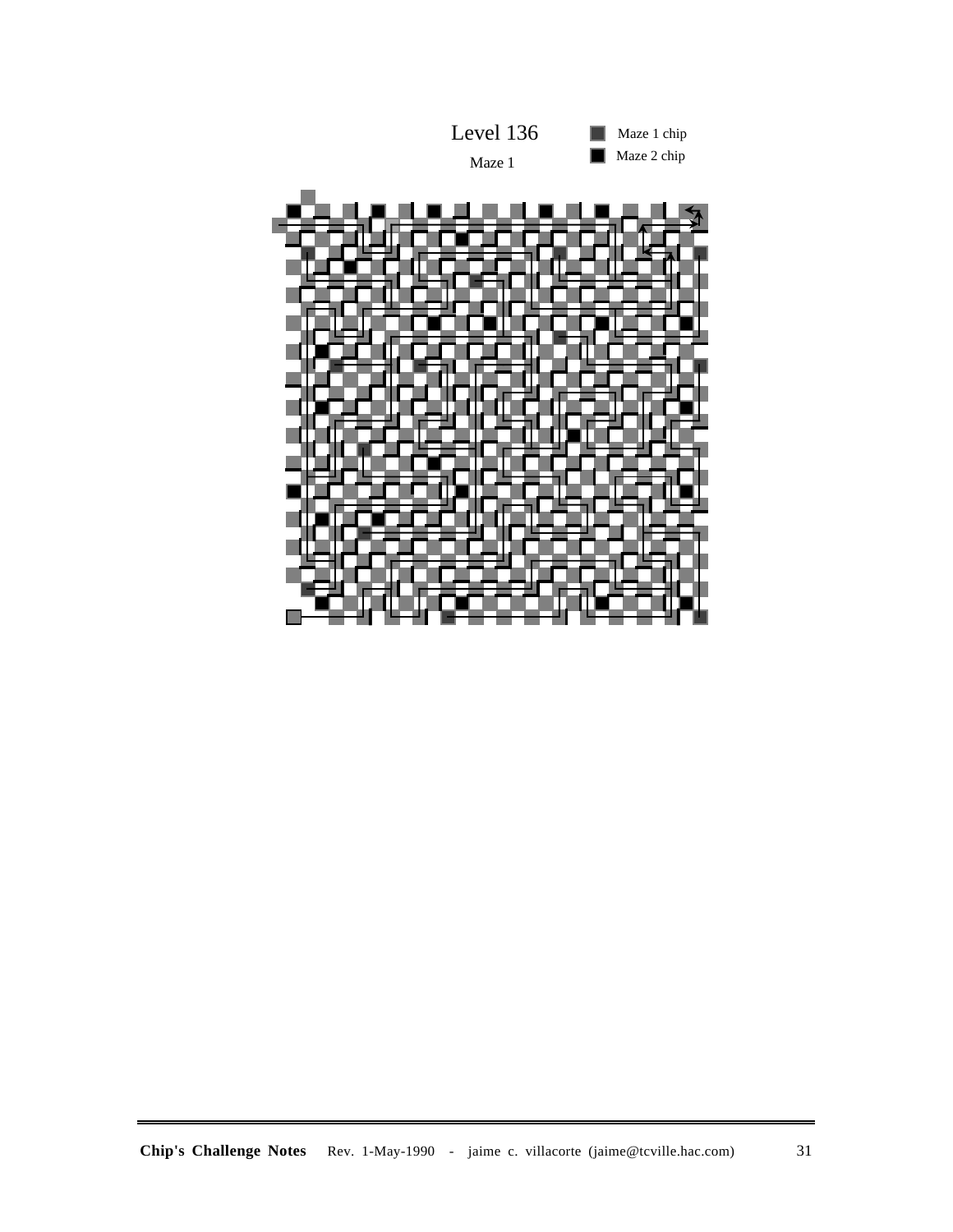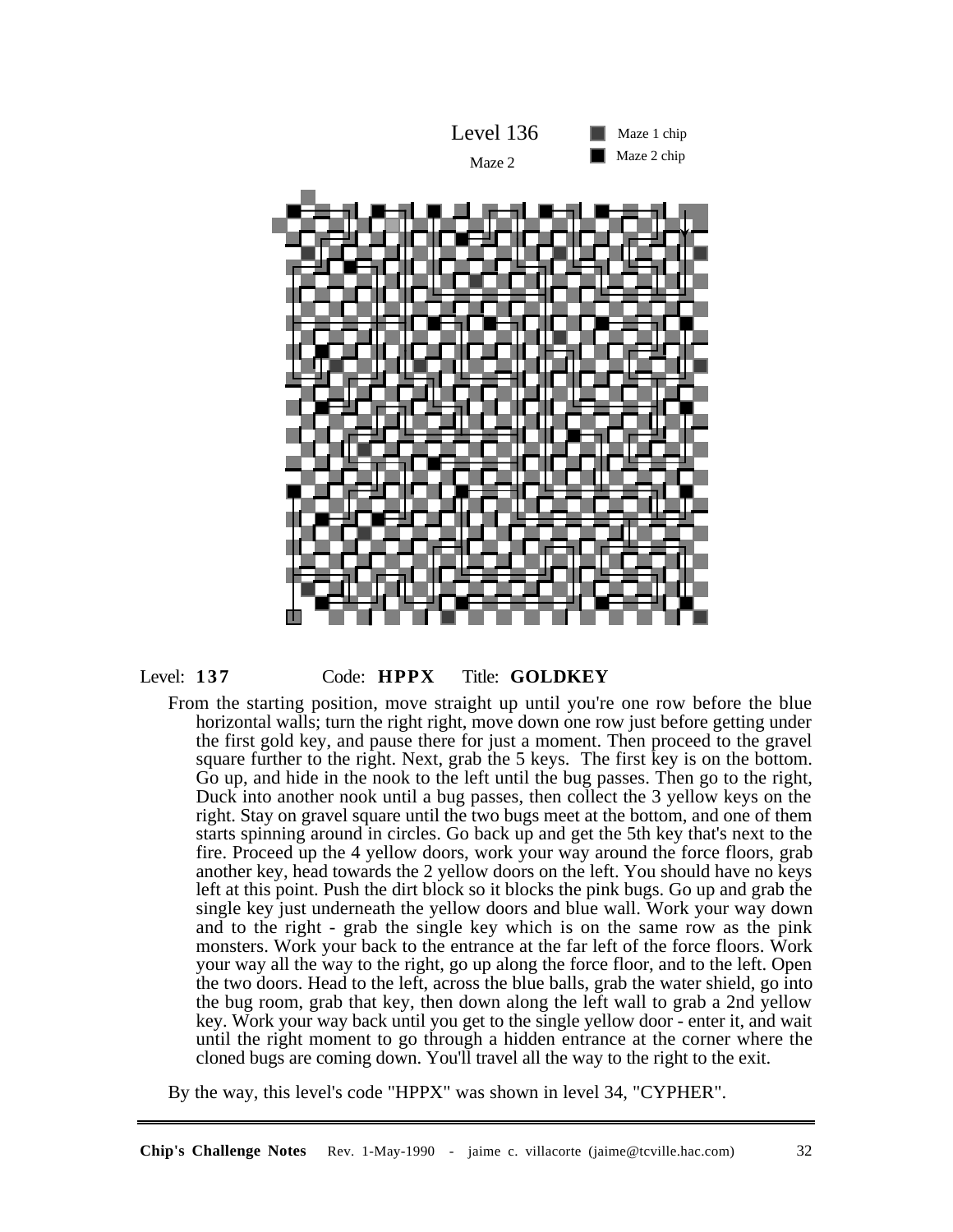



# Level: **137** Code: **HPPX** Title: **GOLDKEY**

From the starting position, move straight up until you're one row before the blue horizontal walls; turn the right right, move down one row just before getting under the first gold key, and pause there for just a moment. Then proceed to the gravel square further to the right. Next, grab the 5 keys. The first key is on the bottom. Go up, and hide in the nook to the left until the bug passes. Then go to the right, Duck into another nook until a bug passes, then collect the 3 yellow keys on the right. Stay on gravel square until the two bugs meet at the bottom, and one of them starts spinning around in circles. Go back up and get the 5th key that's next to the fire. Proceed up the 4 yellow doors, work your way around the force floors, grab another key, head towards the 2 yellow doors on the left. You should have no keys left at this point. Push the dirt block so it blocks the pink bugs. Go up and grab the single key just underneath the yellow doors and blue wall. Work your way down and to the right - grab the single key which is on the same row as the pink monsters. Work your back to the entrance at the far left of the force floors. Work your way all the way to the right, go up along the force floor, and to the left. Open the two doors. Head to the left, across the blue balls, grab the water shield, go into the bug room, grab that key, then down along the left wall to grab a 2nd yellow key. Work your way back until you get to the single yellow door - enter it, and wait until the right moment to go through a hidden entrance at the corner where the cloned bugs are coming down. You'll travel all the way to the right to the exit.

By the way, this level's code "HPPX" was shown in level 34, "CYPHER".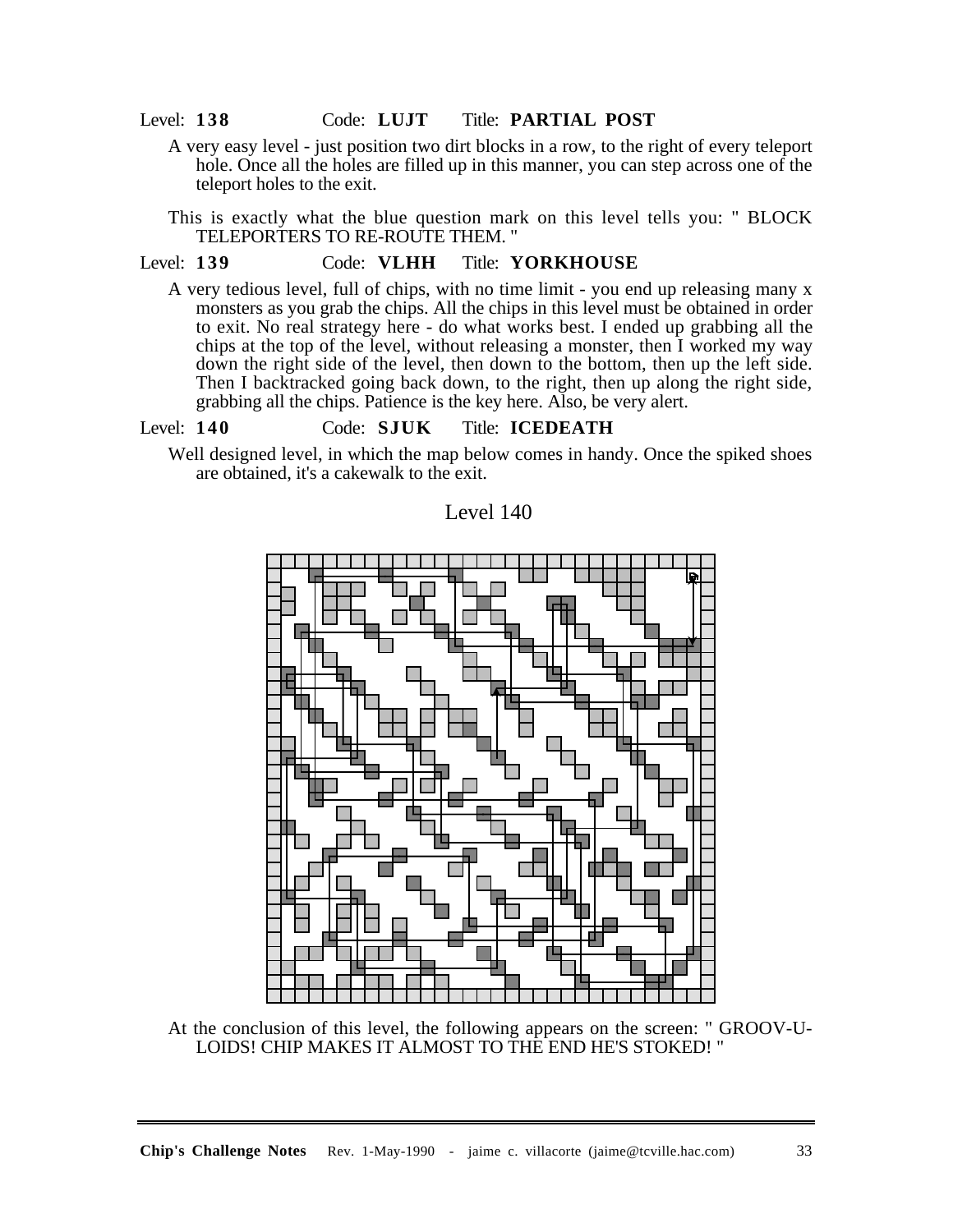#### Level: **138** Code: **LUJT** Title: **PARTIAL POST**

A very easy level - just position two dirt blocks in a row, to the right of every teleport hole. Once all the holes are filled up in this manner, you can step across one of the teleport holes to the exit.

This is exactly what the blue question mark on this level tells you: " BLOCK TELEPORTERS TO RE-ROUTE THEM. "

# Level: **139** Code: **VLHH** Title: **YORKHOUSE**

A very tedious level, full of chips, with no time limit - you end up releasing many x monsters as you grab the chips. All the chips in this level must be obtained in order to exit. No real strategy here - do what works best. I ended up grabbing all the chips at the top of the level, without releasing a monster, then I worked my way down the right side of the level, then down to the bottom, then up the left side. Then I backtracked going back down, to the right, then up along the right side, grabbing all the chips. Patience is the key here. Also, be very alert.

# Level: **140** Code: **SJUK** Title: **ICEDEATH**

Well designed level, in which the map below comes in handy. Once the spiked shoes are obtained, it's a cakewalk to the exit.

Level 140



At the conclusion of this level, the following appears on the screen: " GROOV-U-LOIDS! CHIP MAKES IT ALMOST TO THE END HE'S STOKED! "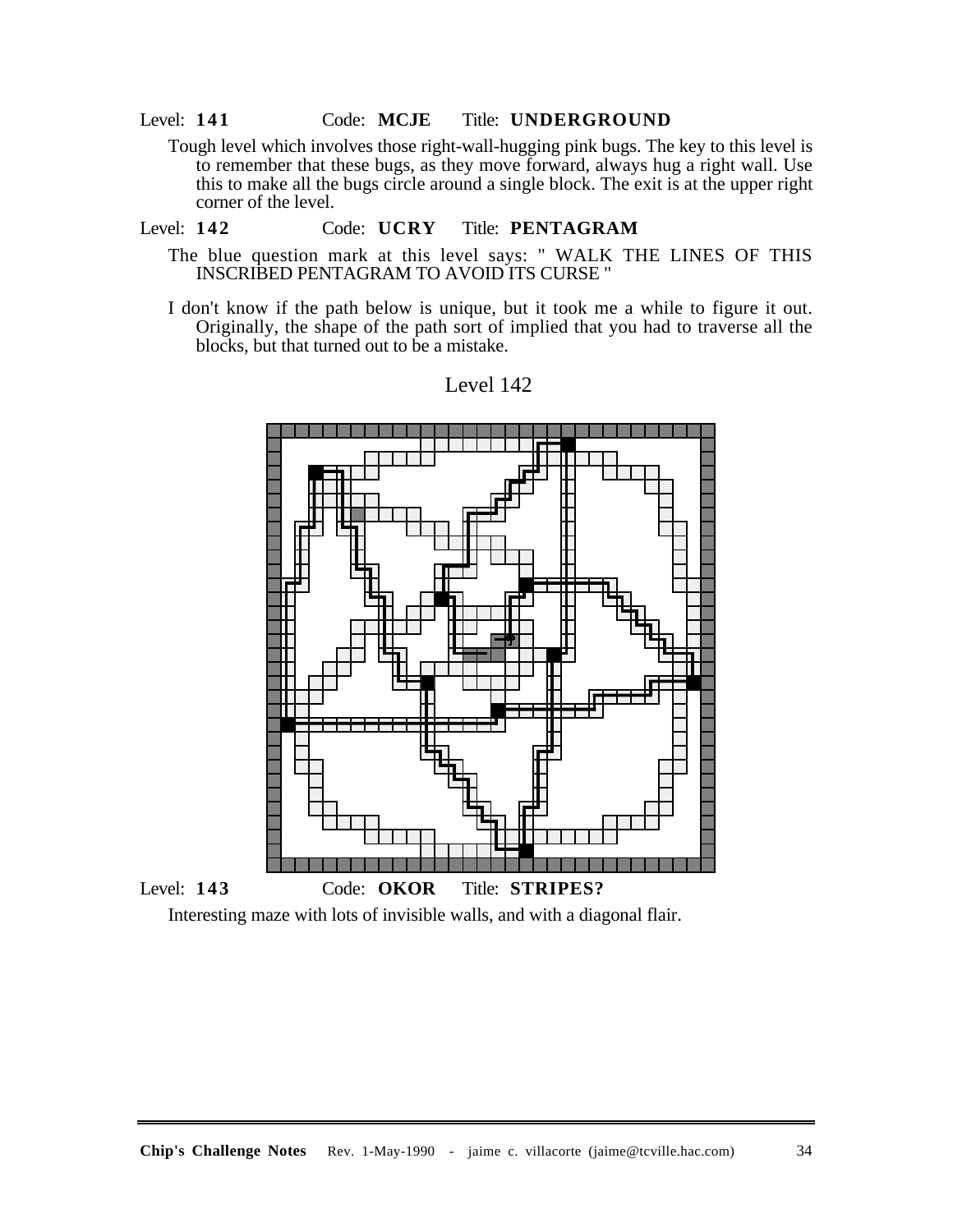## Level: **141** Code: **MCJE** Title: **UNDERGROUND**

Tough level which involves those right-wall-hugging pink bugs. The key to this level is to remember that these bugs, as they move forward, always hug a right wall. Use this to make all the bugs circle around a single block. The exit is at the upper right corner of the level.

#### Level: **142** Code: **UCRY** Title: **PENTAGRAM**

- The blue question mark at this level says: " WALK THE LINES OF THIS INSCRIBED PENTAGRAM TO AVOID ITS CURSE "
- I don't know if the path below is unique, but it took me a while to figure it out. Originally, the shape of the path sort of implied that you had to traverse all the blocks, but that turned out to be a mistake.



# Level 142

Interesting maze with lots of invisible walls, and with a diagonal flair.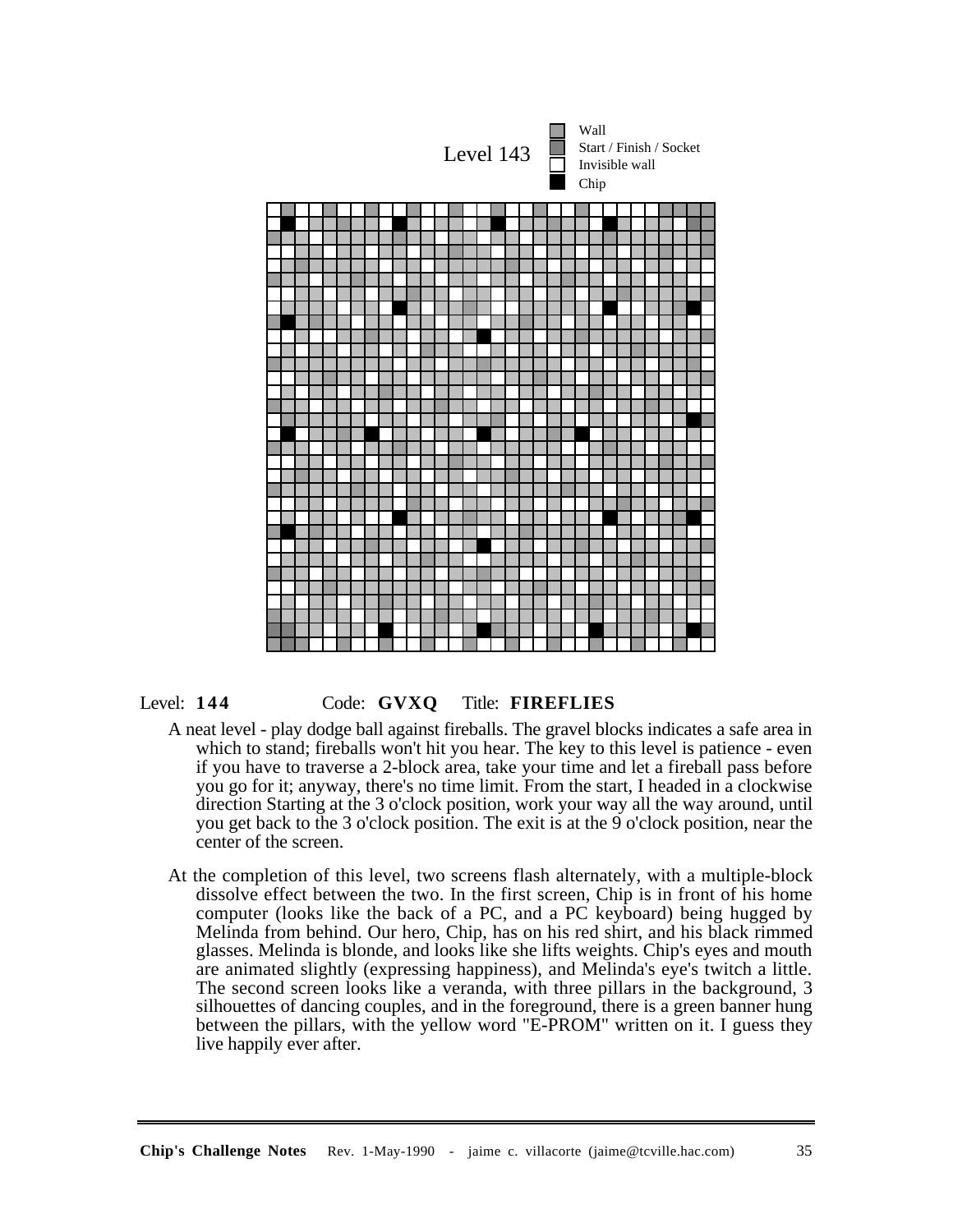



#### Level: **144** Code: **GVXQ** Title: **FIREFLIES**

- A neat level play dodge ball against fireballs. The gravel blocks indicates a safe area in which to stand; fireballs won't hit you hear. The key to this level is patience - even if you have to traverse a 2-block area, take your time and let a fireball pass before you go for it; anyway, there's no time limit. From the start, I headed in a clockwise direction Starting at the 3 o'clock position, work your way all the way around, until you get back to the 3 o'clock position. The exit is at the 9 o'clock position, near the center of the screen.
- At the completion of this level, two screens flash alternately, with a multiple-block dissolve effect between the two. In the first screen, Chip is in front of his home computer (looks like the back of a PC, and a PC keyboard) being hugged by Melinda from behind. Our hero, Chip, has on his red shirt, and his black rimmed glasses. Melinda is blonde, and looks like she lifts weights. Chip's eyes and mouth are animated slightly (expressing happiness), and Melinda's eye's twitch a little. The second screen looks like a veranda, with three pillars in the background, 3 silhouettes of dancing couples, and in the foreground, there is a green banner hung between the pillars, with the yellow word "E-PROM" written on it. I guess they live happily ever after.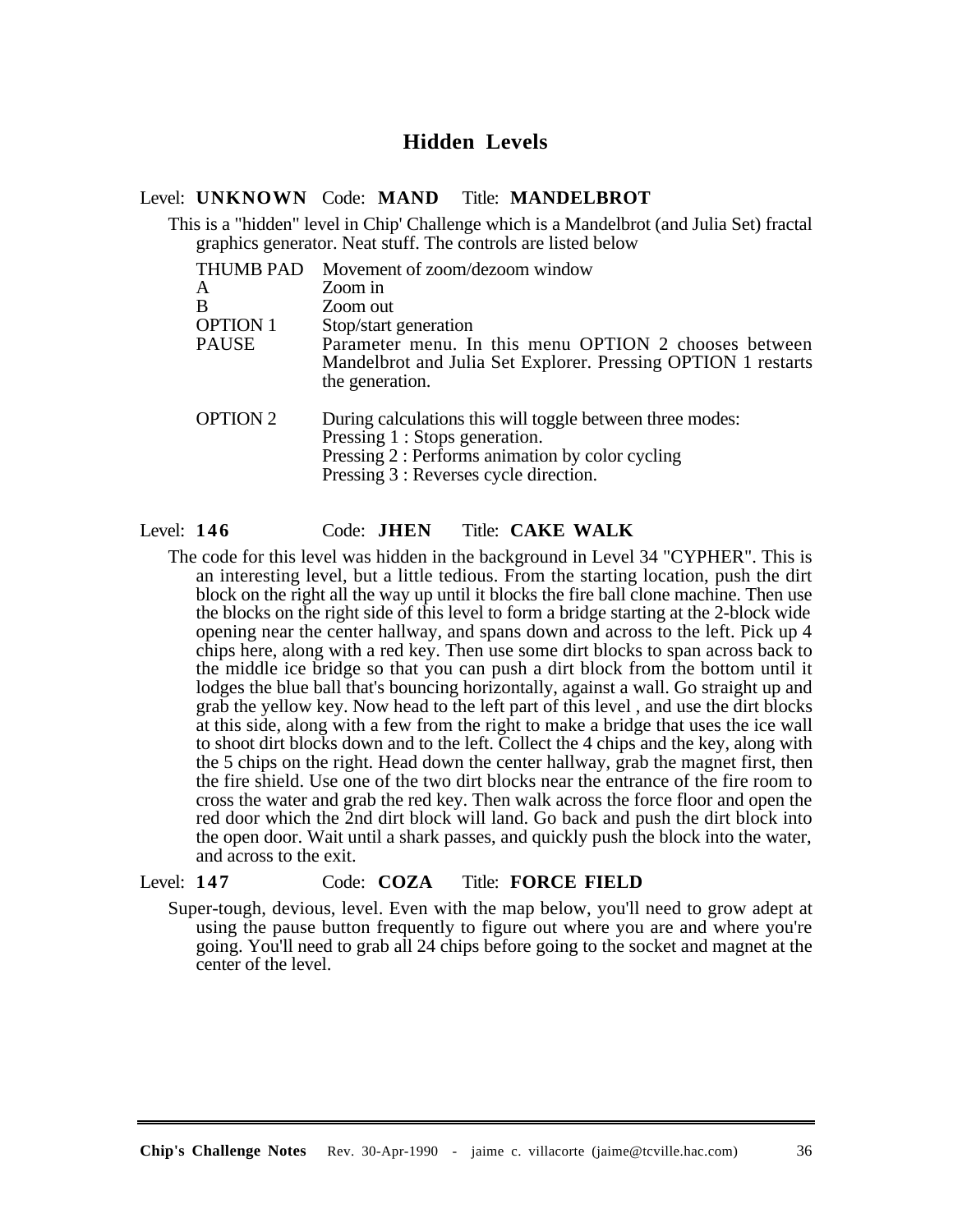# **Hidden Levels**

#### Level: **UNKNOWN** Code: **MAND** Title: **MANDELBROT**

This is a "hidden" level in Chip' Challenge which is a Mandelbrot (and Julia Set) fractal graphics generator. Neat stuff. The controls are listed below

| THUMB PAD       | Movement of zoom/dezoom window                                                                                                                                                            |
|-----------------|-------------------------------------------------------------------------------------------------------------------------------------------------------------------------------------------|
| A               | Zoom in                                                                                                                                                                                   |
| B               | Zoom out                                                                                                                                                                                  |
| <b>OPTION 1</b> | Stop/start generation                                                                                                                                                                     |
| PAUSE           | Parameter menu. In this menu OPTION 2 chooses between<br>Mandelbrot and Julia Set Explorer. Pressing OPTION 1 restarts<br>the generation.                                                 |
| <b>OPTION 2</b> | During calculations this will toggle between three modes:<br>Pressing 1 : Stops generation.<br>Pressing 2 : Performs animation by color cycling<br>Pressing 3 : Reverses cycle direction. |

#### Level: **146** Code: **JHEN** Title: **CAKE WALK**

The code for this level was hidden in the background in Level 34 "CYPHER". This is an interesting level, but a little tedious. From the starting location, push the dirt block on the right all the way up until it blocks the fire ball clone machine. Then use the blocks on the right side of this level to form a bridge starting at the 2-block wide opening near the center hallway, and spans down and across to the left. Pick up 4 chips here, along with a red key. Then use some dirt blocks to span across back to the middle ice bridge so that you can push a dirt block from the bottom until it lodges the blue ball that's bouncing horizontally, against a wall. Go straight up and grab the yellow key. Now head to the left part of this level , and use the dirt blocks at this side, along with a few from the right to make a bridge that uses the ice wall to shoot dirt blocks down and to the left. Collect the 4 chips and the key, along with the 5 chips on the right. Head down the center hallway, grab the magnet first, then the fire shield. Use one of the two dirt blocks near the entrance of the fire room to cross the water and grab the red key. Then walk across the force floor and open the red door which the 2nd dirt block will land. Go back and push the dirt block into the open door. Wait until a shark passes, and quickly push the block into the water, and across to the exit.

## Level: **147** Code: **COZA** Title: **FORCE FIELD**

Super-tough, devious, level. Even with the map below, you'll need to grow adept at using the pause button frequently to figure out where you are and where you're going. You'll need to grab all 24 chips before going to the socket and magnet at the center of the level.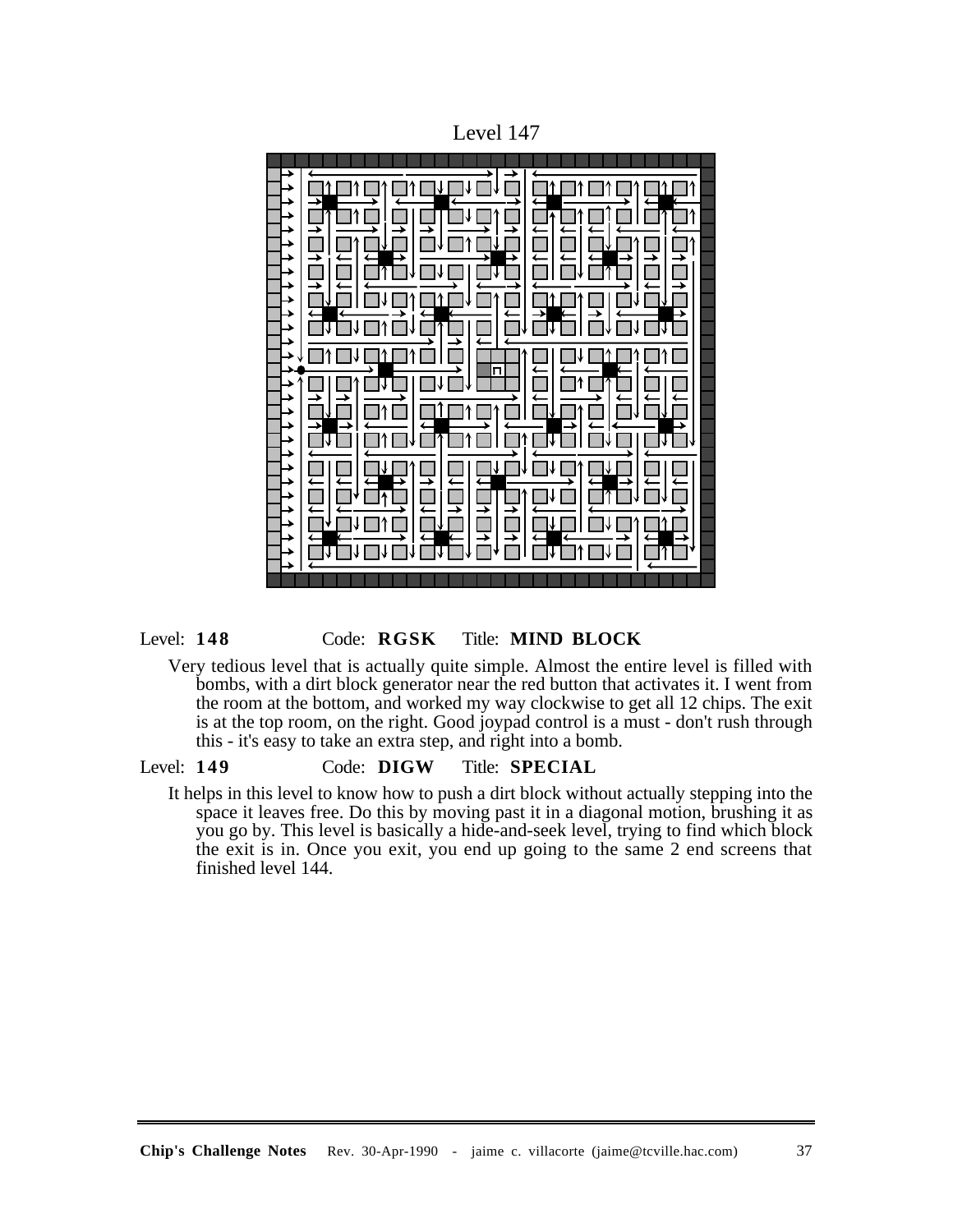Level 147

# Level: **148** Code: **RGSK** Title: **MIND BLOCK**

Very tedious level that is actually quite simple. Almost the entire level is filled with bombs, with a dirt block generator near the red button that activates it. I went from the room at the bottom, and worked my way clockwise to get all 12 chips. The exit is at the top room, on the right. Good joypad control is a must - don't rush through this - it's easy to take an extra step, and right into a bomb.

# Level: **149** Code: **DIGW** Title: **SPECIAL**

It helps in this level to know how to push a dirt block without actually stepping into the space it leaves free. Do this by moving past it in a diagonal motion, brushing it as you go by. This level is basically a hide-and-seek level, trying to find which block the exit is in. Once you exit, you end up going to the same 2 end screens that finished level 144.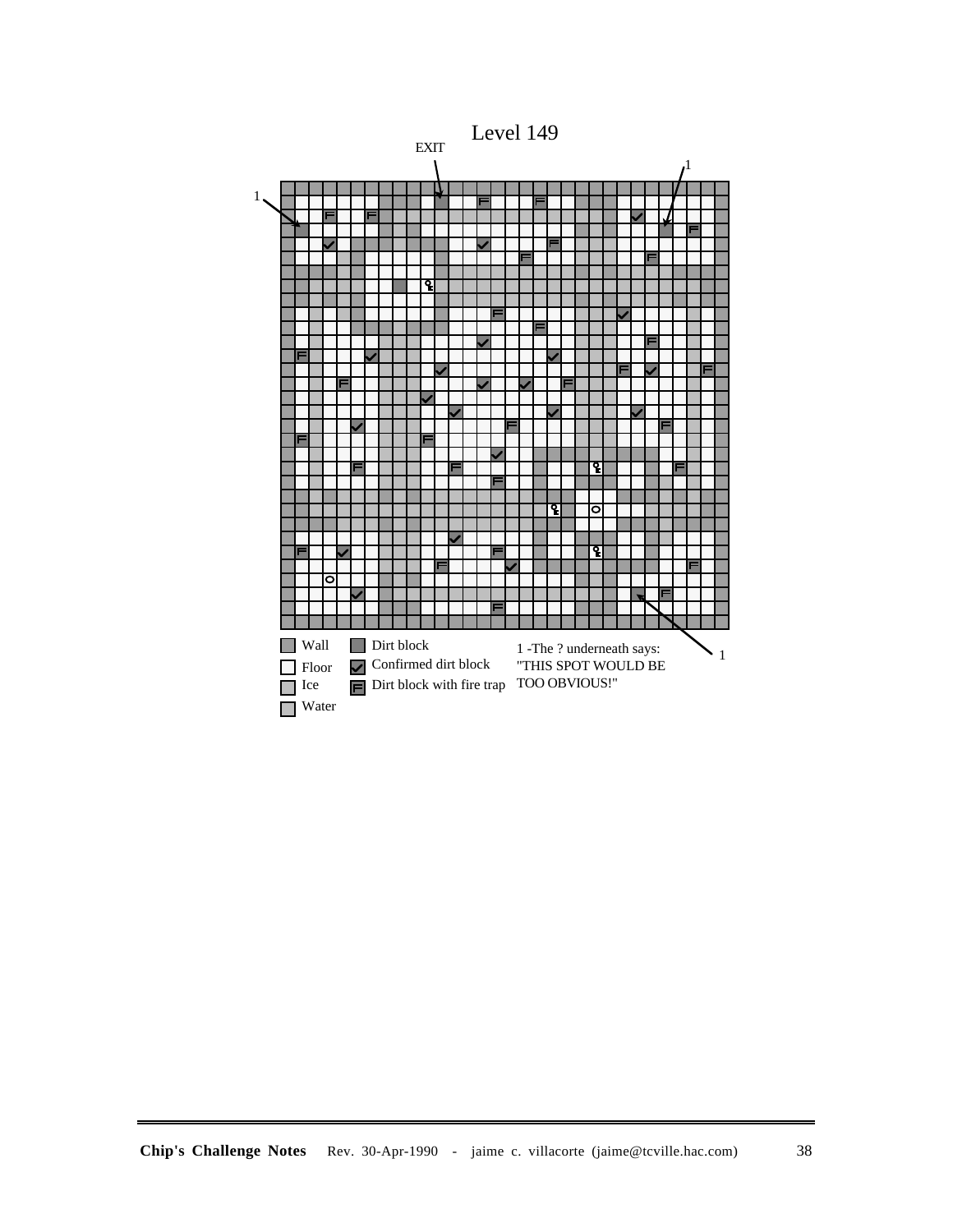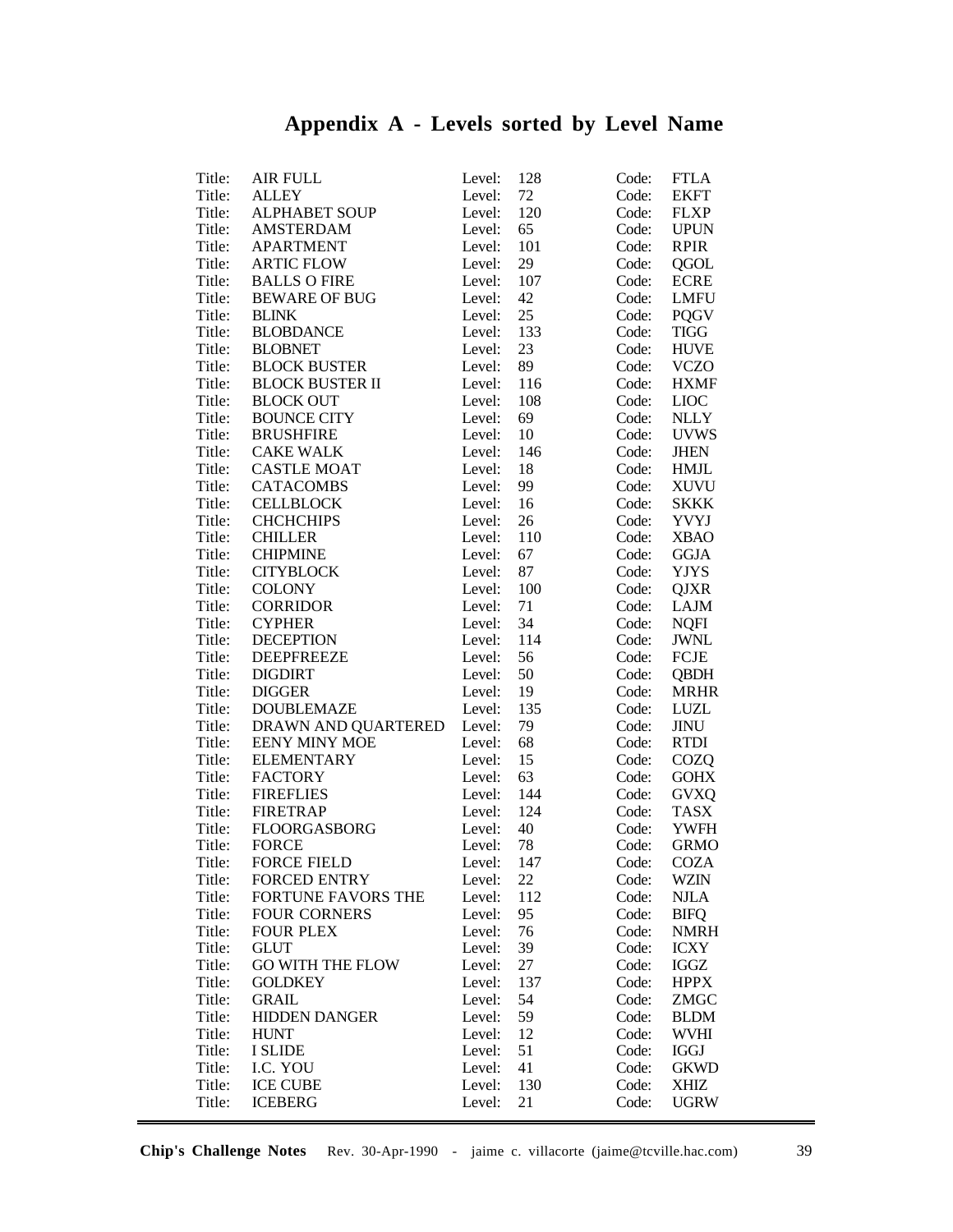# **Appendix A - Levels sorted by Level Name**

| Title: | AIR FULL                  | Level: | 128 | Code: | <b>FTLA</b> |
|--------|---------------------------|--------|-----|-------|-------------|
| Title: | <b>ALLEY</b>              | Level: | 72  | Code: | <b>EKFT</b> |
| Title: | <b>ALPHABET SOUP</b>      | Level: | 120 | Code: | <b>FLXP</b> |
| Title: | <b>AMSTERDAM</b>          | Level: | 65  | Code: | <b>UPUN</b> |
| Title: | <b>APARTMENT</b>          | Level: | 101 | Code: | <b>RPIR</b> |
|        | <b>ARTIC FLOW</b>         |        |     |       |             |
| Title: |                           | Level: | 29  | Code: | QGOL        |
| Title: | <b>BALLS O FIRE</b>       | Level: | 107 | Code: | <b>ECRE</b> |
| Title: | <b>BEWARE OF BUG</b>      | Level: | 42  | Code: | <b>LMFU</b> |
| Title: | <b>BLINK</b>              | Level: | 25  | Code: | <b>PQGV</b> |
| Title: | <b>BLOBDANCE</b>          | Level: | 133 | Code: | <b>TIGG</b> |
| Title: | <b>BLOBNET</b>            | Level: | 23  | Code: | <b>HUVE</b> |
| Title: | <b>BLOCK BUSTER</b>       | Level: | 89  | Code: | <b>VCZO</b> |
| Title: | <b>BLOCK BUSTER II</b>    | Level: | 116 | Code: | <b>HXMF</b> |
| Title: | <b>BLOCK OUT</b>          | Level: | 108 | Code: | <b>LIOC</b> |
| Title: | <b>BOUNCE CITY</b>        | Level: | 69  | Code: | <b>NLLY</b> |
| Title: | <b>BRUSHFIRE</b>          | Level: | 10  | Code: | <b>UVWS</b> |
| Title: | <b>CAKE WALK</b>          | Level: | 146 | Code: | <b>JHEN</b> |
| Title: | <b>CASTLE MOAT</b>        | Level: | 18  | Code: | <b>HMJL</b> |
| Title: | <b>CATACOMBS</b>          | Level: | 99  | Code: | <b>XUVU</b> |
| Title: | <b>CELLBLOCK</b>          | Level: | 16  | Code: | <b>SKKK</b> |
| Title: | <b>CHCHCHIPS</b>          | Level: | 26  | Code: | <b>YVYJ</b> |
| Title: |                           |        | 110 |       |             |
|        | <b>CHILLER</b>            | Level: |     | Code: | <b>XBAO</b> |
| Title: | <b>CHIPMINE</b>           | Level: | 67  | Code: | <b>GGJA</b> |
| Title: | <b>CITYBLOCK</b>          | Level: | 87  | Code: | <b>YJYS</b> |
| Title: | <b>COLONY</b>             | Level: | 100 | Code: | <b>QJXR</b> |
| Title: | <b>CORRIDOR</b>           | Level: | 71  | Code: | <b>LAJM</b> |
| Title: | <b>CYPHER</b>             | Level: | 34  | Code: | <b>NQFI</b> |
| Title: | <b>DECEPTION</b>          | Level: | 114 | Code: | <b>JWNL</b> |
| Title: | <b>DEEPFREEZE</b>         | Level: | 56  | Code: | <b>FCJE</b> |
| Title: | <b>DIGDIRT</b>            | Level: | 50  | Code: | <b>QBDH</b> |
| Title: | <b>DIGGER</b>             | Level: | 19  | Code: | <b>MRHR</b> |
| Title: | <b>DOUBLEMAZE</b>         | Level: | 135 | Code: | LUZL        |
| Title: | DRAWN AND QUARTERED       | Level: | 79  | Code: | JINU        |
| Title: | <b>EENY MINY MOE</b>      | Level: | 68  | Code: | <b>RTDI</b> |
| Title: | <b>ELEMENTARY</b>         | Level: | 15  | Code: | COZQ        |
| Title: | <b>FACTORY</b>            | Level: | 63  | Code: | <b>GOHX</b> |
| Title: | <b>FIREFLIES</b>          | Level: | 144 | Code: | <b>GVXQ</b> |
| Title: | <b>FIRETRAP</b>           | Level: | 124 | Code: | <b>TASX</b> |
| Title: | FLOORGASBORG              | Level: | 40  | Code: | <b>YWFH</b> |
| Title: | <b>FORCE</b>              | Level: | 78  | Code: | <b>GRMO</b> |
|        | <b>FORCE FIELD</b>        |        |     |       |             |
| Title: |                           | Level: | 147 |       | Code: COZA  |
| Title: | <b>FORCED ENTRY</b>       | Level: | 22  | Code: | <b>WZIN</b> |
| Title: | <b>FORTUNE FAVORS THE</b> | Level: | 112 | Code: | <b>NJLA</b> |
| Title: | <b>FOUR CORNERS</b>       | Level: | 95  | Code: | <b>BIFQ</b> |
| Title: | <b>FOUR PLEX</b>          | Level: | 76  | Code: | <b>NMRH</b> |
| Title: | <b>GLUT</b>               | Level: | 39  | Code: | <b>ICXY</b> |
| Title: | <b>GO WITH THE FLOW</b>   | Level: | 27  | Code: | IGGZ        |
| Title: | <b>GOLDKEY</b>            | Level: | 137 | Code: | <b>HPPX</b> |
| Title: | <b>GRAIL</b>              | Level: | 54  | Code: | ZMGC        |
| Title: | <b>HIDDEN DANGER</b>      | Level: | 59  | Code: | <b>BLDM</b> |
| Title: | <b>HUNT</b>               | Level: | 12  | Code: | <b>WVHI</b> |
| Title: | I SLIDE                   | Level: | 51  | Code: | <b>IGGJ</b> |
| Title: | I.C. YOU                  | Level: | 41  | Code: | <b>GKWD</b> |
| Title: | <b>ICE CUBE</b>           | Level: | 130 | Code: | XHIZ        |
| Title: | <b>ICEBERG</b>            | Level: | 21  | Code: | <b>UGRW</b> |
|        |                           |        |     |       |             |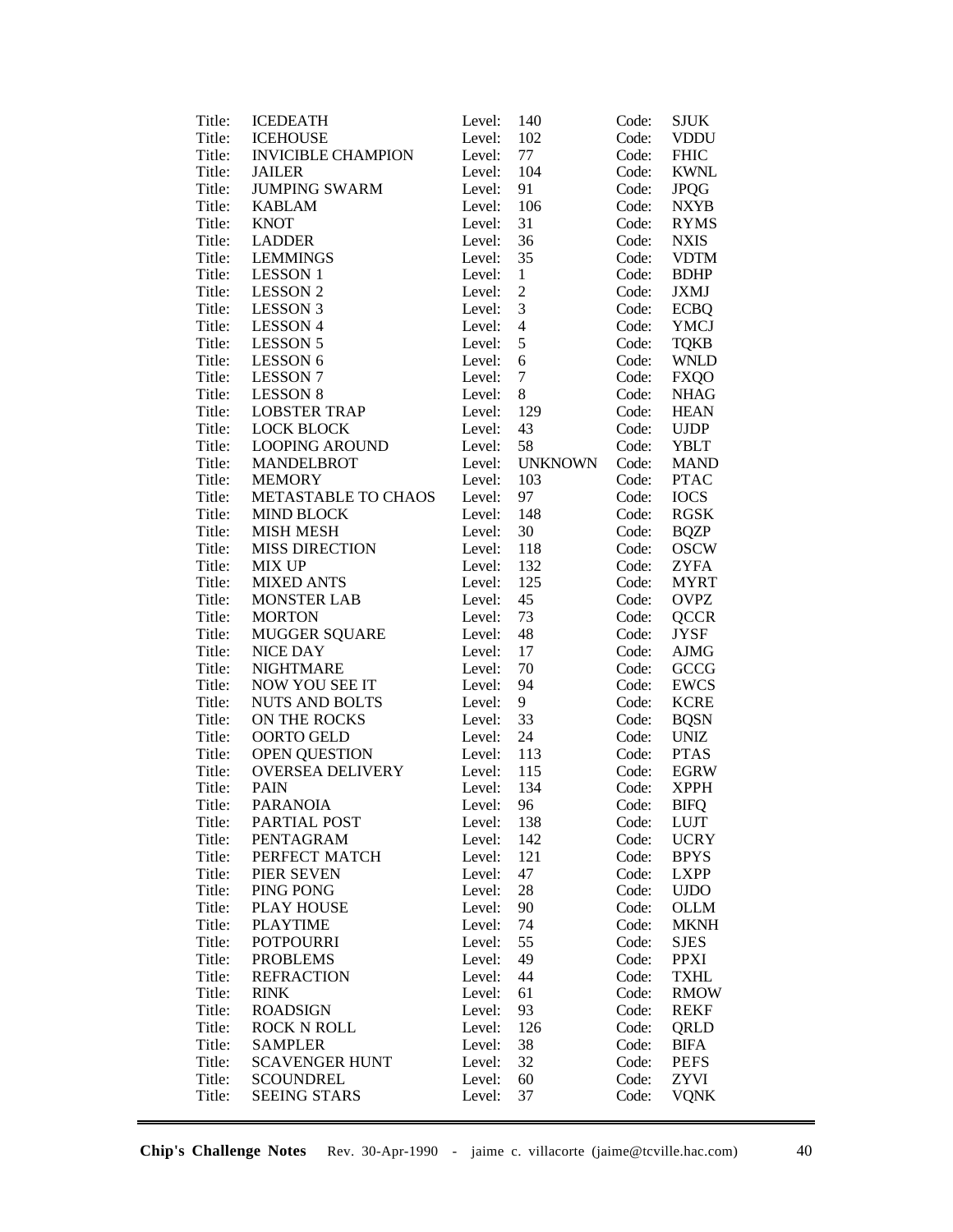| Title: | <b>ICEDEATH</b>           | Level:           | 140            | Code: | <b>SJUK</b>                |
|--------|---------------------------|------------------|----------------|-------|----------------------------|
| Title: | <b>ICEHOUSE</b>           | Level:           | 102            | Code: | <b>VDDU</b>                |
| Title: | <b>INVICIBLE CHAMPION</b> | Level:           | $77 \,$        | Code: | <b>FHIC</b>                |
| Title: | <b>JAILER</b>             | Level:           | 104            | Code: | <b>KWNL</b>                |
| Title: | <b>JUMPING SWARM</b>      | Level:           | 91             | Code: | <b>JPQG</b>                |
| Title: | <b>KABLAM</b>             | Level:           | 106            | Code: | <b>NXYB</b>                |
| Title: | <b>KNOT</b>               | Level:           | 31             | Code: | <b>RYMS</b>                |
| Title: | <b>LADDER</b>             | Level:           | 36             | Code: | <b>NXIS</b>                |
| Title: | <b>LEMMINGS</b>           | Level:           | 35             | Code: | <b>VDTM</b>                |
| Title: | <b>LESSON 1</b>           | Level:           | $\mathbf{1}$   | Code: | <b>BDHP</b>                |
| Title: | <b>LESSON 2</b>           | Level:           | $\overline{c}$ | Code: | JXMJ                       |
| Title: | <b>LESSON 3</b>           | Level:           | 3              | Code: | <b>ECBQ</b>                |
| Title: | <b>LESSON 4</b>           | Level:           | $\overline{4}$ | Code: | <b>YMCJ</b>                |
| Title: | <b>LESSON 5</b>           | Level:           | 5              | Code: | <b>TQKB</b>                |
| Title: | LESSON 6                  | Level:           | $6\,$          | Code: | <b>WNLD</b>                |
| Title: | <b>LESSON 7</b>           | Level:           | $\tau$         | Code: | <b>FXQO</b>                |
| Title: | <b>LESSON 8</b>           | Level:           | 8              | Code: | <b>NHAG</b>                |
| Title: | <b>LOBSTER TRAP</b>       | Level:           | 129            | Code: | <b>HEAN</b>                |
| Title: | <b>LOCK BLOCK</b>         | Level:           | 43             | Code: | <b>UJDP</b>                |
| Title: | <b>LOOPING AROUND</b>     | Level:           | 58             | Code: | <b>YBLT</b>                |
| Title: | <b>MANDELBROT</b>         | Level:           | <b>UNKNOWN</b> | Code: | <b>MAND</b>                |
| Title: | <b>MEMORY</b>             | Level:           | 103            | Code: | <b>PTAC</b>                |
| Title: | METASTABLE TO CHAOS       | Level:           | 97             | Code: | <b>IOCS</b>                |
| Title: | <b>MIND BLOCK</b>         | Level:           | 148            | Code: | <b>RGSK</b>                |
| Title: | <b>MISH MESH</b>          | Level:           | 30             | Code: | <b>BQZP</b>                |
| Title: | <b>MISS DIRECTION</b>     | Level:           | 118            | Code: | <b>OSCW</b>                |
| Title: | <b>MIX UP</b>             |                  |                |       | <b>ZYFA</b>                |
| Title: |                           | Level:<br>Level: | 132<br>125     | Code: |                            |
|        | <b>MIXED ANTS</b>         |                  | 45             | Code: | <b>MYRT</b><br><b>OVPZ</b> |
| Title: | <b>MONSTER LAB</b>        | Level:           |                | Code: |                            |
| Title: | <b>MORTON</b>             | Level:           | 73             | Code: | <b>QCCR</b>                |
| Title: | <b>MUGGER SQUARE</b>      | Level:           | 48             | Code: | <b>JYSF</b>                |
| Title: | NICE DAY                  | Level:           | 17             | Code: | AJMG                       |
| Title: | <b>NIGHTMARE</b>          | Level:           | 70             | Code: | GCCG                       |
| Title: | NOW YOU SEE IT            | Level:           | 94             | Code: | EWCS                       |
| Title: | <b>NUTS AND BOLTS</b>     | Level:           | 9              | Code: | <b>KCRE</b>                |
| Title: | ON THE ROCKS              | Level:           | 33             | Code: | <b>BQSN</b>                |
| Title: | OORTO GELD                | Level:           | 24             | Code: | <b>UNIZ</b>                |
| Title: | <b>OPEN QUESTION</b>      | Level:           | 113            | Code: | <b>PTAS</b>                |
| Title: | <b>OVERSEA DELIVERY</b>   | Level:           | 115            | Code: | <b>EGRW</b>                |
| Title: | <b>PAIN</b>               | Level:           | 134            | Code: | <b>XPPH</b>                |
| Title: | <b>PARANOIA</b>           | Level:           | 96             | Code: | BIFQ                       |
| Title: | PARTIAL POST              | Level:           | 138            | Code: | <b>LUJT</b>                |
| Title: | PENTAGRAM                 | Level:           | 142            | Code: | <b>UCRY</b>                |
| Title: | PERFECT MATCH             | Level:           | 121            | Code: | <b>BPYS</b>                |
| Title: | PIER SEVEN                | Level:           | 47             | Code: | <b>LXPP</b>                |
| Title: | PING PONG                 | Level:           | 28             | Code: | <b>UJDO</b>                |
| Title: | <b>PLAY HOUSE</b>         | Level:           | 90             | Code: | <b>OLLM</b>                |
| Title: | <b>PLAYTIME</b>           | Level:           | 74             | Code: | <b>MKNH</b>                |
| Title: | <b>POTPOURRI</b>          | Level:           | 55             | Code: | <b>SJES</b>                |
| Title: | <b>PROBLEMS</b>           | Level:           | 49             | Code: | <b>PPXI</b>                |
| Title: | <b>REFRACTION</b>         | Level:           | 44             | Code: | <b>TXHL</b>                |
| Title: | <b>RINK</b>               | Level:           | 61             | Code: | <b>RMOW</b>                |
| Title: | <b>ROADSIGN</b>           | Level:           | 93             | Code: | <b>REKF</b>                |
| Title: | <b>ROCK N ROLL</b>        | Level:           | 126            | Code: | QRLD                       |
| Title: | <b>SAMPLER</b>            | Level:           | 38             | Code: | <b>BIFA</b>                |
| Title: | <b>SCAVENGER HUNT</b>     | Level:           | 32             | Code: | <b>PEFS</b>                |
| Title: | <b>SCOUNDREL</b>          | Level:           | 60             | Code: | <b>ZYVI</b>                |
| Title: | <b>SEEING STARS</b>       | Level:           | 37             | Code: | <b>VQNK</b>                |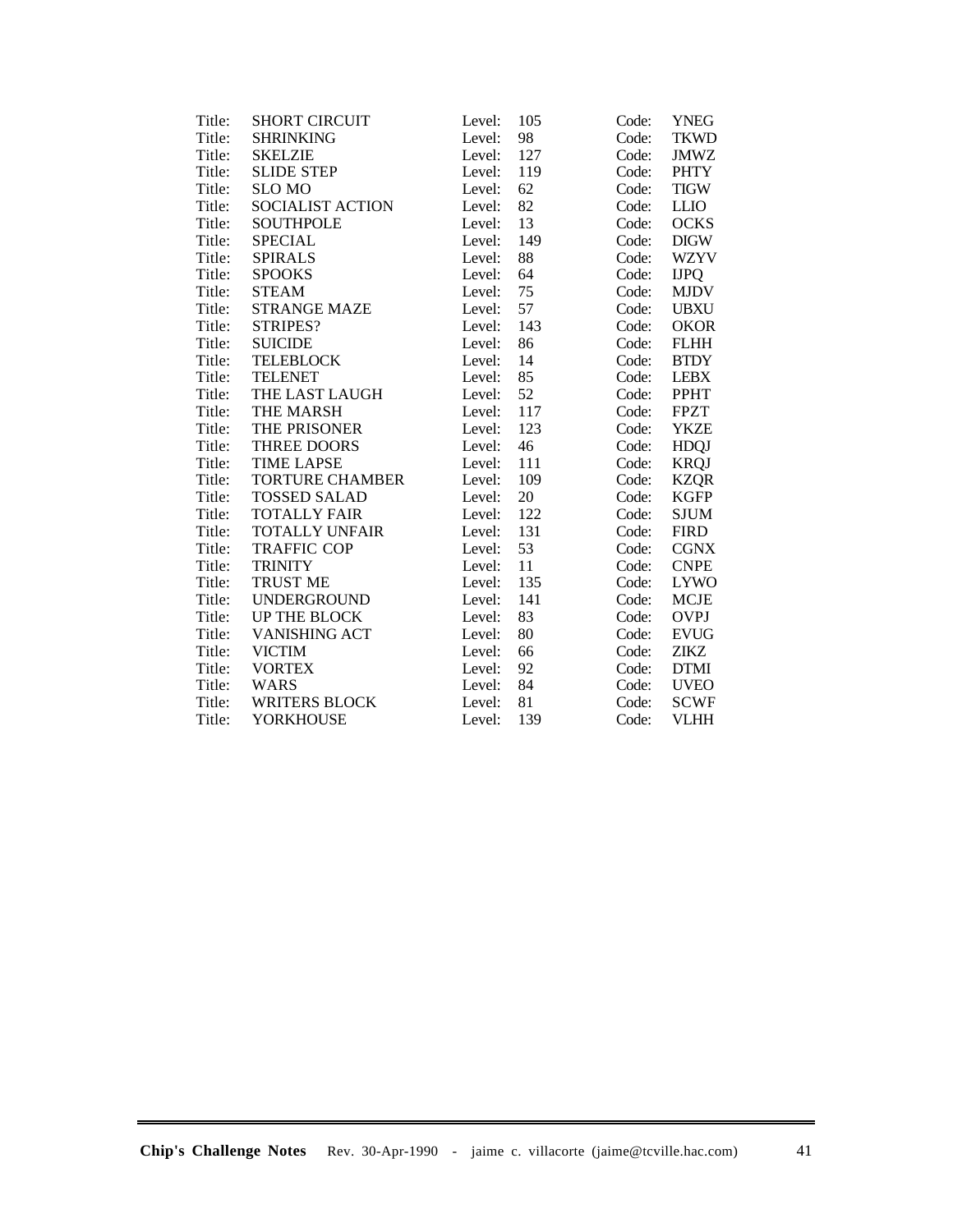| Title: | <b>SHORT CIRCUIT</b>   | Level: | 105 | Code: | <b>YNEG</b> |
|--------|------------------------|--------|-----|-------|-------------|
| Title: | <b>SHRINKING</b>       | Level: | 98  | Code: | <b>TKWD</b> |
| Title: | <b>SKELZIE</b>         | Level: | 127 | Code: | <b>JMWZ</b> |
| Title: | <b>SLIDE STEP</b>      | Level: | 119 | Code: | <b>PHTY</b> |
| Title: | <b>SLO MO</b>          | Level: | 62  | Code: | <b>TIGW</b> |
| Title: | SOCIALIST ACTION       | Level: | 82  | Code: | <b>LLIO</b> |
| Title: | <b>SOUTHPOLE</b>       | Level: | 13  | Code: | <b>OCKS</b> |
| Title: | <b>SPECIAL</b>         | Level: | 149 | Code: | <b>DIGW</b> |
| Title: | <b>SPIRALS</b>         | Level: | 88  | Code: | <b>WZYV</b> |
| Title: | <b>SPOOKS</b>          | Level: | 64  | Code: | <b>IJPQ</b> |
| Title: | <b>STEAM</b>           | Level: | 75  | Code: | <b>MJDV</b> |
| Title: | <b>STRANGE MAZE</b>    | Level: | 57  | Code: | <b>UBXU</b> |
| Title: | STRIPES?               | Level: | 143 | Code: | <b>OKOR</b> |
| Title: | <b>SUICIDE</b>         | Level: | 86  | Code: | <b>FLHH</b> |
| Title: | <b>TELEBLOCK</b>       | Level: | 14  | Code: | <b>BTDY</b> |
| Title: | <b>TELENET</b>         | Level: | 85  | Code: | <b>LEBX</b> |
| Title: | THE LAST LAUGH         | Level: | 52  | Code: | <b>PPHT</b> |
| Title: | THE MARSH              | Level: | 117 | Code: | <b>FPZT</b> |
| Title: | THE PRISONER           | Level: | 123 | Code: | <b>YKZE</b> |
| Title: | THREE DOORS            | Level: | 46  | Code: | <b>HDQJ</b> |
| Title: | <b>TIME LAPSE</b>      | Level: | 111 | Code: | <b>KRQJ</b> |
| Title: | <b>TORTURE CHAMBER</b> | Level: | 109 | Code: | <b>KZQR</b> |
| Title: | <b>TOSSED SALAD</b>    | Level: | 20  | Code: | <b>KGFP</b> |
| Title: | <b>TOTALLY FAIR</b>    | Level: | 122 | Code: | <b>SJUM</b> |
| Title: | <b>TOTALLY UNFAIR</b>  | Level: | 131 | Code: | <b>FIRD</b> |
| Title: | <b>TRAFFIC COP</b>     | Level: | 53  | Code: | <b>CGNX</b> |
| Title: | <b>TRINITY</b>         | Level: | 11  | Code: | <b>CNPE</b> |
| Title: | <b>TRUST ME</b>        | Level: | 135 | Code: | <b>LYWO</b> |
| Title: | <b>UNDERGROUND</b>     | Level: | 141 | Code: | <b>MCJE</b> |
| Title: | UP THE BLOCK           | Level: | 83  | Code: | <b>OVPJ</b> |
| Title: | VANISHING ACT          | Level: | 80  | Code: | <b>EVUG</b> |
| Title: | <b>VICTIM</b>          | Level: | 66  | Code: | ZIKZ        |
| Title: | <b>VORTEX</b>          | Level: | 92  | Code: | <b>DTMI</b> |
| Title: | <b>WARS</b>            | Level: | 84  | Code: | <b>UVEO</b> |
| Title: | <b>WRITERS BLOCK</b>   | Level: | 81  | Code: | <b>SCWF</b> |
| Title: | <b>YORKHOUSE</b>       | Level: | 139 | Code: | <b>VLHH</b> |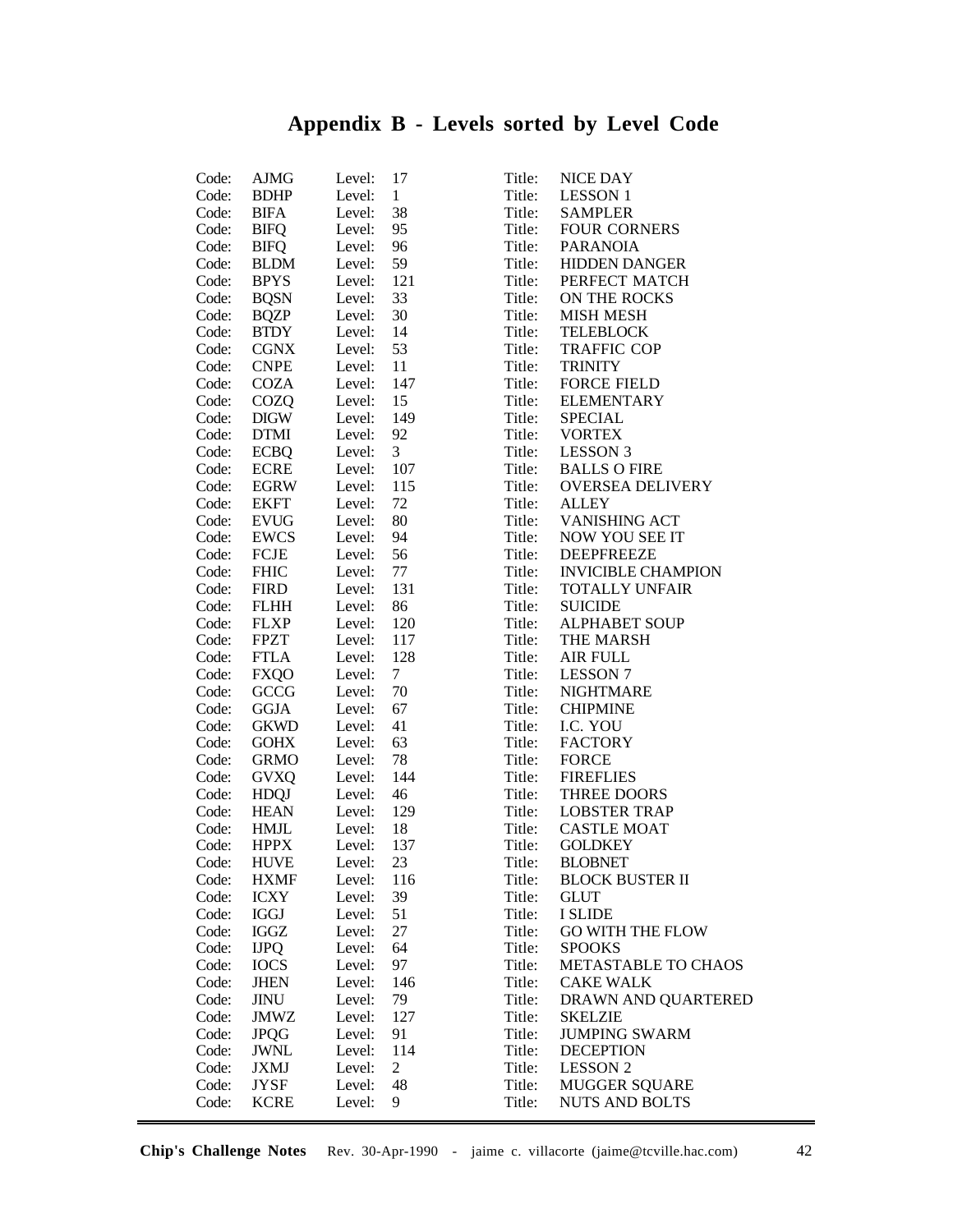# **Appendix B - Levels sorted by Level Code**

| Code: | AJMG                       | Level: | 17              | Title: | NICE DAY                                 |
|-------|----------------------------|--------|-----------------|--------|------------------------------------------|
| Code: | <b>BDHP</b>                | Level: | $\mathbf{1}$    | Title: | <b>LESSON 1</b>                          |
| Code: | BIFA                       | Level: | 38              | Title: | <b>SAMPLER</b>                           |
| Code: | <b>BIFQ</b>                | Level: | 95              | Title: | <b>FOUR CORNERS</b>                      |
| Code: | <b>BIFQ</b>                | Level: | 96              | Title: | <b>PARANOIA</b>                          |
| Code: | <b>BLDM</b>                | Level: | 59              | Title: | <b>HIDDEN DANGER</b>                     |
| Code: | <b>BPYS</b>                | Level: | 121             | Title: | PERFECT MATCH                            |
| Code: | <b>BQSN</b>                | Level: | 33              | Title: | ON THE ROCKS                             |
| Code: | <b>BQZP</b>                | Level: | 30              | Title: | <b>MISH MESH</b>                         |
| Code: | <b>BTDY</b>                | Level: | 14              | Title: | <b>TELEBLOCK</b>                         |
| Code: | <b>CGNX</b>                | Level: | 53              | Title: | <b>TRAFFIC COP</b>                       |
| Code: | <b>CNPE</b>                | Level: | 11              | Title: | <b>TRINITY</b>                           |
| Code: | <b>COZA</b>                | Level: | 147             | Title: | <b>FORCE FIELD</b>                       |
| Code: | COZQ                       | Level: | 15              | Title: | <b>ELEMENTARY</b>                        |
| Code: | <b>DIGW</b>                | Level: | 149             | Title: | <b>SPECIAL</b>                           |
| Code: | <b>DTMI</b>                | Level: | 92              | Title: | <b>VORTEX</b>                            |
| Code: | <b>ECBQ</b>                | Level: | $\mathfrak{Z}$  | Title: | <b>LESSON 3</b>                          |
| Code: | <b>ECRE</b>                | Level: | 107             | Title: | <b>BALLS O FIRE</b>                      |
| Code: | EGRW                       | Level: | 115             | Title: | <b>OVERSEA DELIVERY</b>                  |
| Code: | <b>EKFT</b>                | Level: | 72              | Title: | <b>ALLEY</b>                             |
| Code: | <b>EVUG</b>                | Level: | 80              | Title: | <b>VANISHING ACT</b>                     |
| Code: | EWCS                       | Level: | 94              | Title: | NOW YOU SEE IT                           |
| Code: | FCJE                       | Level: | 56              | Title: | <b>DEEPFREEZE</b>                        |
| Code: | <b>FHIC</b>                | Level: | 77              | Title: | <b>INVICIBLE CHAMPION</b>                |
| Code: | <b>FIRD</b>                | Level: | 131             | Title: | <b>TOTALLY UNFAIR</b>                    |
| Code: | <b>FLHH</b>                | Level: | 86              | Title: | <b>SUICIDE</b>                           |
| Code: | <b>FLXP</b>                | Level: | 120             | Title: | <b>ALPHABET SOUP</b>                     |
| Code: | <b>FPZT</b>                | Level: | 117             | Title: | THE MARSH                                |
| Code: | <b>FTLA</b>                | Level: | 128             | Title: | AIR FULL                                 |
| Code: | <b>FXQO</b>                | Level: | $7\overline{ }$ | Title: | <b>LESSON 7</b>                          |
| Code: | GCCG                       | Level: | 70              | Title: | <b>NIGHTMARE</b>                         |
| Code: | <b>GGJA</b>                | Level: | 67              | Title: | <b>CHIPMINE</b>                          |
| Code: | <b>GKWD</b>                | Level: | 41              | Title: | I.C. YOU                                 |
| Code: |                            | Level: | 63              | Title: | <b>FACTORY</b>                           |
| Code: | <b>GOHX</b><br><b>GRMO</b> | Level: | 78              | Title: | <b>FORCE</b>                             |
| Code: | <b>GVXQ</b>                | Level: | 144             | Title: | <b>FIREFLIES</b>                         |
| Code: |                            |        | 46              | Title: | THREE DOORS                              |
|       | <b>HDQJ</b>                | Level: |                 |        | <b>LOBSTER TRAP</b>                      |
| Code: | <b>HEAN</b>                | Level: | 129             | Title: | <b>CASTLE MOAT</b>                       |
| Code: | <b>HMJL</b>                | Level: | 18              | Title: |                                          |
| Code: | <b>HPPX</b><br><b>HUVE</b> | Level: | 137<br>23       | Title: | <b>GOLDKEY</b>                           |
| Code: |                            | Level: |                 | Title: | <b>BLOBNET</b><br><b>BLOCK BUSTER II</b> |
| Code: | <b>HXMF</b>                | Level: | 116             | Title: |                                          |
| Code: | <b>ICXY</b>                | Level: | 39              | Title: | <b>GLUT</b>                              |
| Code: | <b>IGGJ</b>                | Level: | 51              | Title: | <b>I SLIDE</b>                           |
| Code: | <b>IGGZ</b>                | Level: | 27              | Title: | <b>GO WITH THE FLOW</b>                  |
| Code: | <b>IJPQ</b>                | Level: | 64              | Title: | <b>SPOOKS</b>                            |
| Code: | <b>IOCS</b>                | Level: | 97              | Title: | METASTABLE TO CHAOS                      |
| Code: | <b>JHEN</b>                | Level: | 146             | Title: | <b>CAKE WALK</b>                         |
| Code: | <b>JINU</b>                | Level: | 79              | Title: | DRAWN AND QUARTERED                      |
| Code: | JMWZ                       | Level: | 127             | Title: | <b>SKELZIE</b>                           |
| Code: | <b>JPQG</b>                | Level: | 91              | Title: | <b>JUMPING SWARM</b>                     |
| Code: | JWNL                       | Level: | 114             | Title: | <b>DECEPTION</b>                         |
| Code: | <b>JXMJ</b>                | Level: | $\overline{2}$  | Title: | <b>LESSON 2</b>                          |
| Code: | JYSF                       | Level: | 48              | Title: | <b>MUGGER SQUARE</b>                     |
| Code: | <b>KCRE</b>                | Level: | 9               | Title: | <b>NUTS AND BOLTS</b>                    |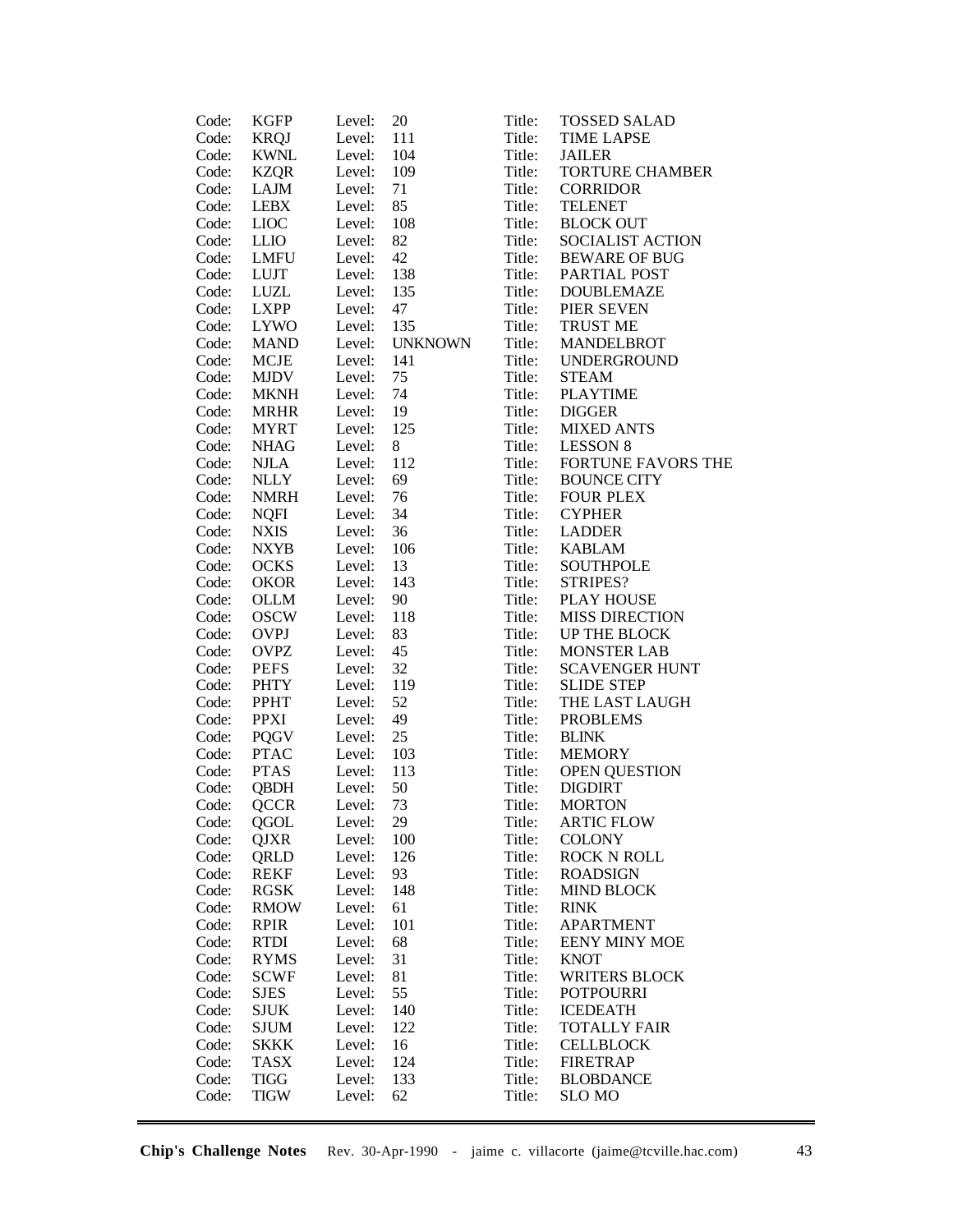| Code: | <b>KGFP</b> | Level: | 20      | Title: | <b>TOSSED SALAD</b>    |
|-------|-------------|--------|---------|--------|------------------------|
| Code: | <b>KRQJ</b> | Level: | 111     | Title: | <b>TIME LAPSE</b>      |
| Code: | <b>KWNL</b> | Level: | 104     | Title: | <b>JAILER</b>          |
| Code: | <b>KZQR</b> | Level: | 109     | Title: | <b>TORTURE CHAMBER</b> |
| Code: | LAJM        | Level: | 71      | Title: | <b>CORRIDOR</b>        |
| Code: | <b>LEBX</b> | Level: | 85      | Title: | <b>TELENET</b>         |
| Code: | <b>LIOC</b> | Level: | 108     | Title: | <b>BLOCK OUT</b>       |
| Code: | <b>LLIO</b> | Level: | 82      | Title: | SOCIALIST ACTION       |
| Code: | LMFU        | Level: | 42      | Title: | <b>BEWARE OF BUG</b>   |
| Code: | <b>LUJT</b> | Level: | 138     | Title: | PARTIAL POST           |
| Code: | <b>LUZL</b> | Level: | 135     | Title: | <b>DOUBLEMAZE</b>      |
| Code: | <b>LXPP</b> | Level: | 47      | Title: | PIER SEVEN             |
| Code: | <b>LYWO</b> | Level: | 135     | Title: | <b>TRUST ME</b>        |
| Code: | <b>MAND</b> | Level: | UNKNOWN | Title: | <b>MANDELBROT</b>      |
| Code: | <b>MCJE</b> | Level: | 141     | Title: | <b>UNDERGROUND</b>     |
| Code: | <b>MJDV</b> | Level: | 75      | Title: | <b>STEAM</b>           |
| Code: | <b>MKNH</b> | Level: | 74      | Title: | <b>PLAYTIME</b>        |
| Code: | <b>MRHR</b> | Level: | 19      | Title: | <b>DIGGER</b>          |
| Code: | <b>MYRT</b> | Level: | 125     | Title: | <b>MIXED ANTS</b>      |
| Code: | <b>NHAG</b> | Level: | 8       | Title: | <b>LESSON 8</b>        |
| Code: | <b>NJLA</b> | Level: | 112     | Title: | FORTUNE FAVORS THE     |
| Code: | <b>NLLY</b> | Level: | 69      | Title: | <b>BOUNCE CITY</b>     |
| Code: | <b>NMRH</b> | Level: | 76      | Title: | <b>FOUR PLEX</b>       |
| Code: | <b>NQFI</b> | Level: | 34      | Title: | <b>CYPHER</b>          |
| Code: | <b>NXIS</b> | Level: | 36      | Title: | <b>LADDER</b>          |
| Code: | <b>NXYB</b> | Level: | 106     | Title: | <b>KABLAM</b>          |
| Code: | <b>OCKS</b> | Level: | 13      | Title: | <b>SOUTHPOLE</b>       |
| Code: | <b>OKOR</b> | Level: | 143     | Title: | STRIPES?               |
| Code: | <b>OLLM</b> | Level: | 90      | Title: | <b>PLAY HOUSE</b>      |
| Code: | <b>OSCW</b> | Level: | 118     | Title: | <b>MISS DIRECTION</b>  |
| Code: | <b>OVPJ</b> | Level: | 83      | Title: | UP THE BLOCK           |
| Code: | <b>OVPZ</b> | Level: | 45      | Title: | <b>MONSTER LAB</b>     |
| Code: | <b>PEFS</b> | Level: | 32      | Title: | <b>SCAVENGER HUNT</b>  |
| Code: | <b>PHTY</b> | Level: | 119     | Title: | <b>SLIDE STEP</b>      |
| Code: | PPHT        | Level: | 52      | Title: | THE LAST LAUGH         |
| Code: | <b>PPXI</b> | Level: | 49      | Title: | <b>PROBLEMS</b>        |
| Code: | <b>PQGV</b> | Level: | 25      | Title: | <b>BLINK</b>           |
| Code: | <b>PTAC</b> | Level: | 103     | Title: | <b>MEMORY</b>          |
| Code: | <b>PTAS</b> | Level: | 113     | Title: | <b>OPEN QUESTION</b>   |
| Code: | <b>QBDH</b> | Level: | 50      | Title: | <b>DIGDIRT</b>         |
| Code: | <b>QCCR</b> | Level: | 73      | Title: | <b>MORTON</b>          |
| Code: | QGOL        | Level: | 29      | Title: | <b>ARTIC FLOW</b>      |
| Code: | QJXR        | Level: | 100     | Title: | <b>COLONY</b>          |
| Code: | QRLD        | Level: | 126     | Title: | <b>ROCK N ROLL</b>     |
| Code: | <b>REKF</b> | Level: | 93      | Title: | <b>ROADSIGN</b>        |
| Code: | <b>RGSK</b> | Level: | 148     | Title: | <b>MIND BLOCK</b>      |
| Code: | <b>RMOW</b> | Level: | 61      | Title: | <b>RINK</b>            |
| Code: | <b>RPIR</b> | Level: | 101     | Title: | <b>APARTMENT</b>       |
| Code: | <b>RTDI</b> | Level: | 68      | Title: | <b>EENY MINY MOE</b>   |
| Code: | <b>RYMS</b> | Level: | 31      | Title: | <b>KNOT</b>            |
| Code: | <b>SCWF</b> | Level: | 81      | Title: | <b>WRITERS BLOCK</b>   |
| Code: | <b>SJES</b> | Level: | 55      | Title: | <b>POTPOURRI</b>       |
| Code: | <b>SJUK</b> | Level: | 140     | Title: | <b>ICEDEATH</b>        |
| Code: | SJUM        | Level: | 122     | Title: | <b>TOTALLY FAIR</b>    |
| Code: | <b>SKKK</b> | Level: | 16      | Title: | <b>CELLBLOCK</b>       |
| Code: | <b>TASX</b> | Level: | 124     | Title: | <b>FIRETRAP</b>        |
| Code: | <b>TIGG</b> | Level: | 133     | Title: | <b>BLOBDANCE</b>       |
| Code: | <b>TIGW</b> | Level: | 62      | Title: | <b>SLO MO</b>          |
|       |             |        |         |        |                        |